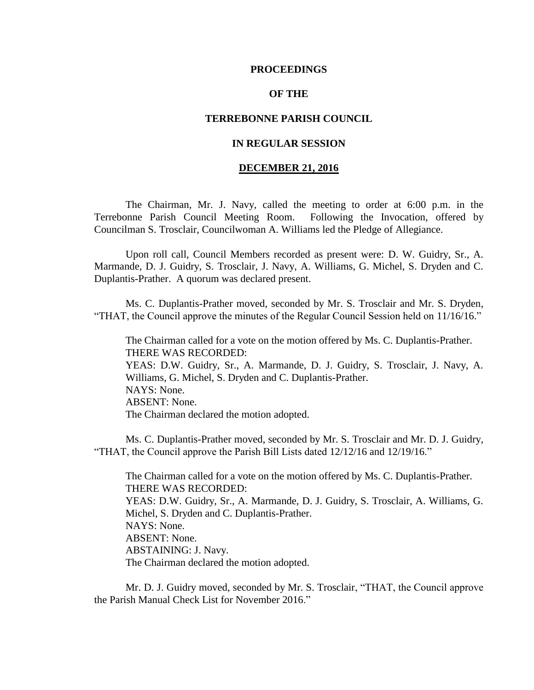#### **PROCEEDINGS**

#### **OF THE**

#### **TERREBONNE PARISH COUNCIL**

### **IN REGULAR SESSION**

#### **DECEMBER 21, 2016**

The Chairman, Mr. J. Navy, called the meeting to order at 6:00 p.m. in the Terrebonne Parish Council Meeting Room. Following the Invocation, offered by Councilman S. Trosclair, Councilwoman A. Williams led the Pledge of Allegiance.

Upon roll call, Council Members recorded as present were: D. W. Guidry, Sr., A. Marmande, D. J. Guidry, S. Trosclair, J. Navy, A. Williams, G. Michel, S. Dryden and C. Duplantis-Prather. A quorum was declared present.

Ms. C. Duplantis-Prather moved, seconded by Mr. S. Trosclair and Mr. S. Dryden, "THAT, the Council approve the minutes of the Regular Council Session held on 11/16/16."

The Chairman called for a vote on the motion offered by Ms. C. Duplantis-Prather. THERE WAS RECORDED: YEAS: D.W. Guidry, Sr., A. Marmande, D. J. Guidry, S. Trosclair, J. Navy, A. Williams, G. Michel, S. Dryden and C. Duplantis-Prather. NAYS: None. ABSENT: None. The Chairman declared the motion adopted.

Ms. C. Duplantis-Prather moved, seconded by Mr. S. Trosclair and Mr. D. J. Guidry, "THAT, the Council approve the Parish Bill Lists dated 12/12/16 and 12/19/16."

The Chairman called for a vote on the motion offered by Ms. C. Duplantis-Prather. THERE WAS RECORDED: YEAS: D.W. Guidry, Sr., A. Marmande, D. J. Guidry, S. Trosclair, A. Williams, G. Michel, S. Dryden and C. Duplantis-Prather. NAYS: None. ABSENT: None. ABSTAINING: J. Navy. The Chairman declared the motion adopted.

Mr. D. J. Guidry moved, seconded by Mr. S. Trosclair, "THAT, the Council approve the Parish Manual Check List for November 2016."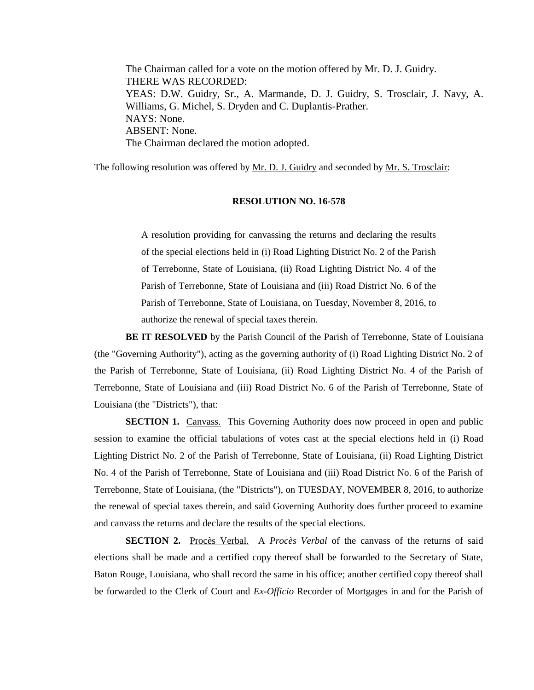The Chairman called for a vote on the motion offered by Mr. D. J. Guidry. THERE WAS RECORDED: YEAS: D.W. Guidry, Sr., A. Marmande, D. J. Guidry, S. Trosclair, J. Navy, A. Williams, G. Michel, S. Dryden and C. Duplantis-Prather. NAYS: None. ABSENT: None. The Chairman declared the motion adopted.

The following resolution was offered by <u>Mr. D. J. Guidry</u> and seconded by <u>Mr. S. Trosclair</u>:

#### **RESOLUTION NO. 16-578**

A resolution providing for canvassing the returns and declaring the results of the special elections held in (i) Road Lighting District No. 2 of the Parish of Terrebonne, State of Louisiana, (ii) Road Lighting District No. 4 of the Parish of Terrebonne, State of Louisiana and (iii) Road District No. 6 of the Parish of Terrebonne, State of Louisiana, on Tuesday, November 8, 2016, to authorize the renewal of special taxes therein.

**BE IT RESOLVED** by the Parish Council of the Parish of Terrebonne, State of Louisiana (the "Governing Authority"), acting as the governing authority of (i) Road Lighting District No. 2 of the Parish of Terrebonne, State of Louisiana, (ii) Road Lighting District No. 4 of the Parish of Terrebonne, State of Louisiana and (iii) Road District No. 6 of the Parish of Terrebonne, State of Louisiana (the "Districts"), that:

**SECTION 1.** Canvass. This Governing Authority does now proceed in open and public session to examine the official tabulations of votes cast at the special elections held in (i) Road Lighting District No. 2 of the Parish of Terrebonne, State of Louisiana, (ii) Road Lighting District No. 4 of the Parish of Terrebonne, State of Louisiana and (iii) Road District No. 6 of the Parish of Terrebonne, State of Louisiana, (the "Districts"), on TUESDAY, NOVEMBER 8, 2016, to authorize the renewal of special taxes therein, and said Governing Authority does further proceed to examine and canvass the returns and declare the results of the special elections.

**SECTION 2.** Procès Verbal. A *Procès Verbal* of the canvass of the returns of said elections shall be made and a certified copy thereof shall be forwarded to the Secretary of State, Baton Rouge, Louisiana, who shall record the same in his office; another certified copy thereof shall be forwarded to the Clerk of Court and *Ex-Officio* Recorder of Mortgages in and for the Parish of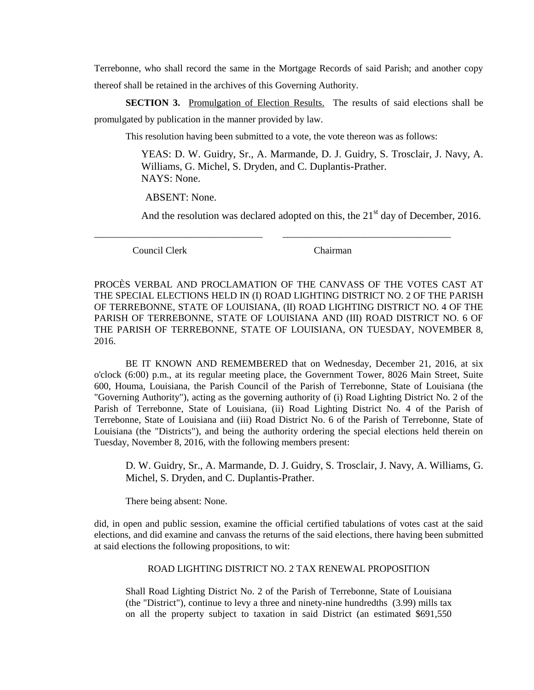Terrebonne, who shall record the same in the Mortgage Records of said Parish; and another copy thereof shall be retained in the archives of this Governing Authority.

**SECTION 3.** Promulgation of Election Results. The results of said elections shall be promulgated by publication in the manner provided by law.

This resolution having been submitted to a vote, the vote thereon was as follows:

\_\_\_\_\_\_\_\_\_\_\_\_\_\_\_\_\_\_\_\_\_\_\_\_\_\_\_\_\_\_\_\_\_\_\_ \_\_\_\_\_\_\_\_\_\_\_\_\_\_\_\_\_\_\_\_\_\_\_\_\_\_\_\_\_\_\_\_\_\_\_

YEAS: D. W. Guidry, Sr., A. Marmande, D. J. Guidry, S. Trosclair, J. Navy, A. Williams, G. Michel, S. Dryden, and C. Duplantis-Prather. NAYS: None.

ABSENT: None.

And the resolution was declared adopted on this, the  $21<sup>st</sup>$  day of December, 2016.

Council Clerk Chairman

PROCÈS VERBAL AND PROCLAMATION OF THE CANVASS OF THE VOTES CAST AT THE SPECIAL ELECTIONS HELD IN (I) ROAD LIGHTING DISTRICT NO. 2 OF THE PARISH OF TERREBONNE, STATE OF LOUISIANA, (II) ROAD LIGHTING DISTRICT NO. 4 OF THE PARISH OF TERREBONNE, STATE OF LOUISIANA AND (III) ROAD DISTRICT NO. 6 OF THE PARISH OF TERREBONNE, STATE OF LOUISIANA, ON TUESDAY, NOVEMBER 8, 2016.

BE IT KNOWN AND REMEMBERED that on Wednesday, December 21, 2016, at six o'clock (6:00) p.m., at its regular meeting place, the Government Tower, 8026 Main Street, Suite 600, Houma, Louisiana, the Parish Council of the Parish of Terrebonne, State of Louisiana (the "Governing Authority"), acting as the governing authority of (i) Road Lighting District No. 2 of the Parish of Terrebonne, State of Louisiana, (ii) Road Lighting District No. 4 of the Parish of Terrebonne, State of Louisiana and (iii) Road District No. 6 of the Parish of Terrebonne, State of Louisiana (the "Districts"), and being the authority ordering the special elections held therein on Tuesday, November 8, 2016, with the following members present:

D. W. Guidry, Sr., A. Marmande, D. J. Guidry, S. Trosclair, J. Navy, A. Williams, G. Michel, S. Dryden, and C. Duplantis-Prather.

There being absent: None.

did, in open and public session, examine the official certified tabulations of votes cast at the said elections, and did examine and canvass the returns of the said elections, there having been submitted at said elections the following propositions, to wit:

#### ROAD LIGHTING DISTRICT NO. 2 TAX RENEWAL PROPOSITION

Shall Road Lighting District No. 2 of the Parish of Terrebonne, State of Louisiana (the "District"), continue to levy a three and ninety-nine hundredths (3.99) mills tax on all the property subject to taxation in said District (an estimated \$691,550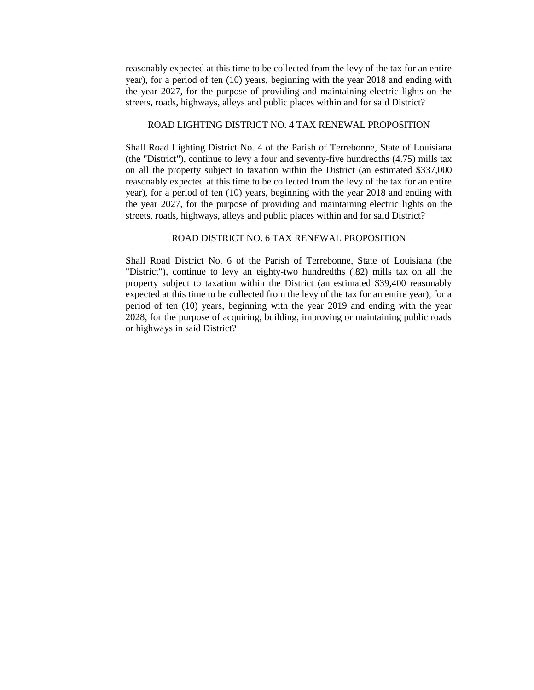reasonably expected at this time to be collected from the levy of the tax for an entire year), for a period of ten (10) years, beginning with the year 2018 and ending with the year 2027, for the purpose of providing and maintaining electric lights on the streets, roads, highways, alleys and public places within and for said District?

#### ROAD LIGHTING DISTRICT NO. 4 TAX RENEWAL PROPOSITION

Shall Road Lighting District No. 4 of the Parish of Terrebonne, State of Louisiana (the "District"), continue to levy a four and seventy-five hundredths (4.75) mills tax on all the property subject to taxation within the District (an estimated \$337,000 reasonably expected at this time to be collected from the levy of the tax for an entire year), for a period of ten (10) years, beginning with the year 2018 and ending with the year 2027, for the purpose of providing and maintaining electric lights on the streets, roads, highways, alleys and public places within and for said District?

#### ROAD DISTRICT NO. 6 TAX RENEWAL PROPOSITION

Shall Road District No. 6 of the Parish of Terrebonne, State of Louisiana (the "District"), continue to levy an eighty-two hundredths (.82) mills tax on all the property subject to taxation within the District (an estimated \$39,400 reasonably expected at this time to be collected from the levy of the tax for an entire year), for a period of ten (10) years, beginning with the year 2019 and ending with the year 2028, for the purpose of acquiring, building, improving or maintaining public roads or highways in said District?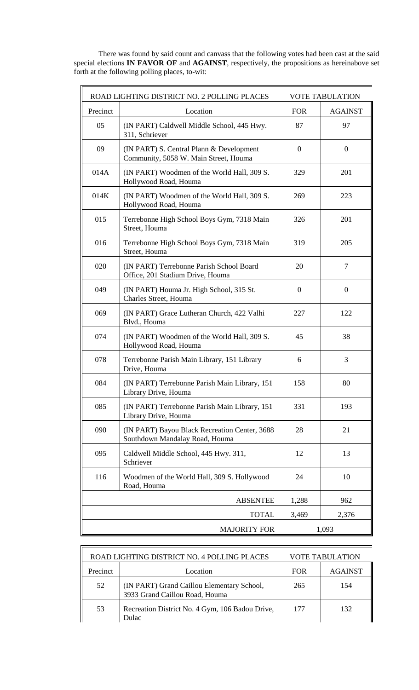There was found by said count and canvass that the following votes had been cast at the said special elections **IN FAVOR OF** and **AGAINST**, respectively, the propositions as hereinabove set forth at the following polling places, to-wit:

|                     | ROAD LIGHTING DISTRICT NO. 2 POLLING PLACES                                       |                  | <b>VOTE TABULATION</b> |
|---------------------|-----------------------------------------------------------------------------------|------------------|------------------------|
| Precinct            | Location                                                                          | <b>FOR</b>       | <b>AGAINST</b>         |
| 05                  | (IN PART) Caldwell Middle School, 445 Hwy.<br>311, Schriever                      | 87               | 97                     |
| 09                  | (IN PART) S. Central Plann & Development<br>Community, 5058 W. Main Street, Houma | $\mathbf{0}$     | $\overline{0}$         |
| 014A                | (IN PART) Woodmen of the World Hall, 309 S.<br>Hollywood Road, Houma              | 329              | 201                    |
| 014K                | (IN PART) Woodmen of the World Hall, 309 S.<br>Hollywood Road, Houma              | 269              | 223                    |
| 015                 | Terrebonne High School Boys Gym, 7318 Main<br>Street, Houma                       | 326              | 201                    |
| 016                 | Terrebonne High School Boys Gym, 7318 Main<br>Street, Houma                       | 319              | 205                    |
| 020                 | (IN PART) Terrebonne Parish School Board<br>Office, 201 Stadium Drive, Houma      | 20               | 7                      |
| 049                 | (IN PART) Houma Jr. High School, 315 St.<br>Charles Street, Houma                 | $\boldsymbol{0}$ | $\mathbf{0}$           |
| 069                 | (IN PART) Grace Lutheran Church, 422 Valhi<br>Blvd., Houma                        | 227              | 122                    |
| 074                 | (IN PART) Woodmen of the World Hall, 309 S.<br>Hollywood Road, Houma              | 45               | 38                     |
| 078                 | Terrebonne Parish Main Library, 151 Library<br>Drive, Houma                       | 6                | 3                      |
| 084                 | (IN PART) Terrebonne Parish Main Library, 151<br>Library Drive, Houma             | 158              | 80                     |
| 085                 | (IN PART) Terrebonne Parish Main Library, 151<br>Library Drive, Houma             | 331              | 193                    |
| 090                 | (IN PART) Bayou Black Recreation Center, 3688<br>Southdown Mandalay Road, Houma   | 28               | 21                     |
| 095                 | Caldwell Middle School, 445 Hwy. 311,<br>Schriever                                | 12               | 13                     |
| 116                 | Woodmen of the World Hall, 309 S. Hollywood<br>Road, Houma                        | 24               | 10                     |
|                     | <b>ABSENTEE</b>                                                                   | 1,288            | 962                    |
| <b>TOTAL</b>        |                                                                                   | 3,469            | 2,376                  |
| <b>MAJORITY FOR</b> |                                                                                   |                  | 1,093                  |

| ROAD LIGHTING DISTRICT NO. 4 POLLING PLACES |                                                                              | <b>VOTE TABULATION</b> |                |
|---------------------------------------------|------------------------------------------------------------------------------|------------------------|----------------|
| Precinct                                    | Location                                                                     | <b>FOR</b>             | <b>AGAINST</b> |
| 52                                          | (IN PART) Grand Caillou Elementary School,<br>3933 Grand Caillou Road, Houma | 265                    | 154            |
| 53                                          | Recreation District No. 4 Gym, 106 Badou Drive,<br><b>Dulac</b>              | 177                    | 132            |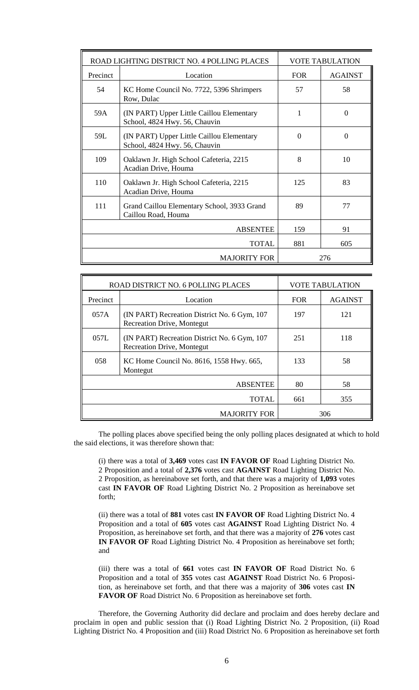| ROAD LIGHTING DISTRICT NO. 4 POLLING PLACES                                           |                                                                            |            | <b>VOTE TABULATION</b> |
|---------------------------------------------------------------------------------------|----------------------------------------------------------------------------|------------|------------------------|
| Precinct                                                                              | Location                                                                   | <b>FOR</b> | <b>AGAINST</b>         |
| 54                                                                                    | KC Home Council No. 7722, 5396 Shrimpers<br>Row, Dulac                     | 57         | 58                     |
| 59A                                                                                   | (IN PART) Upper Little Caillou Elementary<br>School, 4824 Hwy. 56, Chauvin | 1          | $\Omega$               |
| 59L                                                                                   | (IN PART) Upper Little Caillou Elementary<br>School, 4824 Hwy. 56, Chauvin | $\Omega$   | $\Omega$               |
| 109                                                                                   | Oaklawn Jr. High School Cafeteria, 2215<br>Acadian Drive, Houma            | 8          | 10                     |
| 110                                                                                   | Oaklawn Jr. High School Cafeteria, 2215<br>Acadian Drive, Houma            | 125        | 83                     |
| 111<br>89<br>Grand Caillou Elementary School, 3933 Grand<br>77<br>Caillou Road, Houma |                                                                            |            |                        |
| <b>ABSENTEE</b>                                                                       |                                                                            | 159        | 91                     |
|                                                                                       | <b>TOTAL</b>                                                               |            | 605                    |
|                                                                                       | <b>MAJORITY FOR</b>                                                        |            | 276                    |

| ROAD DISTRICT NO. 6 POLLING PLACES |                                                                                   |      | <b>VOTE TABULATION</b> |
|------------------------------------|-----------------------------------------------------------------------------------|------|------------------------|
| Precinct                           | Location                                                                          | FOR. | <b>AGAINST</b>         |
| 057A                               | (IN PART) Recreation District No. 6 Gym, 107<br><b>Recreation Drive, Montegut</b> | 197  | 121                    |
| 057L                               | (IN PART) Recreation District No. 6 Gym, 107<br><b>Recreation Drive, Montegut</b> | 251  | 118                    |
| 058                                | KC Home Council No. 8616, 1558 Hwy. 665,<br>Montegut                              | 133  | 58                     |
| <b>ABSENTEE</b><br>80<br>58        |                                                                                   |      |                        |
| <b>TOTAL</b><br>355<br>661         |                                                                                   |      |                        |
| 306<br><b>MAJORITY FOR</b>         |                                                                                   |      |                        |

The polling places above specified being the only polling places designated at which to hold the said elections, it was therefore shown that:

(i) there was a total of **3,469** votes cast **IN FAVOR OF** Road Lighting District No. 2 Proposition and a total of **2,376** votes cast **AGAINST** Road Lighting District No. 2 Proposition, as hereinabove set forth, and that there was a majority of **1,093** votes cast **IN FAVOR OF** Road Lighting District No. 2 Proposition as hereinabove set forth;

(ii) there was a total of **881** votes cast **IN FAVOR OF** Road Lighting District No. 4 Proposition and a total of **605** votes cast **AGAINST** Road Lighting District No. 4 Proposition, as hereinabove set forth, and that there was a majority of **276** votes cast **IN FAVOR OF** Road Lighting District No. 4 Proposition as hereinabove set forth; and

(iii) there was a total of **661** votes cast **IN FAVOR OF** Road District No. 6 Proposition and a total of **355** votes cast **AGAINST** Road District No. 6 Proposition, as hereinabove set forth, and that there was a majority of **306** votes cast **IN FAVOR OF** Road District No. 6 Proposition as hereinabove set forth.

Therefore, the Governing Authority did declare and proclaim and does hereby declare and proclaim in open and public session that (i) Road Lighting District No. 2 Proposition, (ii) Road Lighting District No. 4 Proposition and (iii) Road District No. 6 Proposition as hereinabove set forth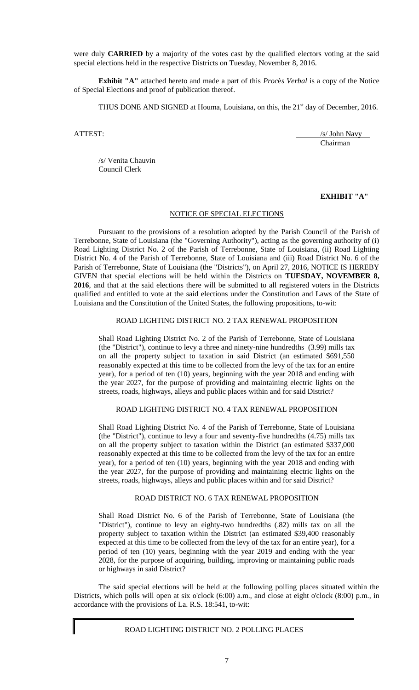were duly **CARRIED** by a majority of the votes cast by the qualified electors voting at the said special elections held in the respective Districts on Tuesday, November 8, 2016.

**Exhibit "A"** attached hereto and made a part of this *Proc*è*s Verbal* is a copy of the Notice of Special Elections and proof of publication thereof.

THUS DONE AND SIGNED at Houma, Louisiana, on this, the 21<sup>st</sup> day of December, 2016.

ATTEST: /s/ John Navy Chairman

/s/ Venita Chauvin Council Clerk

### **EXHIBIT "A"**

## NOTICE OF SPECIAL ELECTIONS

Pursuant to the provisions of a resolution adopted by the Parish Council of the Parish of Terrebonne, State of Louisiana (the "Governing Authority"), acting as the governing authority of (i) Road Lighting District No. 2 of the Parish of Terrebonne, State of Louisiana, (ii) Road Lighting District No. 4 of the Parish of Terrebonne, State of Louisiana and (iii) Road District No. 6 of the Parish of Terrebonne, State of Louisiana (the "Districts"), on April 27, 2016, NOTICE IS HEREBY GIVEN that special elections will be held within the Districts on **TUESDAY, NOVEMBER 8, 2016**, and that at the said elections there will be submitted to all registered voters in the Districts qualified and entitled to vote at the said elections under the Constitution and Laws of the State of Louisiana and the Constitution of the United States, the following propositions, to-wit:

## ROAD LIGHTING DISTRICT NO. 2 TAX RENEWAL PROPOSITION

Shall Road Lighting District No. 2 of the Parish of Terrebonne, State of Louisiana (the "District"), continue to levy a three and ninety-nine hundredths (3.99) mills tax on all the property subject to taxation in said District (an estimated \$691,550 reasonably expected at this time to be collected from the levy of the tax for an entire year), for a period of ten (10) years, beginning with the year 2018 and ending with the year 2027, for the purpose of providing and maintaining electric lights on the streets, roads, highways, alleys and public places within and for said District?

#### ROAD LIGHTING DISTRICT NO. 4 TAX RENEWAL PROPOSITION

Shall Road Lighting District No. 4 of the Parish of Terrebonne, State of Louisiana (the "District"), continue to levy a four and seventy-five hundredths (4.75) mills tax on all the property subject to taxation within the District (an estimated \$337,000 reasonably expected at this time to be collected from the levy of the tax for an entire year), for a period of ten (10) years, beginning with the year 2018 and ending with the year 2027, for the purpose of providing and maintaining electric lights on the streets, roads, highways, alleys and public places within and for said District?

#### ROAD DISTRICT NO. 6 TAX RENEWAL PROPOSITION

Shall Road District No. 6 of the Parish of Terrebonne, State of Louisiana (the "District"), continue to levy an eighty-two hundredths (.82) mills tax on all the property subject to taxation within the District (an estimated \$39,400 reasonably expected at this time to be collected from the levy of the tax for an entire year), for a period of ten (10) years, beginning with the year 2019 and ending with the year 2028, for the purpose of acquiring, building, improving or maintaining public roads or highways in said District?

The said special elections will be held at the following polling places situated within the Districts, which polls will open at six o'clock (6:00) a.m., and close at eight o'clock (8:00) p.m., in accordance with the provisions of La. R.S. 18:541, to-wit:

# ROAD LIGHTING DISTRICT NO. 2 POLLING PLACES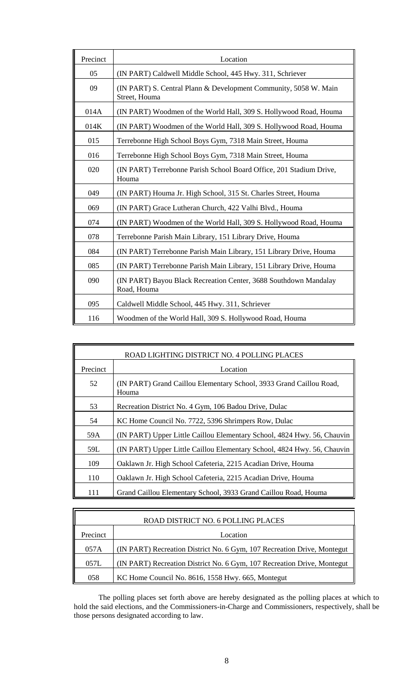| Precinct | Location                                                                          |
|----------|-----------------------------------------------------------------------------------|
| 05       | (IN PART) Caldwell Middle School, 445 Hwy. 311, Schriever                         |
| 09       | (IN PART) S. Central Plann & Development Community, 5058 W. Main<br>Street, Houma |
| 014A     | (IN PART) Woodmen of the World Hall, 309 S. Hollywood Road, Houma                 |
| 014K     | (IN PART) Woodmen of the World Hall, 309 S. Hollywood Road, Houma                 |
| 015      | Terrebonne High School Boys Gym, 7318 Main Street, Houma                          |
| 016      | Terrebonne High School Boys Gym, 7318 Main Street, Houma                          |
| 020      | (IN PART) Terrebonne Parish School Board Office, 201 Stadium Drive,<br>Houma      |
| 049      | (IN PART) Houma Jr. High School, 315 St. Charles Street, Houma                    |
| 069      | (IN PART) Grace Lutheran Church, 422 Valhi Blvd., Houma                           |
| 074      | (IN PART) Woodmen of the World Hall, 309 S. Hollywood Road, Houma                 |
| 078      | Terrebonne Parish Main Library, 151 Library Drive, Houma                          |
| 084      | (IN PART) Terrebonne Parish Main Library, 151 Library Drive, Houma                |
| 085      | (IN PART) Terrebonne Parish Main Library, 151 Library Drive, Houma                |
| 090      | (IN PART) Bayou Black Recreation Center, 3688 Southdown Mandalay<br>Road, Houma   |
| 095      | Caldwell Middle School, 445 Hwy. 311, Schriever                                   |
| 116      | Woodmen of the World Hall, 309 S. Hollywood Road, Houma                           |

| ROAD LIGHTING DISTRICT NO. 4 POLLING PLACES |                                                                              |  |
|---------------------------------------------|------------------------------------------------------------------------------|--|
| Precinct                                    | Location                                                                     |  |
| 52                                          | (IN PART) Grand Caillou Elementary School, 3933 Grand Caillou Road,<br>Houma |  |
| 53                                          | Recreation District No. 4 Gym, 106 Badou Drive, Dulac                        |  |
| 54                                          | KC Home Council No. 7722, 5396 Shrimpers Row, Dulac                          |  |
| 59A                                         | (IN PART) Upper Little Caillou Elementary School, 4824 Hwy. 56, Chauvin      |  |
| 59L                                         | (IN PART) Upper Little Caillou Elementary School, 4824 Hwy. 56, Chauvin      |  |
| 109                                         | Oaklawn Jr. High School Cafeteria, 2215 Acadian Drive, Houma                 |  |
| 110                                         | Oaklawn Jr. High School Cafeteria, 2215 Acadian Drive, Houma                 |  |
| 111                                         | Grand Caillou Elementary School, 3933 Grand Caillou Road, Houma              |  |

| ROAD DISTRICT NO. 6 POLLING PLACES |                                                                         |  |
|------------------------------------|-------------------------------------------------------------------------|--|
| Precinct                           | Location                                                                |  |
| 057A                               | (IN PART) Recreation District No. 6 Gym, 107 Recreation Drive, Montegut |  |
| 057L                               | (IN PART) Recreation District No. 6 Gym, 107 Recreation Drive, Montegut |  |
| 058                                | KC Home Council No. 8616, 1558 Hwy. 665, Montegut                       |  |

The polling places set forth above are hereby designated as the polling places at which to hold the said elections, and the Commissioners-in-Charge and Commissioners, respectively, shall be those persons designated according to law.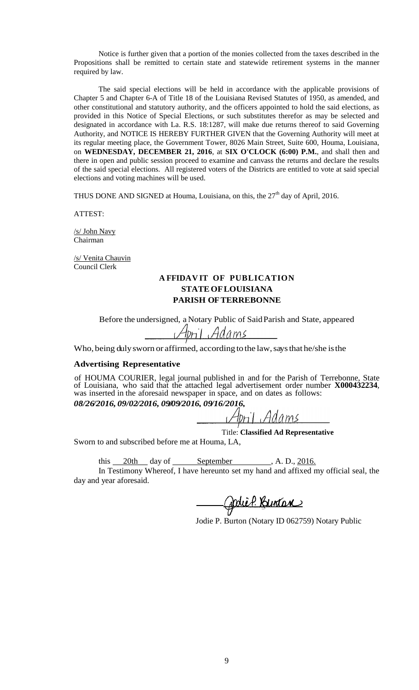Notice is further given that a portion of the monies collected from the taxes described in the Propositions shall be remitted to certain state and statewide retirement systems in the manner required by law.

The said special elections will be held in accordance with the applicable provisions of Chapter 5 and Chapter 6-A of Title 18 of the Louisiana Revised Statutes of 1950, as amended, and other constitutional and statutory authority, and the officers appointed to hold the said elections, as provided in this Notice of Special Elections, or such substitutes therefor as may be selected and designated in accordance with La. R.S. 18:1287, will make due returns thereof to said Governing Authority, and NOTICE IS HEREBY FURTHER GIVEN that the Governing Authority will meet at its regular meeting place, the Government Tower, 8026 Main Street, Suite 600, Houma, Louisiana, on **WEDNESDAY, DECEMBER 21, 2016**, at **SIX O'CLOCK (6:00) P.M.**, and shall then and there in open and public session proceed to examine and canvass the returns and declare the results of the said special elections. All registered voters of the Districts are entitled to vote at said special elections and voting machines will be used.

THUS DONE AND SIGNED at Houma, Louisiana, on this, the  $27<sup>th</sup>$  day of April, 2016.

ATTEST:

/s/ John Navy Chairman

/s/ Venita Chauvin Council Clerk

# **A FFIDAV IT OF PUBLICATION STATE OFLOUISIANA PARISH OFTERREBONNE**

Before the undersigned, a Notary Public of SaidParish and State, appeared

April Adams

Who, being duly sworn or affirmed, according to the law, says that he/she is the

### **Advertising Representative**

of HOUMA COURIER, legal journal published in and for the Parish of Terrebonne, State of Louisiana, who said that the attached legal advertisement order number **X000432234**, was inserted in the aforesaid newspaper in space, and on dates as follows: *08/26/2016, 09/02/2016, 09/09/2016, 09/16/2016,*

April Adams

Title: **Classified Ad Representative**

Sworn to and subscribed before me at Houma, LA,

this  $20th$  day of September , A. D.,  $2016$ .

In Testimony Whereof, I have hereunto set my hand and affixed my official seal, the day and year aforesaid.

Codier Buntan

Jodie P. Burton (Notary ID 062759) Notary Public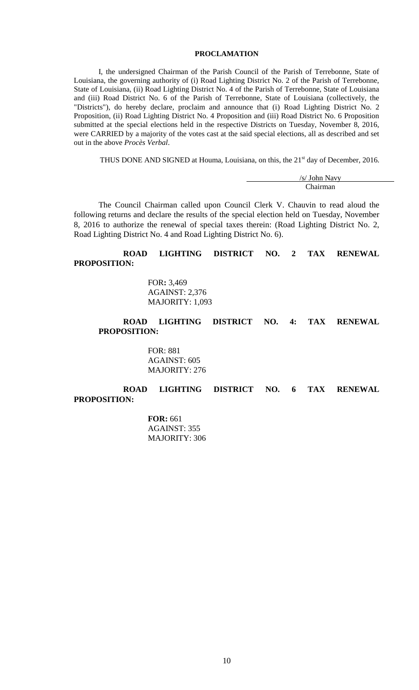# **PROCLAMATION**

I, the undersigned Chairman of the Parish Council of the Parish of Terrebonne, State of Louisiana, the governing authority of (i) Road Lighting District No. 2 of the Parish of Terrebonne, State of Louisiana, (ii) Road Lighting District No. 4 of the Parish of Terrebonne, State of Louisiana and (iii) Road District No. 6 of the Parish of Terrebonne, State of Louisiana (collectively, the "Districts"), do hereby declare, proclaim and announce that (i) Road Lighting District No. 2 Proposition, (ii) Road Lighting District No. 4 Proposition and (iii) Road District No. 6 Proposition submitted at the special elections held in the respective Districts on Tuesday, November 8, 2016, were CARRIED by a majority of the votes cast at the said special elections, all as described and set out in the above *Procès Verbal*.

THUS DONE AND SIGNED at Houma, Louisiana, on this, the 21<sup>st</sup> day of December, 2016.

/s/ John Navy Chairman

The Council Chairman called upon Council Clerk V. Chauvin to read aloud the following returns and declare the results of the special election held on Tuesday, November 8, 2016 to authorize the renewal of special taxes therein: (Road Lighting District No. 2, Road Lighting District No. 4 and Road Lighting District No. 6).

# **ROAD LIGHTING DISTRICT NO. 2 TAX RENEWAL PROPOSITION:**

FOR**:** 3,469 AGAINST: 2,376 MAJORITY: 1,093

## **ROAD LIGHTING DISTRICT NO. 4: TAX RENEWAL PROPOSITION:**

FOR: 881 AGAINST: 605 MAJORITY: 276

# **ROAD LIGHTING DISTRICT NO. 6 TAX RENEWAL PROPOSITION:**

**FOR:** 661 AGAINST: 355 MAJORITY: 306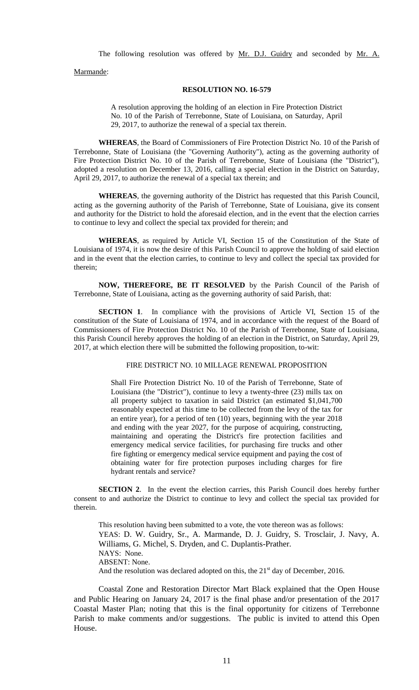The following resolution was offered by Mr. D.J. Guidry and seconded by Mr. A.

Marmande:

#### **RESOLUTION NO. 16-579**

A resolution approving the holding of an election in Fire Protection District No. 10 of the Parish of Terrebonne, State of Louisiana, on Saturday, April 29, 2017, to authorize the renewal of a special tax therein.

**WHEREAS**, the Board of Commissioners of Fire Protection District No. 10 of the Parish of Terrebonne, State of Louisiana (the "Governing Authority"), acting as the governing authority of Fire Protection District No. 10 of the Parish of Terrebonne, State of Louisiana (the "District"), adopted a resolution on December 13, 2016, calling a special election in the District on Saturday, April 29, 2017, to authorize the renewal of a special tax therein; and

**WHEREAS**, the governing authority of the District has requested that this Parish Council, acting as the governing authority of the Parish of Terrebonne, State of Louisiana, give its consent and authority for the District to hold the aforesaid election, and in the event that the election carries to continue to levy and collect the special tax provided for therein; and

**WHEREAS**, as required by Article VI, Section 15 of the Constitution of the State of Louisiana of 1974, it is now the desire of this Parish Council to approve the holding of said election and in the event that the election carries, to continue to levy and collect the special tax provided for therein;

**NOW, THEREFORE, BE IT RESOLVED** by the Parish Council of the Parish of Terrebonne, State of Louisiana, acting as the governing authority of said Parish, that:

**SECTION 1**. In compliance with the provisions of Article VI, Section 15 of the constitution of the State of Louisiana of 1974, and in accordance with the request of the Board of Commissioners of Fire Protection District No. 10 of the Parish of Terrebonne, State of Louisiana, this Parish Council hereby approves the holding of an election in the District, on Saturday, April 29, 2017, at which election there will be submitted the following proposition, to-wit:

#### FIRE DISTRICT NO. 10 MILLAGE RENEWAL PROPOSITION

Shall Fire Protection District No. 10 of the Parish of Terrebonne, State of Louisiana (the "District"), continue to levy a twenty-three (23) mills tax on all property subject to taxation in said District (an estimated \$1,041,700 reasonably expected at this time to be collected from the levy of the tax for an entire year), for a period of ten (10) years, beginning with the year 2018 and ending with the year 2027, for the purpose of acquiring, constructing, maintaining and operating the District's fire protection facilities and emergency medical service facilities, for purchasing fire trucks and other fire fighting or emergency medical service equipment and paying the cost of obtaining water for fire protection purposes including charges for fire hydrant rentals and service?

**SECTION 2**. In the event the election carries, this Parish Council does hereby further consent to and authorize the District to continue to levy and collect the special tax provided for therein.

This resolution having been submitted to a vote, the vote thereon was as follows: YEAS: D. W. Guidry, Sr., A. Marmande, D. J. Guidry, S. Trosclair, J. Navy, A. Williams, G. Michel, S. Dryden, and C. Duplantis-Prather. NAYS: None. ABSENT: None. And the resolution was declared adopted on this, the  $21<sup>st</sup>$  day of December, 2016.

Coastal Zone and Restoration Director Mart Black explained that the Open House and Public Hearing on January 24, 2017 is the final phase and/or presentation of the 2017 Coastal Master Plan; noting that this is the final opportunity for citizens of Terrebonne Parish to make comments and/or suggestions. The public is invited to attend this Open House.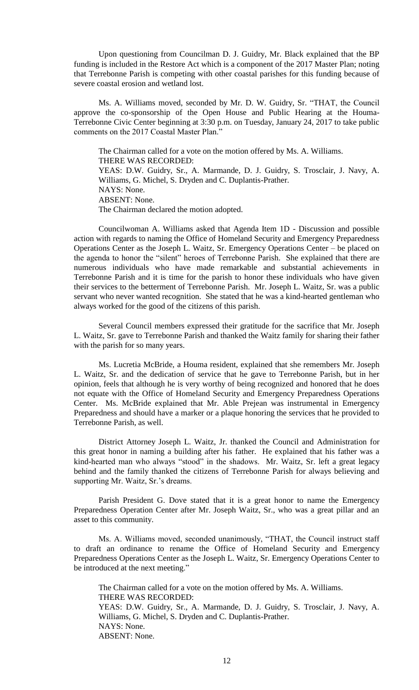Upon questioning from Councilman D. J. Guidry, Mr. Black explained that the BP funding is included in the Restore Act which is a component of the 2017 Master Plan; noting that Terrebonne Parish is competing with other coastal parishes for this funding because of severe coastal erosion and wetland lost.

Ms. A. Williams moved, seconded by Mr. D. W. Guidry, Sr. "THAT, the Council approve the co-sponsorship of the Open House and Public Hearing at the Houma-Terrebonne Civic Center beginning at 3:30 p.m. on Tuesday, January 24, 2017 to take public comments on the 2017 Coastal Master Plan."

The Chairman called for a vote on the motion offered by Ms. A. Williams. THERE WAS RECORDED: YEAS: D.W. Guidry, Sr., A. Marmande, D. J. Guidry, S. Trosclair, J. Navy, A. Williams, G. Michel, S. Dryden and C. Duplantis-Prather. NAYS: None. ABSENT: None. The Chairman declared the motion adopted.

Councilwoman A. Williams asked that Agenda Item 1D - Discussion and possible action with regards to naming the Office of Homeland Security and Emergency Preparedness Operations Center as the Joseph L. Waitz, Sr. Emergency Operations Center – be placed on the agenda to honor the "silent" heroes of Terrebonne Parish. She explained that there are numerous individuals who have made remarkable and substantial achievements in Terrebonne Parish and it is time for the parish to honor these individuals who have given their services to the betterment of Terrebonne Parish. Mr. Joseph L. Waitz, Sr. was a public servant who never wanted recognition. She stated that he was a kind-hearted gentleman who always worked for the good of the citizens of this parish.

Several Council members expressed their gratitude for the sacrifice that Mr. Joseph L. Waitz, Sr. gave to Terrebonne Parish and thanked the Waitz family for sharing their father with the parish for so many years.

Ms. Lucretia McBride, a Houma resident, explained that she remembers Mr. Joseph L. Waitz, Sr. and the dedication of service that he gave to Terrebonne Parish, but in her opinion, feels that although he is very worthy of being recognized and honored that he does not equate with the Office of Homeland Security and Emergency Preparedness Operations Center. Ms. McBride explained that Mr. Able Prejean was instrumental in Emergency Preparedness and should have a marker or a plaque honoring the services that he provided to Terrebonne Parish, as well.

District Attorney Joseph L. Waitz, Jr. thanked the Council and Administration for this great honor in naming a building after his father. He explained that his father was a kind-hearted man who always "stood" in the shadows. Mr. Waitz, Sr. left a great legacy behind and the family thanked the citizens of Terrebonne Parish for always believing and supporting Mr. Waitz, Sr.'s dreams.

Parish President G. Dove stated that it is a great honor to name the Emergency Preparedness Operation Center after Mr. Joseph Waitz, Sr., who was a great pillar and an asset to this community.

Ms. A. Williams moved, seconded unanimously, "THAT, the Council instruct staff to draft an ordinance to rename the Office of Homeland Security and Emergency Preparedness Operations Center as the Joseph L. Waitz, Sr. Emergency Operations Center to be introduced at the next meeting."

The Chairman called for a vote on the motion offered by Ms. A. Williams. THERE WAS RECORDED: YEAS: D.W. Guidry, Sr., A. Marmande, D. J. Guidry, S. Trosclair, J. Navy, A. Williams, G. Michel, S. Dryden and C. Duplantis-Prather. NAYS: None. ABSENT: None.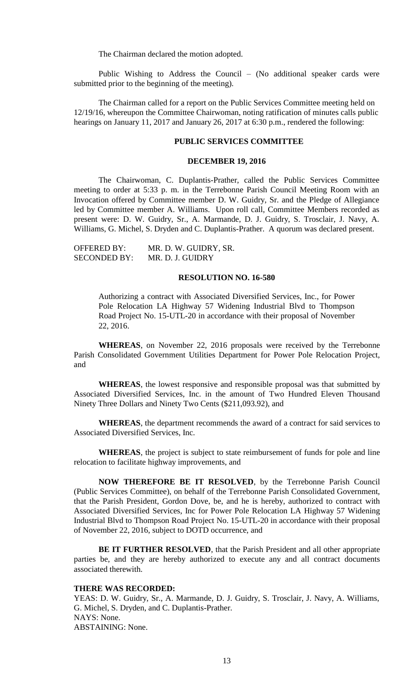The Chairman declared the motion adopted.

Public Wishing to Address the Council – (No additional speaker cards were submitted prior to the beginning of the meeting).

The Chairman called for a report on the Public Services Committee meeting held on 12/19/16, whereupon the Committee Chairwoman, noting ratification of minutes calls public hearings on January 11, 2017 and January 26, 2017 at 6:30 p.m., rendered the following:

# **PUBLIC SERVICES COMMITTEE**

#### **DECEMBER 19, 2016**

The Chairwoman, C. Duplantis-Prather, called the Public Services Committee meeting to order at 5:33 p. m. in the Terrebonne Parish Council Meeting Room with an Invocation offered by Committee member D. W. Guidry, Sr. and the Pledge of Allegiance led by Committee member A. Williams. Upon roll call, Committee Members recorded as present were: D. W. Guidry, Sr., A. Marmande, D. J. Guidry, S. Trosclair, J. Navy, A. Williams, G. Michel, S. Dryden and C. Duplantis-Prather. A quorum was declared present.

OFFERED BY: MR. D. W. GUIDRY, SR. SECONDED BY: MR. D. J. GUIDRY

### **RESOLUTION NO. 16-580**

Authorizing a contract with Associated Diversified Services, Inc., for Power Pole Relocation LA Highway 57 Widening Industrial Blvd to Thompson Road Project No. 15-UTL-20 in accordance with their proposal of November 22, 2016.

**WHEREAS**, on November 22, 2016 proposals were received by the Terrebonne Parish Consolidated Government Utilities Department for Power Pole Relocation Project, and

**WHEREAS**, the lowest responsive and responsible proposal was that submitted by Associated Diversified Services, Inc. in the amount of Two Hundred Eleven Thousand Ninety Three Dollars and Ninety Two Cents (\$211,093.92), and

**WHEREAS**, the department recommends the award of a contract for said services to Associated Diversified Services, Inc.

**WHEREAS**, the project is subject to state reimbursement of funds for pole and line relocation to facilitate highway improvements, and

**NOW THEREFORE BE IT RESOLVED**, by the Terrebonne Parish Council (Public Services Committee), on behalf of the Terrebonne Parish Consolidated Government, that the Parish President, Gordon Dove, be, and he is hereby, authorized to contract with Associated Diversified Services, Inc for Power Pole Relocation LA Highway 57 Widening Industrial Blvd to Thompson Road Project No. 15-UTL-20 in accordance with their proposal of November 22, 2016, subject to DOTD occurrence, and

**BE IT FURTHER RESOLVED**, that the Parish President and all other appropriate parties be, and they are hereby authorized to execute any and all contract documents associated therewith.

#### **THERE WAS RECORDED:**

YEAS: D. W. Guidry, Sr., A. Marmande, D. J. Guidry, S. Trosclair, J. Navy, A. Williams, G. Michel, S. Dryden, and C. Duplantis-Prather. NAYS: None. ABSTAINING: None.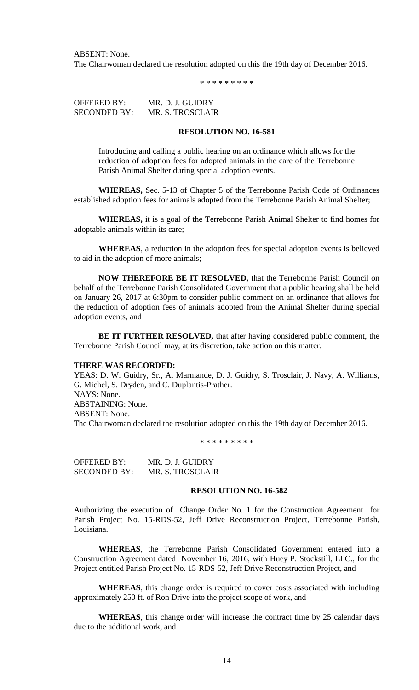ABSENT: None. The Chairwoman declared the resolution adopted on this the 19th day of December 2016.

\* \* \* \* \* \* \* \* \*

OFFERED BY: MR. D. J. GUIDRY SECONDED BY: MR. S. TROSCLAIR

# **RESOLUTION NO. 16-581**

Introducing and calling a public hearing on an ordinance which allows for the reduction of adoption fees for adopted animals in the care of the Terrebonne Parish Animal Shelter during special adoption events.

**WHEREAS,** Sec. 5-13 of Chapter 5 of the Terrebonne Parish Code of Ordinances established adoption fees for animals adopted from the Terrebonne Parish Animal Shelter;

**WHEREAS,** it is a goal of the Terrebonne Parish Animal Shelter to find homes for adoptable animals within its care;

**WHEREAS**, a reduction in the adoption fees for special adoption events is believed to aid in the adoption of more animals;

**NOW THEREFORE BE IT RESOLVED,** that the Terrebonne Parish Council on behalf of the Terrebonne Parish Consolidated Government that a public hearing shall be held on January 26, 2017 at 6:30pm to consider public comment on an ordinance that allows for the reduction of adoption fees of animals adopted from the Animal Shelter during special adoption events, and

**BE IT FURTHER RESOLVED,** that after having considered public comment, the Terrebonne Parish Council may, at its discretion, take action on this matter.

### **THERE WAS RECORDED:**

YEAS: D. W. Guidry, Sr., A. Marmande, D. J. Guidry, S. Trosclair, J. Navy, A. Williams, G. Michel, S. Dryden, and C. Duplantis-Prather. NAYS: None. ABSTAINING: None. ABSENT: None. The Chairwoman declared the resolution adopted on this the 19th day of December 2016.

\* \* \* \* \* \* \* \* \*

OFFERED BY: MR. D. J. GUIDRY SECONDED BY: MR. S. TROSCLAIR

#### **RESOLUTION NO. 16-582**

Authorizing the execution of Change Order No. 1 for the Construction Agreement for Parish Project No. 15-RDS-52, Jeff Drive Reconstruction Project, Terrebonne Parish, Louisiana.

**WHEREAS**, the Terrebonne Parish Consolidated Government entered into a Construction Agreement dated November 16, 2016, with Huey P. Stockstill, LLC., for the Project entitled Parish Project No. 15-RDS-52, Jeff Drive Reconstruction Project, and

**WHEREAS**, this change order is required to cover costs associated with including approximately 250 ft. of Ron Drive into the project scope of work, and

**WHEREAS**, this change order will increase the contract time by 25 calendar days due to the additional work, and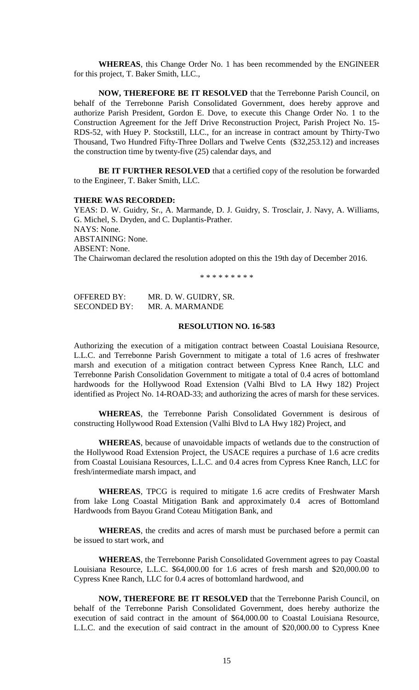**WHEREAS**, this Change Order No. 1 has been recommended by the ENGINEER for this project, T. Baker Smith, LLC.,

**NOW, THEREFORE BE IT RESOLVED** that the Terrebonne Parish Council, on behalf of the Terrebonne Parish Consolidated Government, does hereby approve and authorize Parish President, Gordon E. Dove, to execute this Change Order No. 1 to the Construction Agreement for the Jeff Drive Reconstruction Project, Parish Project No. 15- RDS-52, with Huey P. Stockstill, LLC., for an increase in contract amount by Thirty-Two Thousand, Two Hundred Fifty-Three Dollars and Twelve Cents (\$32,253.12) and increases the construction time by twenty-five (25) calendar days, and

**BE IT FURTHER RESOLVED** that a certified copy of the resolution be forwarded to the Engineer, T. Baker Smith, LLC.

#### **THERE WAS RECORDED:**

YEAS: D. W. Guidry, Sr., A. Marmande, D. J. Guidry, S. Trosclair, J. Navy, A. Williams, G. Michel, S. Dryden, and C. Duplantis-Prather. NAYS: None. ABSTAINING: None. ABSENT: None. The Chairwoman declared the resolution adopted on this the 19th day of December 2016.

\* \* \* \* \* \* \* \* \*

OFFERED BY: MR. D. W. GUIDRY, SR. SECONDED BY: MR. A. MARMANDE

#### **RESOLUTION NO. 16-583**

Authorizing the execution of a mitigation contract between Coastal Louisiana Resource, L.L.C. and Terrebonne Parish Government to mitigate a total of 1.6 acres of freshwater marsh and execution of a mitigation contract between Cypress Knee Ranch, LLC and Terrebonne Parish Consolidation Government to mitigate a total of 0.4 acres of bottomland hardwoods for the Hollywood Road Extension (Valhi Blvd to LA Hwy 182) Project identified as Project No. 14-ROAD-33; and authorizing the acres of marsh for these services.

**WHEREAS**, the Terrebonne Parish Consolidated Government is desirous of constructing Hollywood Road Extension (Valhi Blvd to LA Hwy 182) Project, and

**WHEREAS**, because of unavoidable impacts of wetlands due to the construction of the Hollywood Road Extension Project, the USACE requires a purchase of 1.6 acre credits from Coastal Louisiana Resources, L.L.C. and 0.4 acres from Cypress Knee Ranch, LLC for fresh/intermediate marsh impact, and

**WHEREAS**, TPCG is required to mitigate 1.6 acre credits of Freshwater Marsh from lake Long Coastal Mitigation Bank and approximately 0.4 acres of Bottomland Hardwoods from Bayou Grand Coteau Mitigation Bank, and

**WHEREAS**, the credits and acres of marsh must be purchased before a permit can be issued to start work, and

**WHEREAS**, the Terrebonne Parish Consolidated Government agrees to pay Coastal Louisiana Resource, L.L.C. \$64,000.00 for 1.6 acres of fresh marsh and \$20,000.00 to Cypress Knee Ranch, LLC for 0.4 acres of bottomland hardwood, and

**NOW, THEREFORE BE IT RESOLVED** that the Terrebonne Parish Council, on behalf of the Terrebonne Parish Consolidated Government, does hereby authorize the execution of said contract in the amount of \$64,000.00 to Coastal Louisiana Resource, L.L.C. and the execution of said contract in the amount of \$20,000.00 to Cypress Knee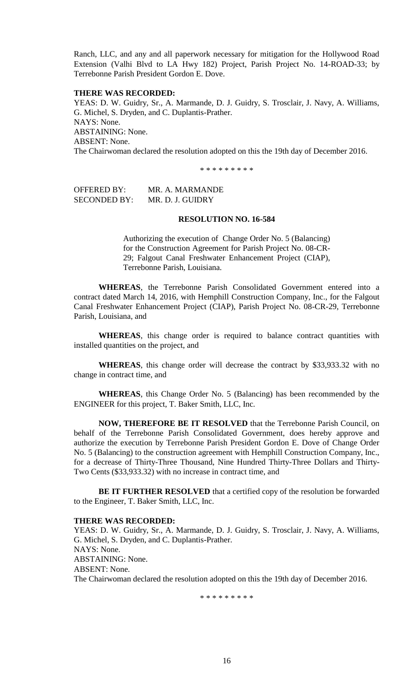Ranch, LLC, and any and all paperwork necessary for mitigation for the Hollywood Road Extension (Valhi Blvd to LA Hwy 182) Project, Parish Project No. 14-ROAD-33; by Terrebonne Parish President Gordon E. Dove.

### **THERE WAS RECORDED:**

YEAS: D. W. Guidry, Sr., A. Marmande, D. J. Guidry, S. Trosclair, J. Navy, A. Williams, G. Michel, S. Dryden, and C. Duplantis-Prather. NAYS: None. ABSTAINING: None. ABSENT: None. The Chairwoman declared the resolution adopted on this the 19th day of December 2016.

\* \* \* \* \* \* \* \*

OFFERED BY: MR. A. MARMANDE SECONDED BY: MR. D. J. GUIDRY

# **RESOLUTION NO. 16-584**

Authorizing the execution of Change Order No. 5 (Balancing) for the Construction Agreement for Parish Project No. 08-CR-29; Falgout Canal Freshwater Enhancement Project (CIAP), Terrebonne Parish, Louisiana.

**WHEREAS**, the Terrebonne Parish Consolidated Government entered into a contract dated March 14, 2016, with Hemphill Construction Company, Inc., for the Falgout Canal Freshwater Enhancement Project (CIAP), Parish Project No. 08-CR-29, Terrebonne Parish, Louisiana, and

**WHEREAS**, this change order is required to balance contract quantities with installed quantities on the project, and

**WHEREAS**, this change order will decrease the contract by \$33,933.32 with no change in contract time, and

**WHEREAS**, this Change Order No. 5 (Balancing) has been recommended by the ENGINEER for this project, T. Baker Smith, LLC, Inc.

**NOW, THEREFORE BE IT RESOLVED** that the Terrebonne Parish Council, on behalf of the Terrebonne Parish Consolidated Government, does hereby approve and authorize the execution by Terrebonne Parish President Gordon E. Dove of Change Order No. 5 (Balancing) to the construction agreement with Hemphill Construction Company, Inc., for a decrease of Thirty-Three Thousand, Nine Hundred Thirty-Three Dollars and Thirty-Two Cents (\$33,933.32) with no increase in contract time, and

**BE IT FURTHER RESOLVED** that a certified copy of the resolution be forwarded to the Engineer, T. Baker Smith, LLC, Inc.

#### **THERE WAS RECORDED:**

YEAS: D. W. Guidry, Sr., A. Marmande, D. J. Guidry, S. Trosclair, J. Navy, A. Williams, G. Michel, S. Dryden, and C. Duplantis-Prather. NAYS: None. ABSTAINING: None. ABSENT: None. The Chairwoman declared the resolution adopted on this the 19th day of December 2016.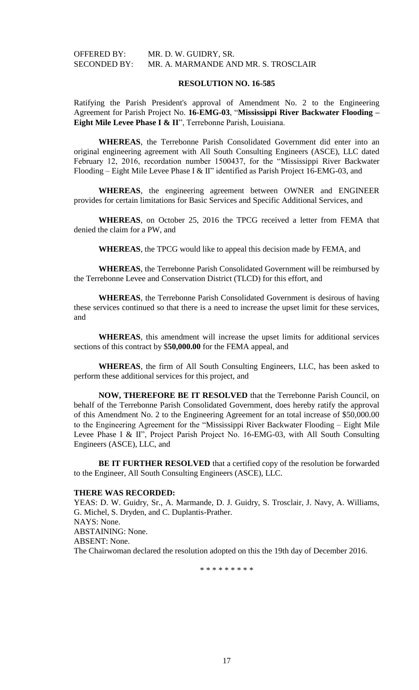## **RESOLUTION NO. 16-585**

Ratifying the Parish President's approval of Amendment No. 2 to the Engineering Agreement for Parish Project No. **16-EMG-03**, "**Mississippi River Backwater Flooding – Eight Mile Levee Phase I & II**", Terrebonne Parish, Louisiana.

**WHEREAS**, the Terrebonne Parish Consolidated Government did enter into an original engineering agreement with All South Consulting Engineers (ASCE), LLC dated February 12, 2016, recordation number 1500437, for the "Mississippi River Backwater Flooding – Eight Mile Levee Phase I & II" identified as Parish Project 16-EMG-03, and

**WHEREAS**, the engineering agreement between OWNER and ENGINEER provides for certain limitations for Basic Services and Specific Additional Services, and

**WHEREAS**, on October 25, 2016 the TPCG received a letter from FEMA that denied the claim for a PW, and

**WHEREAS**, the TPCG would like to appeal this decision made by FEMA, and

**WHEREAS**, the Terrebonne Parish Consolidated Government will be reimbursed by the Terrebonne Levee and Conservation District (TLCD) for this effort, and

**WHEREAS**, the Terrebonne Parish Consolidated Government is desirous of having these services continued so that there is a need to increase the upset limit for these services, and

**WHEREAS**, this amendment will increase the upset limits for additional services sections of this contract by \$**50,000.00** for the FEMA appeal, and

**WHEREAS**, the firm of All South Consulting Engineers, LLC, has been asked to perform these additional services for this project, and

**NOW, THEREFORE BE IT RESOLVED** that the Terrebonne Parish Council, on behalf of the Terrebonne Parish Consolidated Government, does hereby ratify the approval of this Amendment No. 2 to the Engineering Agreement for an total increase of \$50,000.00 to the Engineering Agreement for the "Mississippi River Backwater Flooding – Eight Mile Levee Phase I & II", Project Parish Project No. 16-EMG-03, with All South Consulting Engineers (ASCE), LLC, and

**BE IT FURTHER RESOLVED** that a certified copy of the resolution be forwarded to the Engineer, All South Consulting Engineers (ASCE), LLC.

### **THERE WAS RECORDED:**

YEAS: D. W. Guidry, Sr., A. Marmande, D. J. Guidry, S. Trosclair, J. Navy, A. Williams, G. Michel, S. Dryden, and C. Duplantis-Prather. NAYS: None. ABSTAINING: None. ABSENT: None. The Chairwoman declared the resolution adopted on this the 19th day of December 2016.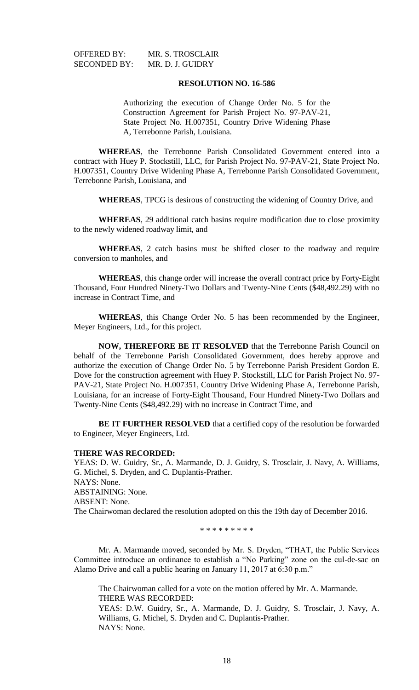OFFERED BY: MR. S. TROSCLAIR SECONDED BY: MR. D. J. GUIDRY

# **RESOLUTION NO. 16-586**

Authorizing the execution of Change Order No. 5 for the Construction Agreement for Parish Project No. 97-PAV-21, State Project No. H.007351, Country Drive Widening Phase A, Terrebonne Parish, Louisiana.

**WHEREAS**, the Terrebonne Parish Consolidated Government entered into a contract with Huey P. Stockstill, LLC, for Parish Project No. 97-PAV-21, State Project No. H.007351, Country Drive Widening Phase A, Terrebonne Parish Consolidated Government, Terrebonne Parish, Louisiana, and

**WHEREAS**, TPCG is desirous of constructing the widening of Country Drive, and

**WHEREAS**, 29 additional catch basins require modification due to close proximity to the newly widened roadway limit, and

**WHEREAS**, 2 catch basins must be shifted closer to the roadway and require conversion to manholes, and

**WHEREAS**, this change order will increase the overall contract price by Forty-Eight Thousand, Four Hundred Ninety-Two Dollars and Twenty-Nine Cents (\$48,492.29) with no increase in Contract Time, and

**WHEREAS**, this Change Order No. 5 has been recommended by the Engineer, Meyer Engineers, Ltd., for this project.

**NOW, THEREFORE BE IT RESOLVED** that the Terrebonne Parish Council on behalf of the Terrebonne Parish Consolidated Government, does hereby approve and authorize the execution of Change Order No. 5 by Terrebonne Parish President Gordon E. Dove for the construction agreement with Huey P. Stockstill, LLC for Parish Project No. 97- PAV-21, State Project No. H.007351, Country Drive Widening Phase A, Terrebonne Parish, Louisiana, for an increase of Forty-Eight Thousand, Four Hundred Ninety-Two Dollars and Twenty-Nine Cents (\$48,492.29) with no increase in Contract Time, and

**BE IT FURTHER RESOLVED** that a certified copy of the resolution be forwarded to Engineer, Meyer Engineers, Ltd.

#### **THERE WAS RECORDED:**

YEAS: D. W. Guidry, Sr., A. Marmande, D. J. Guidry, S. Trosclair, J. Navy, A. Williams, G. Michel, S. Dryden, and C. Duplantis-Prather. NAYS: None. ABSTAINING: None. ABSENT: None. The Chairwoman declared the resolution adopted on this the 19th day of December 2016.

\* \* \* \* \* \* \* \* \*

Mr. A. Marmande moved, seconded by Mr. S. Dryden, "THAT, the Public Services Committee introduce an ordinance to establish a "No Parking" zone on the cul-de-sac on Alamo Drive and call a public hearing on January 11, 2017 at 6:30 p.m."

The Chairwoman called for a vote on the motion offered by Mr. A. Marmande. THERE WAS RECORDED: YEAS: D.W. Guidry, Sr., A. Marmande, D. J. Guidry, S. Trosclair, J. Navy, A. Williams, G. Michel, S. Dryden and C. Duplantis-Prather.

NAYS: None.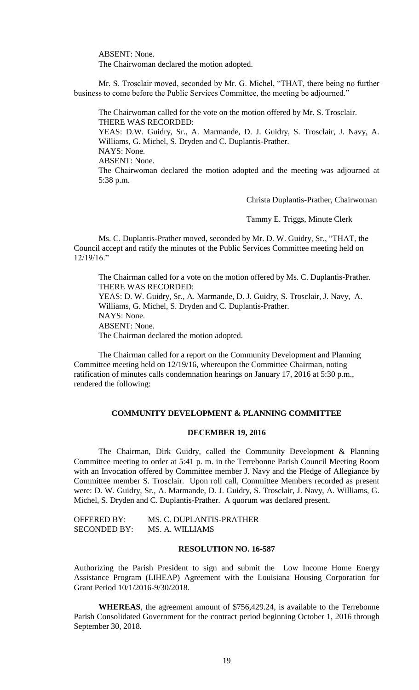ABSENT: None.

The Chairwoman declared the motion adopted.

Mr. S. Trosclair moved, seconded by Mr. G. Michel, "THAT, there being no further business to come before the Public Services Committee, the meeting be adjourned."

The Chairwoman called for the vote on the motion offered by Mr. S. Trosclair. THERE WAS RECORDED: YEAS: D.W. Guidry, Sr., A. Marmande, D. J. Guidry, S. Trosclair, J. Navy, A. Williams, G. Michel, S. Dryden and C. Duplantis-Prather. NAYS: None. ABSENT: None. The Chairwoman declared the motion adopted and the meeting was adjourned at 5:38 p.m.

Christa Duplantis-Prather, Chairwoman

Tammy E. Triggs, Minute Clerk

Ms. C. Duplantis-Prather moved, seconded by Mr. D. W. Guidry, Sr., "THAT, the Council accept and ratify the minutes of the Public Services Committee meeting held on 12/19/16."

The Chairman called for a vote on the motion offered by Ms. C. Duplantis-Prather. THERE WAS RECORDED:

YEAS: D. W. Guidry, Sr., A. Marmande, D. J. Guidry, S. Trosclair, J. Navy, A. Williams, G. Michel, S. Dryden and C. Duplantis-Prather. NAYS: None. ABSENT: None.

The Chairman declared the motion adopted.

The Chairman called for a report on the Community Development and Planning Committee meeting held on 12/19/16, whereupon the Committee Chairman, noting ratification of minutes calls condemnation hearings on January 17, 2016 at 5:30 p.m., rendered the following:

# **COMMUNITY DEVELOPMENT & PLANNING COMMITTEE**

# **DECEMBER 19, 2016**

The Chairman, Dirk Guidry, called the Community Development & Planning Committee meeting to order at 5:41 p. m. in the Terrebonne Parish Council Meeting Room with an Invocation offered by Committee member J. Navy and the Pledge of Allegiance by Committee member S. Trosclair. Upon roll call, Committee Members recorded as present were: D. W. Guidry, Sr., A. Marmande, D. J. Guidry, S. Trosclair, J. Navy, A. Williams, G. Michel, S. Dryden and C. Duplantis-Prather. A quorum was declared present.

| OFFERED BY:         | MS. C. DUPLANTIS-PRATHER |
|---------------------|--------------------------|
| <b>SECONDED BY:</b> | MS. A. WILLIAMS          |

# **RESOLUTION NO. 16-587**

Authorizing the Parish President to sign and submit the Low Income Home Energy Assistance Program (LIHEAP) Agreement with the Louisiana Housing Corporation for Grant Period 10/1/2016-9/30/2018.

**WHEREAS**, the agreement amount of \$756,429.24, is available to the Terrebonne Parish Consolidated Government for the contract period beginning October 1, 2016 through September 30, 2018.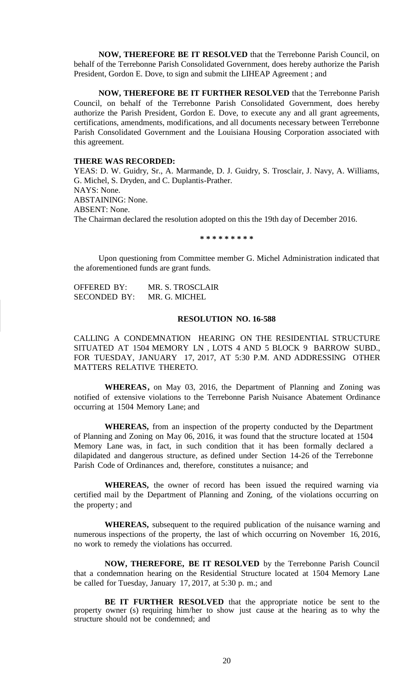**NOW, THEREFORE BE IT RESOLVED** that the Terrebonne Parish Council, on behalf of the Terrebonne Parish Consolidated Government, does hereby authorize the Parish President, Gordon E. Dove, to sign and submit the LIHEAP Agreement ; and

**NOW, THEREFORE BE IT FURTHER RESOLVED** that the Terrebonne Parish Council, on behalf of the Terrebonne Parish Consolidated Government, does hereby authorize the Parish President, Gordon E. Dove, to execute any and all grant agreements, certifications, amendments, modifications, and all documents necessary between Terrebonne Parish Consolidated Government and the Louisiana Housing Corporation associated with this agreement.

# **THERE WAS RECORDED:**

YEAS: D. W. Guidry, Sr., A. Marmande, D. J. Guidry, S. Trosclair, J. Navy, A. Williams, G. Michel, S. Dryden, and C. Duplantis-Prather. NAYS: None. ABSTAINING: None. ABSENT: None. The Chairman declared the resolution adopted on this the 19th day of December 2016.

**\* \* \* \* \* \* \* \* \***

Upon questioning from Committee member G. Michel Administration indicated that the aforementioned funds are grant funds.

OFFERED BY: MR. S. TROSCLAIR SECONDED BY: MR. G. MICHEL

## **RESOLUTION NO. 16-588**

CALLING A CONDEMNATION HEARING ON THE RESIDENTIAL STRUCTURE SITUATED AT 1504 MEMORY LN , LOTS 4 AND 5 BLOCK 9 BARROW SUBD., FOR TUESDAY, JANUARY 17, 2017, AT 5:30 P.M. AND ADDRESSING OTHER MATTERS RELATIVE THERETO.

**WHEREAS,** on May 03, 2016, the Department of Planning and Zoning was notified of extensive violations to the Terrebonne Parish Nuisance Abatement Ordinance occurring at 1504 Memory Lane; and

**WHEREAS,** from an inspection of the property conducted by the Department of Planning and Zoning on May 06, 2016, it was found that the structure located at 1504 Memory Lane was, in fact, in such condition that it has been formally declared a dilapidated and dangerous structure, as defined under Section 14-26 of the Terrebonne Parish Code of Ordinances and, therefore, constitutes a nuisance; and

**WHEREAS,** the owner of record has been issued the required warning via certified mail by the Department of Planning and Zoning, of the violations occurring on the property ; and

**WHEREAS,** subsequent to the required publication of the nuisance warning and numerous inspections of the property, the last of which occurring on November 16, 2016, no work to remedy the violations has occurred.

**NOW, THEREFORE, BE IT RESOLVED** by the Terrebonne Parish Council that a condemnation hearing on the Residential Structure located at 1504 Memory Lane be called for Tuesday, January 17, 2017, at 5:30 p. m.; and

**BE IT FURTHER RESOLVED** that the appropriate notice be sent to the property owner (s) requiring him/her to show just cause at the hearing as to why the structure should not be condemned; and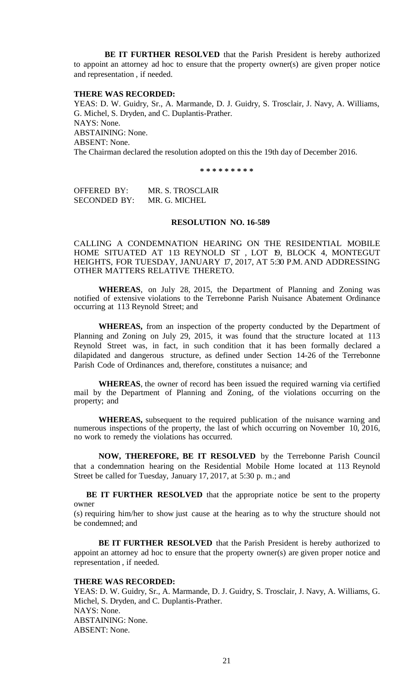**BE IT FURTHER RESOLVED** that the Parish President is hereby authorized to appoint an attorney ad hoc to ensure that the property owner(s) are given proper notice and representation , if needed.

#### **THERE WAS RECORDED:**

YEAS: D. W. Guidry, Sr., A. Marmande, D. J. Guidry, S. Trosclair, J. Navy, A. Williams, G. Michel, S. Dryden, and C. Duplantis-Prather. NAYS: None. ABSTAINING: None. ABSENT: None. The Chairman declared the resolution adopted on this the 19th day of December 2016.

**\* \* \* \* \* \* \* \* \***

OFFERED BY: MR. S. TROSCLAIR SECONDED BY: MR. G. MICHEL

## **RESOLUTION NO. 16-589**

CALLING A CONDEMNATION HEARING ON THE RESIDENTIAL MOBILE HOME SITUATED AT 113 REYNOLD ST , LOT 19, BLOCK 4, MONTEGUT HEIGHTS, FOR TUESDAY, JANUARY 17, 2017, AT 5:30 P.M. AND ADDRESSING OTHER MATTERS RELATIVE THERETO.

**WHEREAS**, on July 28, 2015, the Department of Planning and Zoning was notified of extensive violations to the Terrebonne Parish Nuisance Abatement Ordinance occurring at 113 Reynold Street; and

**WHEREAS,** from an inspection of the property conducted by the Department of Planning and Zoning on July 29, 2015, it was found that the structure located at 113 Reynold Street was, in fact, in such condition that it has been formally declared a dilapidated and dangerous structure, as defined under Section 14-26 of the Terrebonne Parish Code of Ordinances and, therefore, constitutes a nuisance; and

**WHEREAS**, the owner of record has been issued the required warning via certified mail by the Department of Planning and Zoning, of the violations occurring on the property; and

**WHEREAS,** subsequent to the required publication of the nuisance warning and numerous inspections of the property, the last of which occurring on November 10, 2016, no work to remedy the violations has occurred.

**NOW, THEREFORE, BE IT RESOLVED** by the Terrebonne Parish Council that a condemnation hearing on the Residential Mobile Home located at 113 Reynold Street be called for Tuesday, January 17, 2017, at 5:30 p. m.; and

**BE IT FURTHER RESOLVED** that the appropriate notice be sent to the property owner

(s) requiring him/her to show just cause at the hearing as to why the structure should not be condemned; and

**BE IT FURTHER RESOLVED** that the Parish President is hereby authorized to appoint an attorney ad hoc to ensure that the property owner(s) are given proper notice and representation , if needed.

# **THERE WAS RECORDED:**

YEAS: D. W. Guidry, Sr., A. Marmande, D. J. Guidry, S. Trosclair, J. Navy, A. Williams, G. Michel, S. Dryden, and C. Duplantis-Prather. NAYS: None. ABSTAINING: None. ABSENT: None.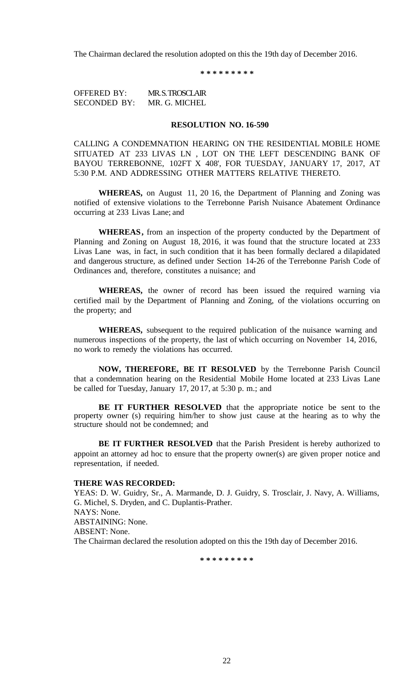The Chairman declared the resolution adopted on this the 19th day of December 2016.

**\* \* \* \* \* \* \* \* \***

OFFERED BY: MR. S. TROSCLAIR SECONDED BY: MR. G. MICHEL

## **RESOLUTION NO. 16-590**

CALLING A CONDEMNATION HEARING ON THE RESIDENTIAL MOBILE HOME SITUATED AT 233 LIVAS LN , LOT ON THE LEFT DESCENDING BANK OF BAYOU TERREBONNE, 102FT X 408', FOR TUESDAY, JANUARY 17, 2017, AT 5:30 P.M. AND ADDRESSING OTHER MATTERS RELATIVE THERETO.

**WHEREAS,** on August 11, 20 16, the Department of Planning and Zoning was notified of extensive violations to the Terrebonne Parish Nuisance Abatement Ordinance occurring at 233 Livas Lane; and

**WHEREAS,** from an inspection of the property conducted by the Department of Planning and Zoning on August 18, 2016, it was found that the structure located at 233 Livas Lane was, in fact, in such condition that it has been formally declared a dilapidated and dangerous structure, as defined under Section 14-26 of the Terrebonne Parish Code of Ordinances and, therefore, constitutes a nuisance; and

**WHEREAS,** the owner of record has been issued the required warning via certified mail by the Department of Planning and Zoning, of the violations occurring on the property; and

**WHEREAS,** subsequent to the required publication of the nuisance warning and numerous inspections of the property, the last of which occurring on November 14, 2016, no work to remedy the violations has occurred.

**NOW, THEREFORE, BE IT RESOLVED** by the Terrebonne Parish Council that a condemnation hearing on the Residential Mobile Home located at 233 Livas Lane be called for Tuesday, January 17, 20 17, at 5:30 p. m.; and

**BE IT FURTHER RESOLVED** that the appropriate notice be sent to the property owner (s) requiring him/her to show just cause at the hearing as to why the structure should not be condemned; and

**BE IT FURTHER RESOLVED** that the Parish President is hereby authorized to appoint an attorney ad hoc to ensure that the property owner(s) are given proper notice and representation, if needed.

#### **THERE WAS RECORDED:**

YEAS: D. W. Guidry, Sr., A. Marmande, D. J. Guidry, S. Trosclair, J. Navy, A. Williams, G. Michel, S. Dryden, and C. Duplantis-Prather. NAYS: None. ABSTAINING: None. ABSENT: None. The Chairman declared the resolution adopted on this the 19th day of December 2016.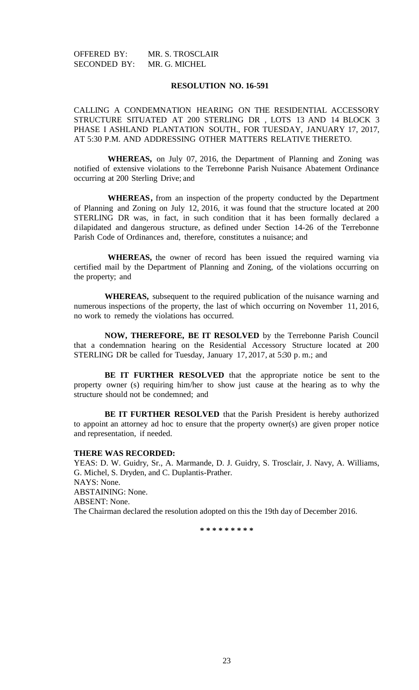# **RESOLUTION NO. 16-591**

CALLING A CONDEMNATION HEARING ON THE RESIDENTIAL ACCESSORY STRUCTURE SITUATED AT 200 STERLING DR , LOTS 13 AND 14 BLOCK 3 PHASE I ASHLAND PLANTATION SOUTH., FOR TUESDAY, JANUARY 17, 2017, AT 5:30 P.M. AND ADDRESSING OTHER MATTERS RELATIVE THERETO.

**WHEREAS,** on July 07, 2016, the Department of Planning and Zoning was notified of extensive violations to the Terrebonne Parish Nuisance Abatement Ordinance occurring at 200 Sterling Drive; and

**WHEREAS,** from an inspection of the property conducted by the Department of Planning and Zoning on July 12, 2016, it was found that the structure located at 200 STERLING DR was, in fact, in such condition that it has been formally declared a dilapidated and dangerous structure, as defined under Section 14-26 of the Terrebonne Parish Code of Ordinances and, therefore, constitutes a nuisance; and

**WHEREAS,** the owner of record has been issued the required warning via certified mail by the Department of Planning and Zoning, of the violations occurring on the property; and

**WHEREAS,** subsequent to the required publication of the nuisance warning and numerous inspections of the property, the last of which occurring on November 11, 2016, no work to remedy the violations has occurred.

**NOW, THEREFORE, BE IT RESOLVED** by the Terrebonne Parish Council that a condemnation hearing on the Residential Accessory Structure located at 200 STERLING DR be called for Tuesday, January 17, 2017, at 5:30 p.m.; and

**BE IT FURTHER RESOLVED** that the appropriate notice be sent to the property owner (s) requiring him/her to show just cause at the hearing as to why the structure should not be condemned; and

**BE IT FURTHER RESOLVED** that the Parish President is hereby authorized to appoint an attorney ad hoc to ensure that the property owner(s) are given proper notice and representation, if needed.

### **THERE WAS RECORDED:**

YEAS: D. W. Guidry, Sr., A. Marmande, D. J. Guidry, S. Trosclair, J. Navy, A. Williams, G. Michel, S. Dryden, and C. Duplantis-Prather. NAYS: None. ABSTAINING: None. ABSENT: None. The Chairman declared the resolution adopted on this the 19th day of December 2016.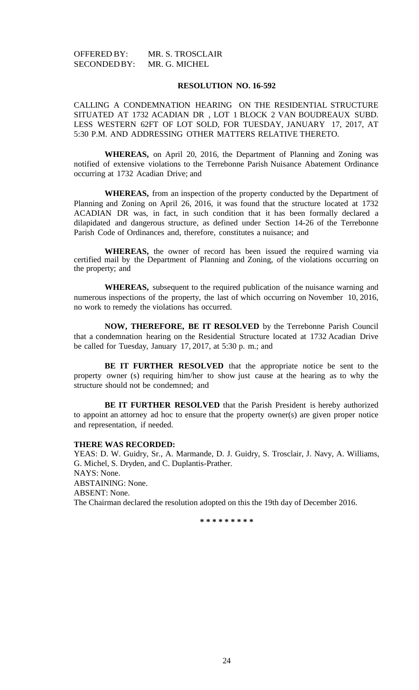### **RESOLUTION NO. 16-592**

CALLING A CONDEMNATION HEARING ON THE RESIDENTIAL STRUCTURE SITUATED AT 1732 ACADIAN DR , LOT 1 BLOCK 2 VAN BOUDREAUX SUBD. LESS WESTERN 62FT OF LOT SOLD, FOR TUESDAY, JANUARY 17, 2017, AT 5:30 P.M. AND ADDRESSING OTHER MATTERS RELATIVE THERETO.

**WHEREAS,** on April 20, 2016, the Department of Planning and Zoning was notified of extensive violations to the Terrebonne Parish Nuisance Abatement Ordinance occurring at 1732 Acadian Drive; and

**WHEREAS,** from an inspection of the property conducted by the Department of Planning and Zoning on April 26, 2016, it was found that the structure located at 1732 ACADIAN DR was, in fact, in such condition that it has been formally declared a dilapidated and dangerous structure, as defined under Section 14-26 of the Terrebonne Parish Code of Ordinances and, therefore, constitutes a nuisance; and

**WHEREAS,** the owner of record has been issued the required warning via certified mail by the Department of Planning and Zoning, of the violations occurring on the property; and

**WHEREAS,** subsequent to the required publication of the nuisance warning and numerous inspections of the property, the last of which occurring on November 10, 2016, no work to remedy the violations has occurred.

**NOW, THEREFORE, BE IT RESOLVED** by the Terrebonne Parish Council that a condemnation hearing on the Residential Structure located at 1732 Acadian Drive be called for Tuesday, January 17, 2017, at 5:30 p. m.; and

**BE IT FURTHER RESOLVED** that the appropriate notice be sent to the property owner (s) requiring him/her to show just cause at the hearing as to why the structure should not be condemned; and

**BE IT FURTHER RESOLVED** that the Parish President is hereby authorized to appoint an attorney ad hoc to ensure that the property owner(s) are given proper notice and representation, if needed.

### **THERE WAS RECORDED:**

YEAS: D. W. Guidry, Sr., A. Marmande, D. J. Guidry, S. Trosclair, J. Navy, A. Williams, G. Michel, S. Dryden, and C. Duplantis-Prather. NAYS: None. ABSTAINING: None. ABSENT: None. The Chairman declared the resolution adopted on this the 19th day of December 2016.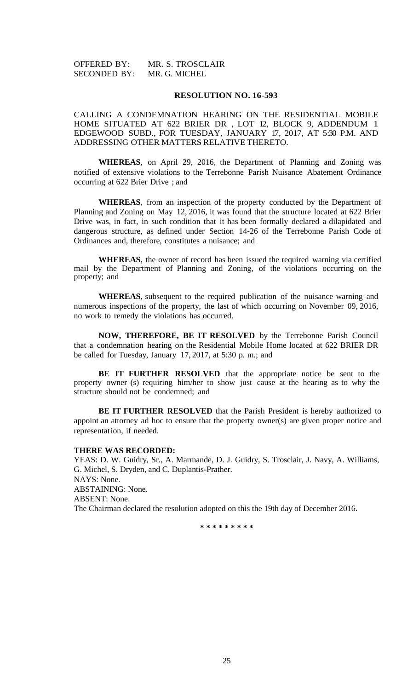| <b>OFFERED BY:</b>  | MR. S. TROSCLAIR |
|---------------------|------------------|
| <b>SECONDED BY:</b> | MR. G. MICHEL    |

#### **RESOLUTION NO. 16-593**

CALLING A CONDEMNATION HEARING ON THE RESIDENTIAL MOBILE HOME SITUATED AT 622 BRIER DR , LOT 12, BLOCK 9, ADDENDUM 1 EDGEWOOD SUBD., FOR TUESDAY, JANUARY 17, 2017, AT 5:30 P.M. AND ADDRESSING OTHER MATTERS RELATIVE THERETO.

**WHEREAS**, on April 29, 2016, the Department of Planning and Zoning was notified of extensive violations to the Terrebonne Parish Nuisance Abatement Ordinance occurring at 622 Brier Drive ; and

**WHEREAS**, from an inspection of the property conducted by the Department of Planning and Zoning on May 12, 2016, it was found that the structure located at 622 Brier Drive was, in fact, in such condition that it has been formally declared a dilapidated and dangerous structure, as defined under Section 14-26 of the Terrebonne Parish Code of Ordinances and, therefore, constitutes a nuisance; and

**WHEREAS**, the owner of record has been issued the required warning via certified mail by the Department of Planning and Zoning, of the violations occurring on the property; and

**WHEREAS**, subsequent to the required publication of the nuisance warning and numerous inspections of the property, the last of which occurring on November 09, 2016, no work to remedy the violations has occurred.

**NOW, THEREFORE, BE IT RESOLVED** by the Terrebonne Parish Council that a condemnation hearing on the Residential Mobile Home located at 622 BRIER DR be called for Tuesday, January 17, 2017, at 5:30 p. m.; and

**BE IT FURTHER RESOLVED** that the appropriate notice be sent to the property owner (s) requiring him/her to show just cause at the hearing as to why the structure should not be condemned; and

**BE IT FURTHER RESOLVED** that the Parish President is hereby authorized to appoint an attorney ad hoc to ensure that the property owner(s) are given proper notice and representation, if needed.

#### **THERE WAS RECORDED:**

YEAS: D. W. Guidry, Sr., A. Marmande, D. J. Guidry, S. Trosclair, J. Navy, A. Williams, G. Michel, S. Dryden, and C. Duplantis-Prather. NAYS: None. ABSTAINING: None. ABSENT: None. The Chairman declared the resolution adopted on this the 19th day of December 2016.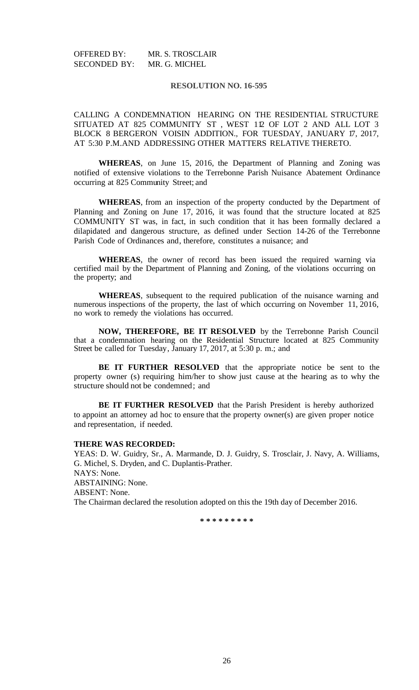## **RESOLUTION NO. 16-595**

CALLING A CONDEMNATION HEARING ON THE RESIDENTIAL STRUCTURE SITUATED AT 825 COMMUNITY ST , WEST 112 OF LOT 2 AND ALL LOT 3 BLOCK 8 BERGERON VOISIN ADDITION., FOR TUESDAY, JANUARY 17, 2017, AT 5:30 P.M.AND ADDRESSING OTHER MATTERS RELATIVE THERETO.

**WHEREAS**, on June 15, 2016, the Department of Planning and Zoning was notified of extensive violations to the Terrebonne Parish Nuisance Abatement Ordinance occurring at 825 Community Street; and

**WHEREAS**, from an inspection of the property conducted by the Department of Planning and Zoning on June 17, 2016, it was found that the structure located at 825 COMMUNITY ST was, in fact, in such condition that it has been formally declared a dilapidated and dangerous structure, as defined under Section 14-26 of the Terrebonne Parish Code of Ordinances and, therefore, constitutes a nuisance; and

**WHEREAS**, the owner of record has been issued the required warning via certified mail by the Department of Planning and Zoning, of the violations occurring on the property; and

**WHEREAS**, subsequent to the required publication of the nuisance warning and numerous inspections of the property, the last of which occurring on November 11, 2016, no work to remedy the violations has occurred.

**NOW, THEREFORE, BE IT RESOLVED** by the Terrebonne Parish Council that a condemnation hearing on the Residential Structure located at 825 Community Street be called for Tuesday, January 17, 2017, at 5:30 p. m.; and

**BE IT FURTHER RESOLVED** that the appropriate notice be sent to the property owner (s) requiring him/her to show just cause at the hearing as to why the structure should not be condemned; and

**BE IT FURTHER RESOLVED** that the Parish President is hereby authorized to appoint an attorney ad hoc to ensure that the property owner(s) are given proper notice and representation, if needed.

#### **THERE WAS RECORDED:**

YEAS: D. W. Guidry, Sr., A. Marmande, D. J. Guidry, S. Trosclair, J. Navy, A. Williams, G. Michel, S. Dryden, and C. Duplantis-Prather. NAYS: None. ABSTAINING: None. ABSENT: None.

The Chairman declared the resolution adopted on this the 19th day of December 2016.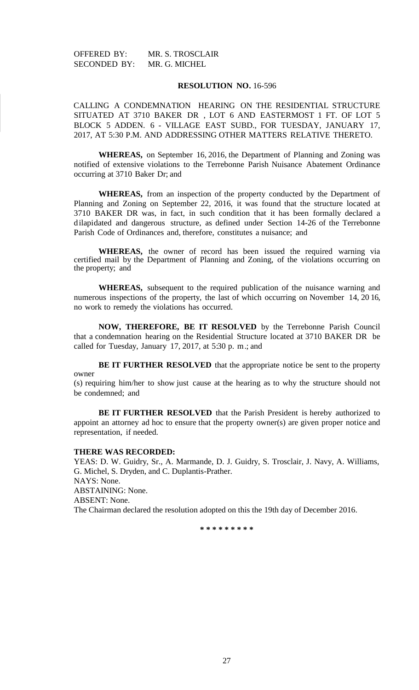## **RESOLUTION NO.** 16-596

CALLING A CONDEMNATION HEARING ON THE RESIDENTIAL STRUCTURE SITUATED AT 3710 BAKER DR , LOT 6 AND EASTERMOST 1 FT. OF LOT 5 BLOCK 5 ADDEN. 6 - VILLAGE EAST SUBD., FOR TUESDAY, JANUARY 17, 2017, AT 5:30 P.M. AND ADDRESSING OTHER MATTERS RELATIVE THERETO.

**WHEREAS,** on September 16, 2016, the Department of Planning and Zoning was notified of extensive violations to the Terrebonne Parish Nuisance Abatement Ordinance occurring at 3710 Baker Dr; and

**WHEREAS,** from an inspection of the property conducted by the Department of Planning and Zoning on September 22, 2016, it was found that the structure located at 3710 BAKER DR was, in fact, in such condition that it has been formally declared a dilapidated and dangerous structure, as defined under Section 14-26 of the Terrebonne Parish Code of Ordinances and, therefore, constitutes a nuisance; and

**WHEREAS,** the owner of record has been issued the required warning via certified mail by the Department of Planning and Zoning, of the violations occurring on the property; and

**WHEREAS,** subsequent to the required publication of the nuisance warning and numerous inspections of the property, the last of which occurring on November 14, 20 16, no work to remedy the violations has occurred.

**NOW, THEREFORE, BE IT RESOLVED** by the Terrebonne Parish Council that a condemnation hearing on the Residential Structure located at 3710 BAKER DR be called for Tuesday, January 17, 2017, at 5:30 p. m.; and

**BE IT FURTHER RESOLVED** that the appropriate notice be sent to the property owner

(s) requiring him/her to show just cause at the hearing as to why the structure should not be condemned; and

**BE IT FURTHER RESOLVED** that the Parish President is hereby authorized to appoint an attorney ad hoc to ensure that the property owner(s) are given proper notice and representation, if needed.

#### **THERE WAS RECORDED:**

YEAS: D. W. Guidry, Sr., A. Marmande, D. J. Guidry, S. Trosclair, J. Navy, A. Williams, G. Michel, S. Dryden, and C. Duplantis-Prather. NAYS: None. ABSTAINING: None. ABSENT: None. The Chairman declared the resolution adopted on this the 19th day of December 2016.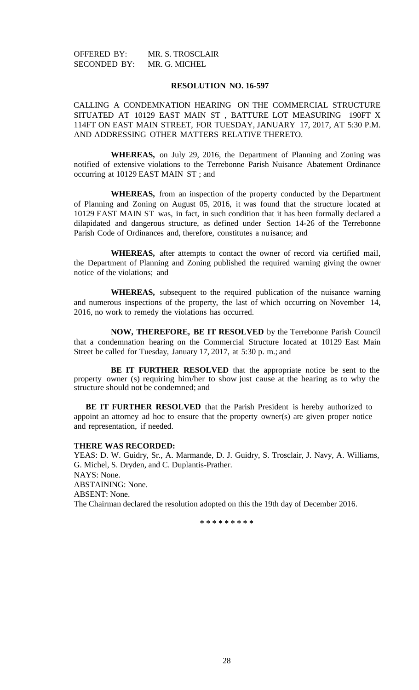#### **RESOLUTION NO. 16-597**

CALLING A CONDEMNATION HEARING ON THE COMMERCIAL STRUCTURE SITUATED AT 10129 EAST MAIN ST , BATTURE LOT MEASURING 190FT X 114FT ON EAST MAIN STREET, FOR TUESDAY, JANUARY 17, 2017, AT 5:30 P.M. AND ADDRESSING OTHER MATTERS RELATIVE THERETO.

**WHEREAS,** on July 29, 2016, the Department of Planning and Zoning was notified of extensive violations to the Terrebonne Parish Nuisance Abatement Ordinance occurring at 10129 EAST MAIN ST ; and

**WHEREAS,** from an inspection of the property conducted by the Department of Planning and Zoning on August 05, 2016, it was found that the structure located at 10129 EAST MAIN ST was, in fact, in such condition that it has been formally declared a dilapidated and dangerous structure, as defined under Section 14-26 of the Terrebonne Parish Code of Ordinances and, therefore, constitutes a nuisance; and

**WHEREAS,** after attempts to contact the owner of record via certified mail, the Department of Planning and Zoning published the required warning giving the owner notice of the violations; and

**WHEREAS,** subsequent to the required publication of the nuisance warning and numerous inspections of the property, the last of which occurring on November 14, 2016, no work to remedy the violations has occurred.

**NOW, THEREFORE, BE IT RESOLVED** by the Terrebonne Parish Council that a condemnation hearing on the Commercial Structure located at 10129 East Main Street be called for Tuesday, January 17, 2017, at 5:30 p. m.; and

**BE IT FURTHER RESOLVED** that the appropriate notice be sent to the property owner (s) requiring him/her to show just cause at the hearing as to why the structure should not be condemned; and

**BE IT FURTHER RESOLVED** that the Parish President is hereby authorized to appoint an attorney ad hoc to ensure that the property owner(s) are given proper notice and representation, if needed.

### **THERE WAS RECORDED:**

YEAS: D. W. Guidry, Sr., A. Marmande, D. J. Guidry, S. Trosclair, J. Navy, A. Williams, G. Michel, S. Dryden, and C. Duplantis-Prather. NAYS: None. ABSTAINING: None. ABSENT: None. The Chairman declared the resolution adopted on this the 19th day of December 2016.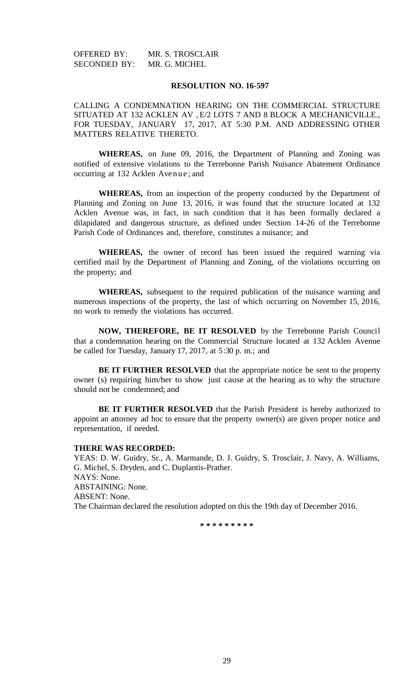#### **RESOLUTION NO. 16-597**

CALLING A CONDEMNATION HEARING ON THE COMMERCIAL STRUCTURE SITUATED AT 132 ACKLEN AV , E/2 LOTS 7 AND 8 BLOCK A MECHANICVILLE., FOR TUESDAY, JANUARY 17, 2017, AT 5:30 P.M. AND ADDRESSING OTHER MATTERS RELATIVE THERETO.

**WHEREAS,** on June 09, 2016, the Department of Planning and Zoning was notified of extensive violations to the Terrebonne Parish Nuisance Abatement Ordinance occurring at 132 Acklen Avenue; and

**WHEREAS,** from an inspection of the property conducted by the Department of Planning and Zoning on June 13, 2016, it was found that the structure located at 132 Acklen Avenue was, in fact, in such condition that it has been formally declared a dilapidated and dangerous structure, as defined under Section 14-26 of the Terrebonne Parish Code of Ordinances and, therefore, constitutes a nuisance; and

**WHEREAS,** the owner of record has been issued the required warning via certified mail by the Department of Planning and Zoning, of the violations occurring on the property; and

**WHEREAS,** subsequent to the required publication of the nuisance warning and numerous inspections of the property, the last of which occurring on November 15, 2016, no work to remedy the violations has occurred.

**NOW, THEREFORE, BE IT RESOLVED** by the Terrebonne Parish Council that a condemnation hearing on the Commercial Structure located at 132 Acklen Avenue be called for Tuesday, January 17, 2017, at 5:30 p. m.; and

**BE IT FURTHER RESOLVED** that the appropriate notice be sent to the property owner (s) requiring him/her to show just cause at the hearing as to why the structure should not be condemned; and

**BE IT FURTHER RESOLVED** that the Parish President is hereby authorized to appoint an attorney ad hoc to ensure that the property owner(s) are given proper notice and representation, if needed.

#### **THERE WAS RECORDED:**

YEAS: D. W. Guidry, Sr., A. Marmande, D. J. Guidry, S. Trosclair, J. Navy, A. Williams, G. Michel, S. Dryden, and C. Duplantis-Prather. NAYS: None. ABSTAINING: None. ABSENT: None. The Chairman declared the resolution adopted on this the 19th day of December 2016.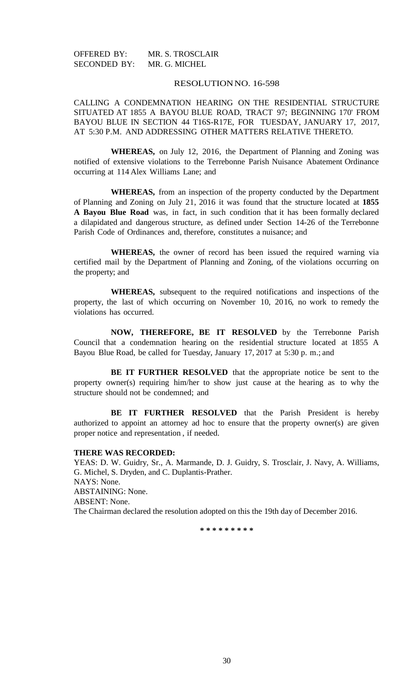# RESOLUTIONNO. 16-598

CALLING A CONDEMNATION HEARING ON THE RESIDENTIAL STRUCTURE SITUATED AT 1855 A BAYOU BLUE ROAD, TRACT 97; BEGINNING 170' FROM BAYOU BLUE IN SECTION 44 T16S-R17E, FOR TUESDAY, JANUARY 17, 2017, AT 5:30 P.M. AND ADDRESSING OTHER MATTERS RELATIVE THERETO.

**WHEREAS,** on July 12, 2016, the Department of Planning and Zoning was notified of extensive violations to the Terrebonne Parish Nuisance Abatement Ordinance occurring at 114 Alex Williams Lane; and

**WHEREAS,** from an inspection of the property conducted by the Department of Planning and Zoning on July 21, 2016 it was found that the structure located at **1855 A Bayou Blue Road** was, in fact, in such condition that it has been formally declared a dilapidated and dangerous structure, as defined under Section 14-26 of the Terrebonne Parish Code of Ordinances and, therefore, constitutes a nuisance; and

**WHEREAS,** the owner of record has been issued the required warning via certified mail by the Department of Planning and Zoning, of the violations occurring on the property; and

**WHEREAS,** subsequent to the required notifications and inspections of the property, the last of which occurring on November 10, 2016, no work to remedy the violations has occurred.

**NOW, THEREFORE, BE IT RESOLVED** by the Terrebonne Parish Council that a condemnation hearing on the residential structure located at 1855 A Bayou Blue Road, be called for Tuesday, January 17, 2017 at 5:30 p. m.; and

**BE IT FURTHER RESOLVED** that the appropriate notice be sent to the property owner(s) requiring him/her to show just cause at the hearing as to why the structure should not be condemned; and

**BE IT FURTHER RESOLVED** that the Parish President is hereby authorized to appoint an attorney ad hoc to ensure that the property owner(s) are given proper notice and representation , if needed.

# **THERE WAS RECORDED:**

YEAS: D. W. Guidry, Sr., A. Marmande, D. J. Guidry, S. Trosclair, J. Navy, A. Williams, G. Michel, S. Dryden, and C. Duplantis-Prather. NAYS: None. ABSTAINING: None. ABSENT: None. The Chairman declared the resolution adopted on this the 19th day of December 2016.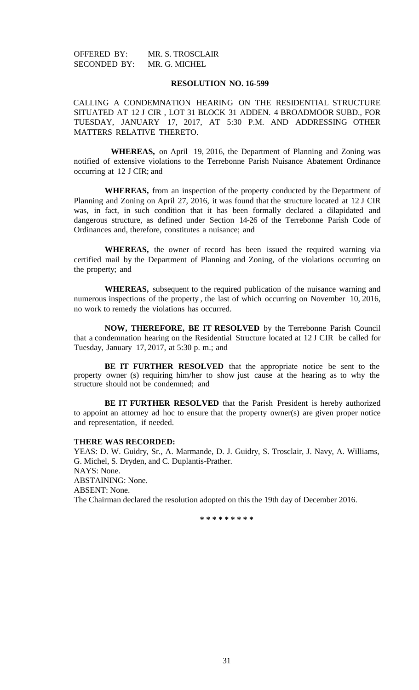# **RESOLUTION NO. 16-599**

CALLING A CONDEMNATION HEARING ON THE RESIDENTIAL STRUCTURE SITUATED AT 12 J CIR , LOT 31 BLOCK 31 ADDEN. 4 BROADMOOR SUBD., FOR TUESDAY, JANUARY 17, 2017, AT 5:30 P.M. AND ADDRESSING OTHER MATTERS RELATIVE THERETO.

**WHEREAS,** on April 19, 2016, the Department of Planning and Zoning was notified of extensive violations to the Terrebonne Parish Nuisance Abatement Ordinance occurring at 12 J CIR; and

**WHEREAS,** from an inspection of the property conducted by the Department of Planning and Zoning on April 27, 2016, it was found that the structure located at 12 J CIR was, in fact, in such condition that it has been formally declared a dilapidated and dangerous structure, as defined under Section 14-26 of the Terrebonne Parish Code of Ordinances and, therefore, constitutes a nuisance; and

**WHEREAS,** the owner of record has been issued the required warning via certified mail by the Department of Planning and Zoning, of the violations occurring on the property; and

**WHEREAS,** subsequent to the required publication of the nuisance warning and numerous inspections of the property , the last of which occurring on November 10, 2016, no work to remedy the violations has occurred.

**NOW, THEREFORE, BE IT RESOLVED** by the Terrebonne Parish Council that a condemnation hearing on the Residential Structure located at 12 J CIR be called for Tuesday, January 17, 2017, at 5:30 p. m.; and

**BE IT FURTHER RESOLVED** that the appropriate notice be sent to the property owner (s) requiring him/her to show just cause at the hearing as to why the structure should not be condemned; and

**BE IT FURTHER RESOLVED** that the Parish President is hereby authorized to appoint an attorney ad hoc to ensure that the property owner(s) are given proper notice and representation, if needed.

# **THERE WAS RECORDED:**

YEAS: D. W. Guidry, Sr., A. Marmande, D. J. Guidry, S. Trosclair, J. Navy, A. Williams, G. Michel, S. Dryden, and C. Duplantis-Prather. NAYS: None. ABSTAINING: None. ABSENT: None. The Chairman declared the resolution adopted on this the 19th day of December 2016.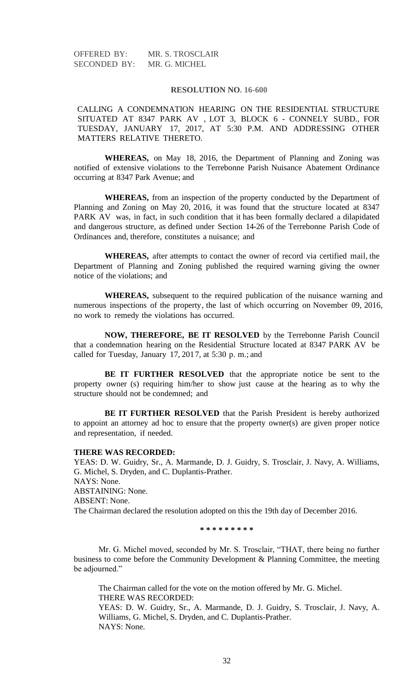#### **RESOLUTION NO. 16-600**

CALLING A CONDEMNATION HEARING ON THE RESIDENTIAL STRUCTURE SITUATED AT 8347 PARK AV , LOT 3, BLOCK 6 - CONNELY SUBD., FOR TUESDAY, JANUARY 17, 2017, AT 5:30 P.M. AND ADDRESSING OTHER MATTERS RELATIVE THERETO.

**WHEREAS,** on May 18, 2016, the Department of Planning and Zoning was notified of extensive violations to the Terrebonne Parish Nuisance Abatement Ordinance occurring at 8347 Park Avenue; and

**WHEREAS,** from an inspection of the property conducted by the Department of Planning and Zoning on May 20, 2016, it was found that the structure located at 8347 PARK AV was, in fact, in such condition that it has been formally declared a dilapidated and dangerous structure, as defined under Section 14-26 of the Terrebonne Parish Code of Ordinances and, therefore, constitutes a nuisance; and

**WHEREAS,** after attempts to contact the owner of record via certified mail, the Department of Planning and Zoning published the required warning giving the owner notice of the violations; and

**WHEREAS,** subsequent to the required publication of the nuisance warning and numerous inspections of the property, the last of which occurring on November 09, 2016, no work to remedy the violations has occurred.

**NOW, THEREFORE, BE IT RESOLVED** by the Terrebonne Parish Council that a condemnation hearing on the Residential Structure located at 8347 PARK AV be called for Tuesday, January 17, 2017, at 5:30 p. m.; and

**BE IT FURTHER RESOLVED** that the appropriate notice be sent to the property owner (s) requiring him/her to show just cause at the hearing as to why the structure should not be condemned; and

**BE IT FURTHER RESOLVED** that the Parish President is hereby authorized to appoint an attorney ad hoc to ensure that the property owner(s) are given proper notice and representation, if needed.

#### **THERE WAS RECORDED:**

YEAS: D. W. Guidry, Sr., A. Marmande, D. J. Guidry, S. Trosclair, J. Navy, A. Williams, G. Michel, S. Dryden, and C. Duplantis-Prather. NAYS: None. ABSTAINING: None. ABSENT: None. The Chairman declared the resolution adopted on this the 19th day of December 2016.

**\* \* \* \* \* \* \* \* \***

Mr. G. Michel moved, seconded by Mr. S. Trosclair, "THAT, there being no further business to come before the Community Development & Planning Committee, the meeting be adjourned."

The Chairman called for the vote on the motion offered by Mr. G. Michel. THERE WAS RECORDED: YEAS: D. W. Guidry, Sr., A. Marmande, D. J. Guidry, S. Trosclair, J. Navy, A. Williams, G. Michel, S. Dryden, and C. Duplantis-Prather. NAYS: None.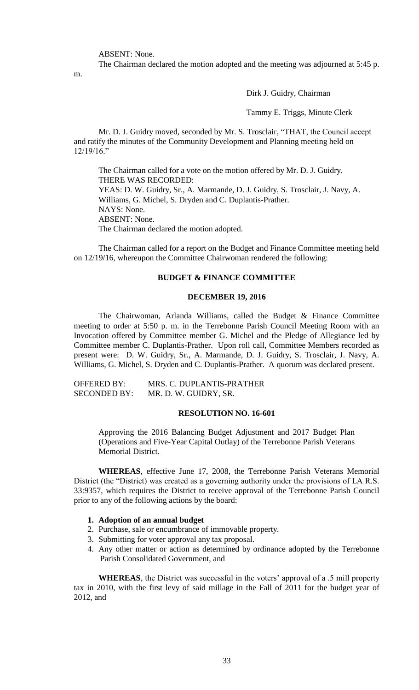ABSENT: None.

m.

The Chairman declared the motion adopted and the meeting was adjourned at 5:45 p.

Dirk J. Guidry, Chairman

Tammy E. Triggs, Minute Clerk

Mr. D. J. Guidry moved, seconded by Mr. S. Trosclair, "THAT, the Council accept and ratify the minutes of the Community Development and Planning meeting held on 12/19/16."

The Chairman called for a vote on the motion offered by Mr. D. J. Guidry. THERE WAS RECORDED: YEAS: D. W. Guidry, Sr., A. Marmande, D. J. Guidry, S. Trosclair, J. Navy, A. Williams, G. Michel, S. Dryden and C. Duplantis-Prather. NAYS: None. ABSENT: None. The Chairman declared the motion adopted.

The Chairman called for a report on the Budget and Finance Committee meeting held on 12/19/16, whereupon the Committee Chairwoman rendered the following:

# **BUDGET & FINANCE COMMITTEE**

#### **DECEMBER 19, 2016**

The Chairwoman, Arlanda Williams, called the Budget & Finance Committee meeting to order at 5:50 p. m. in the Terrebonne Parish Council Meeting Room with an Invocation offered by Committee member G. Michel and the Pledge of Allegiance led by Committee member C. Duplantis-Prather. Upon roll call, Committee Members recorded as present were: D. W. Guidry, Sr., A. Marmande, D. J. Guidry, S. Trosclair, J. Navy, A. Williams, G. Michel, S. Dryden and C. Duplantis-Prather. A quorum was declared present.

| <b>OFFERED BY:</b>  | MRS. C. DUPLANTIS-PRATHER |
|---------------------|---------------------------|
| <b>SECONDED BY:</b> | MR. D. W. GUIDRY, SR.     |

#### **RESOLUTION NO. 16-601**

Approving the 2016 Balancing Budget Adjustment and 2017 Budget Plan (Operations and Five-Year Capital Outlay) of the Terrebonne Parish Veterans Memorial District.

**WHEREAS**, effective June 17, 2008, the Terrebonne Parish Veterans Memorial District (the "District) was created as a governing authority under the provisions of LA R.S. 33:9357, which requires the District to receive approval of the Terrebonne Parish Council prior to any of the following actions by the board:

# **1. Adoption of an annual budget**

- 2. Purchase, sale or encumbrance of immovable property.
- 3. Submitting for voter approval any tax proposal.
- 4. Any other matter or action as determined by ordinance adopted by the Terrebonne Parish Consolidated Government, and

**WHEREAS**, the District was successful in the voters' approval of a .5 mill property tax in 2010, with the first levy of said millage in the Fall of 2011 for the budget year of 2012, and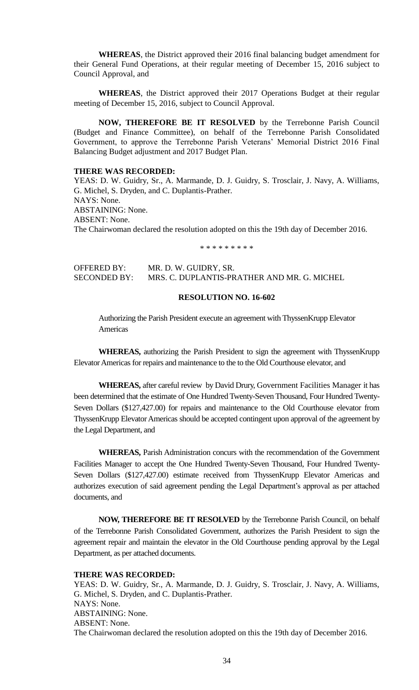**WHEREAS**, the District approved their 2016 final balancing budget amendment for their General Fund Operations, at their regular meeting of December 15, 2016 subject to Council Approval, and

**WHEREAS**, the District approved their 2017 Operations Budget at their regular meeting of December 15, 2016, subject to Council Approval.

**NOW, THEREFORE BE IT RESOLVED** by the Terrebonne Parish Council (Budget and Finance Committee), on behalf of the Terrebonne Parish Consolidated Government, to approve the Terrebonne Parish Veterans' Memorial District 2016 Final Balancing Budget adjustment and 2017 Budget Plan.

# **THERE WAS RECORDED:**

YEAS: D. W. Guidry, Sr., A. Marmande, D. J. Guidry, S. Trosclair, J. Navy, A. Williams, G. Michel, S. Dryden, and C. Duplantis-Prather. NAYS: None. ABSTAINING: None. ABSENT: None. The Chairwoman declared the resolution adopted on this the 19th day of December 2016.

\* \* \* \* \* \* \* \* \*

| OFFERED BY:         | MR. D. W. GUIDRY, SR.                       |
|---------------------|---------------------------------------------|
| <b>SECONDED BY:</b> | MRS. C. DUPLANTIS-PRATHER AND MR. G. MICHEL |

# **RESOLUTION NO. 16-602**

Authorizing the Parish President execute an agreement with ThyssenKrupp Elevator Americas

**WHEREAS,** authorizing the Parish President to sign the agreement with ThyssenKrupp Elevator Americas for repairs and maintenance to the to the Old Courthouse elevator, and

**WHEREAS,** after careful review by David Drury, Government Facilities Manager it has been determined that the estimate of One Hundred Twenty-Seven Thousand, Four Hundred Twenty-Seven Dollars (\$127,427.00) for repairs and maintenance to the Old Courthouse elevator from ThyssenKrupp Elevator Americas should be accepted contingent upon approval of the agreement by the Legal Department, and

**WHEREAS,** Parish Administration concurs with the recommendation of the Government Facilities Manager to accept the One Hundred Twenty-Seven Thousand, Four Hundred Twenty-Seven Dollars (\$127,427.00) estimate received from ThyssenKrupp Elevator Americas and authorizes execution of said agreement pending the Legal Department's approval as per attached documents, and

**NOW, THEREFORE BE IT RESOLVED** by the Terrebonne Parish Council, on behalf of the Terrebonne Parish Consolidated Government, authorizes the Parish President to sign the agreement repair and maintain the elevator in the Old Courthouse pending approval by the Legal Department, as per attached documents.

#### **THERE WAS RECORDED:**

YEAS: D. W. Guidry, Sr., A. Marmande, D. J. Guidry, S. Trosclair, J. Navy, A. Williams, G. Michel, S. Dryden, and C. Duplantis-Prather. NAYS: None. ABSTAINING: None. ABSENT: None. The Chairwoman declared the resolution adopted on this the 19th day of December 2016.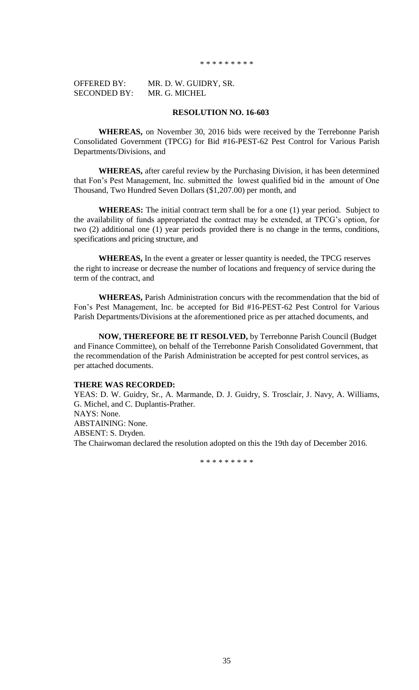\* \* \* \* \* \* \* \* \*

| <b>OFFERED BY:</b>  | MR. D. W. GUIDRY, SR. |
|---------------------|-----------------------|
| <b>SECONDED BY:</b> | MR. G. MICHEL         |

## **RESOLUTION NO. 16-603**

**WHEREAS,** on November 30, 2016 bids were received by the Terrebonne Parish Consolidated Government (TPCG) for Bid #16-PEST-62 Pest Control for Various Parish Departments/Divisions, and

**WHEREAS,** after careful review by the Purchasing Division, it has been determined that Fon's Pest Management, Inc. submitted the lowest qualified bid in the amount of One Thousand, Two Hundred Seven Dollars (\$1,207.00) per month, and

**WHEREAS:** The initial contract term shall be for a one (1) year period. Subject to the availability of funds appropriated the contract may be extended, at TPCG's option, for two (2) additional one (1) year periods provided there is no change in the terms, conditions, specifications and pricing structure, and

**WHEREAS,** In the event a greater or lesser quantity is needed, the TPCG reserves the right to increase or decrease the number of locations and frequency of service during the term of the contract, and

**WHEREAS,** Parish Administration concurs with the recommendation that the bid of Fon's Pest Management, Inc. be accepted for Bid #16-PEST-62 Pest Control for Various Parish Departments/Divisions at the aforementioned price as per attached documents, and

**NOW, THEREFORE BE IT RESOLVED,** by Terrebonne Parish Council (Budget and Finance Committee), on behalf of the Terrebonne Parish Consolidated Government, that the recommendation of the Parish Administration be accepted for pest control services, as per attached documents.

### **THERE WAS RECORDED:**

YEAS: D. W. Guidry, Sr., A. Marmande, D. J. Guidry, S. Trosclair, J. Navy, A. Williams, G. Michel, and C. Duplantis-Prather. NAYS: None. ABSTAINING: None. ABSENT: S. Dryden. The Chairwoman declared the resolution adopted on this the 19th day of December 2016.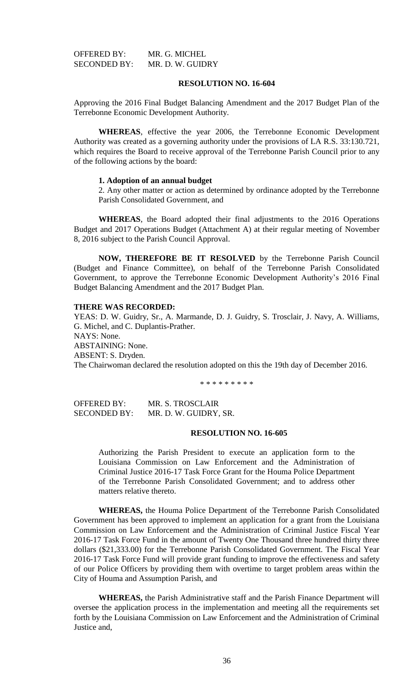| OFFERED BY:  | MR. G. MICHEL    |
|--------------|------------------|
| SECONDED BY: | MR. D. W. GUIDRY |

# **RESOLUTION NO. 16-604**

Approving the 2016 Final Budget Balancing Amendment and the 2017 Budget Plan of the Terrebonne Economic Development Authority.

**WHEREAS**, effective the year 2006, the Terrebonne Economic Development Authority was created as a governing authority under the provisions of LA R.S. 33:130.721, which requires the Board to receive approval of the Terrebonne Parish Council prior to any of the following actions by the board:

## **1. Adoption of an annual budget**

2. Any other matter or action as determined by ordinance adopted by the Terrebonne Parish Consolidated Government, and

**WHEREAS**, the Board adopted their final adjustments to the 2016 Operations Budget and 2017 Operations Budget (Attachment A) at their regular meeting of November 8, 2016 subject to the Parish Council Approval.

**NOW, THEREFORE BE IT RESOLVED** by the Terrebonne Parish Council (Budget and Finance Committee), on behalf of the Terrebonne Parish Consolidated Government, to approve the Terrebonne Economic Development Authority's 2016 Final Budget Balancing Amendment and the 2017 Budget Plan.

### **THERE WAS RECORDED:**

YEAS: D. W. Guidry, Sr., A. Marmande, D. J. Guidry, S. Trosclair, J. Navy, A. Williams, G. Michel, and C. Duplantis-Prather. NAYS: None. ABSTAINING: None. ABSENT: S. Dryden. The Chairwoman declared the resolution adopted on this the 19th day of December 2016.

\* \* \* \* \* \* \* \* \*

OFFERED BY: MR. S. TROSCLAIR SECONDED BY: MR. D. W. GUIDRY, SR.

#### **RESOLUTION NO. 16-605**

Authorizing the Parish President to execute an application form to the Louisiana Commission on Law Enforcement and the Administration of Criminal Justice 2016-17 Task Force Grant for the Houma Police Department of the Terrebonne Parish Consolidated Government; and to address other matters relative thereto.

**WHEREAS,** the Houma Police Department of the Terrebonne Parish Consolidated Government has been approved to implement an application for a grant from the Louisiana Commission on Law Enforcement and the Administration of Criminal Justice Fiscal Year 2016-17 Task Force Fund in the amount of Twenty One Thousand three hundred thirty three dollars (\$21,333.00) for the Terrebonne Parish Consolidated Government. The Fiscal Year 2016-17 Task Force Fund will provide grant funding to improve the effectiveness and safety of our Police Officers by providing them with overtime to target problem areas within the City of Houma and Assumption Parish, and

**WHEREAS,** the Parish Administrative staff and the Parish Finance Department will oversee the application process in the implementation and meeting all the requirements set forth by the Louisiana Commission on Law Enforcement and the Administration of Criminal Justice and,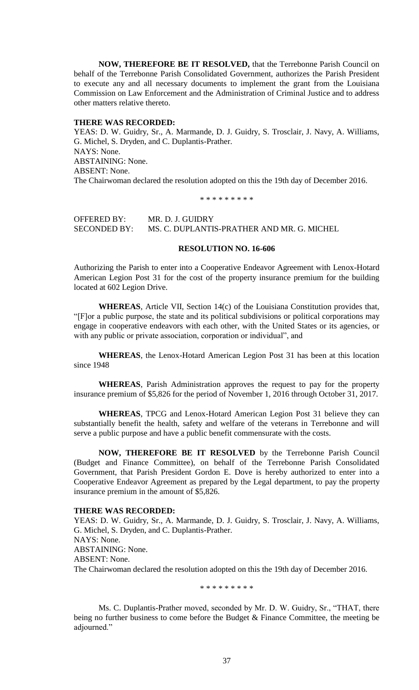**NOW, THEREFORE BE IT RESOLVED,** that the Terrebonne Parish Council on behalf of the Terrebonne Parish Consolidated Government, authorizes the Parish President to execute any and all necessary documents to implement the grant from the Louisiana Commission on Law Enforcement and the Administration of Criminal Justice and to address other matters relative thereto.

#### **THERE WAS RECORDED:**

YEAS: D. W. Guidry, Sr., A. Marmande, D. J. Guidry, S. Trosclair, J. Navy, A. Williams, G. Michel, S. Dryden, and C. Duplantis-Prather. NAYS: None. ABSTAINING: None. ABSENT: None. The Chairwoman declared the resolution adopted on this the 19th day of December 2016.

\* \* \* \* \* \* \* \* \*

OFFERED BY: MR. D. J. GUIDRY<br>SECONDED BY: MS. C. DUPLANTI MS. C. DUPLANTIS-PRATHER AND MR. G. MICHEL

#### **RESOLUTION NO. 16-606**

Authorizing the Parish to enter into a Cooperative Endeavor Agreement with Lenox-Hotard American Legion Post 31 for the cost of the property insurance premium for the building located at 602 Legion Drive.

**WHEREAS**, Article VII, Section 14(c) of the Louisiana Constitution provides that, "[F]or a public purpose, the state and its political subdivisions or political corporations may engage in cooperative endeavors with each other, with the United States or its agencies, or with any public or private association, corporation or individual", and

**WHEREAS**, the Lenox-Hotard American Legion Post 31 has been at this location since 1948

**WHEREAS**, Parish Administration approves the request to pay for the property insurance premium of \$5,826 for the period of November 1, 2016 through October 31, 2017.

**WHEREAS**, TPCG and Lenox-Hotard American Legion Post 31 believe they can substantially benefit the health, safety and welfare of the veterans in Terrebonne and will serve a public purpose and have a public benefit commensurate with the costs.

**NOW, THEREFORE BE IT RESOLVED** by the Terrebonne Parish Council (Budget and Finance Committee), on behalf of the Terrebonne Parish Consolidated Government, that Parish President Gordon E. Dove is hereby authorized to enter into a Cooperative Endeavor Agreement as prepared by the Legal department, to pay the property insurance premium in the amount of \$5,826.

## **THERE WAS RECORDED:**

YEAS: D. W. Guidry, Sr., A. Marmande, D. J. Guidry, S. Trosclair, J. Navy, A. Williams, G. Michel, S. Dryden, and C. Duplantis-Prather. NAYS: None. ABSTAINING: None. ABSENT: None. The Chairwoman declared the resolution adopted on this the 19th day of December 2016.

\* \* \* \* \* \* \* \* \*

Ms. C. Duplantis-Prather moved, seconded by Mr. D. W. Guidry, Sr., "THAT, there being no further business to come before the Budget & Finance Committee, the meeting be adjourned."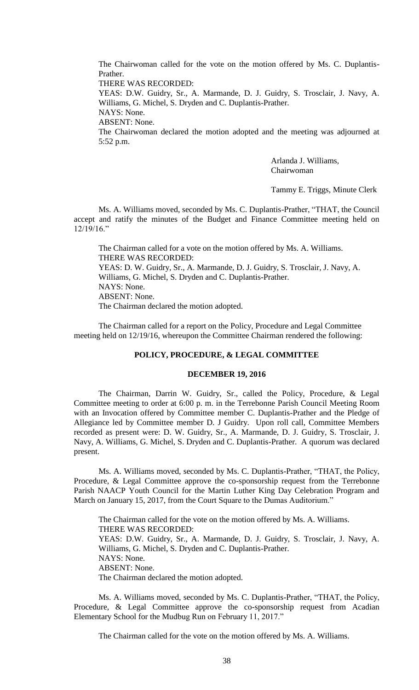The Chairwoman called for the vote on the motion offered by Ms. C. Duplantis-Prather.

THERE WAS RECORDED:

YEAS: D.W. Guidry, Sr., A. Marmande, D. J. Guidry, S. Trosclair, J. Navy, A. Williams, G. Michel, S. Dryden and C. Duplantis-Prather.

NAYS: None. ABSENT: None.

The Chairwoman declared the motion adopted and the meeting was adjourned at 5:52 p.m.

> Arlanda J. Williams, Chairwoman

Tammy E. Triggs, Minute Clerk

Ms. A. Williams moved, seconded by Ms. C. Duplantis-Prather, "THAT, the Council accept and ratify the minutes of the Budget and Finance Committee meeting held on  $12/19/16$ ."

The Chairman called for a vote on the motion offered by Ms. A. Williams. THERE WAS RECORDED: YEAS: D. W. Guidry, Sr., A. Marmande, D. J. Guidry, S. Trosclair, J. Navy, A. Williams, G. Michel, S. Dryden and C. Duplantis-Prather. NAYS: None. ABSENT: None. The Chairman declared the motion adopted.

The Chairman called for a report on the Policy, Procedure and Legal Committee meeting held on 12/19/16, whereupon the Committee Chairman rendered the following:

### **POLICY, PROCEDURE, & LEGAL COMMITTEE**

#### **DECEMBER 19, 2016**

The Chairman, Darrin W. Guidry, Sr., called the Policy, Procedure, & Legal Committee meeting to order at 6:00 p. m. in the Terrebonne Parish Council Meeting Room with an Invocation offered by Committee member C. Duplantis-Prather and the Pledge of Allegiance led by Committee member D. J Guidry. Upon roll call, Committee Members recorded as present were: D. W. Guidry, Sr., A. Marmande, D. J. Guidry, S. Trosclair, J. Navy, A. Williams, G. Michel, S. Dryden and C. Duplantis-Prather. A quorum was declared present.

Ms. A. Williams moved, seconded by Ms. C. Duplantis-Prather, "THAT, the Policy, Procedure, & Legal Committee approve the co-sponsorship request from the Terrebonne Parish NAACP Youth Council for the Martin Luther King Day Celebration Program and March on January 15, 2017, from the Court Square to the Dumas Auditorium."

The Chairman called for the vote on the motion offered by Ms. A. Williams. THERE WAS RECORDED: YEAS: D.W. Guidry, Sr., A. Marmande, D. J. Guidry, S. Trosclair, J. Navy, A. Williams, G. Michel, S. Dryden and C. Duplantis-Prather. NAYS: None. ABSENT: None. The Chairman declared the motion adopted.

Ms. A. Williams moved, seconded by Ms. C. Duplantis-Prather, "THAT, the Policy, Procedure, & Legal Committee approve the co-sponsorship request from Acadian Elementary School for the Mudbug Run on February 11, 2017."

The Chairman called for the vote on the motion offered by Ms. A. Williams.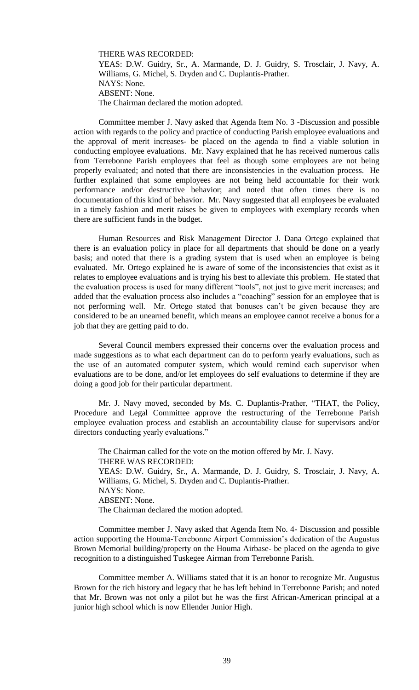THERE WAS RECORDED: YEAS: D.W. Guidry, Sr., A. Marmande, D. J. Guidry, S. Trosclair, J. Navy, A. Williams, G. Michel, S. Dryden and C. Duplantis-Prather. NAYS: None. ABSENT: None. The Chairman declared the motion adopted.

Committee member J. Navy asked that Agenda Item No. 3 -Discussion and possible action with regards to the policy and practice of conducting Parish employee evaluations and the approval of merit increases- be placed on the agenda to find a viable solution in conducting employee evaluations. Mr. Navy explained that he has received numerous calls from Terrebonne Parish employees that feel as though some employees are not being properly evaluated; and noted that there are inconsistencies in the evaluation process. He further explained that some employees are not being held accountable for their work performance and/or destructive behavior; and noted that often times there is no documentation of this kind of behavior. Mr. Navy suggested that all employees be evaluated in a timely fashion and merit raises be given to employees with exemplary records when there are sufficient funds in the budget.

Human Resources and Risk Management Director J. Dana Ortego explained that there is an evaluation policy in place for all departments that should be done on a yearly basis; and noted that there is a grading system that is used when an employee is being evaluated. Mr. Ortego explained he is aware of some of the inconsistencies that exist as it relates to employee evaluations and is trying his best to alleviate this problem. He stated that the evaluation process is used for many different "tools", not just to give merit increases; and added that the evaluation process also includes a "coaching" session for an employee that is not performing well. Mr. Ortego stated that bonuses can't be given because they are considered to be an unearned benefit, which means an employee cannot receive a bonus for a job that they are getting paid to do.

Several Council members expressed their concerns over the evaluation process and made suggestions as to what each department can do to perform yearly evaluations, such as the use of an automated computer system, which would remind each supervisor when evaluations are to be done, and/or let employees do self evaluations to determine if they are doing a good job for their particular department.

Mr. J. Navy moved, seconded by Ms. C. Duplantis-Prather, "THAT, the Policy, Procedure and Legal Committee approve the restructuring of the Terrebonne Parish employee evaluation process and establish an accountability clause for supervisors and/or directors conducting yearly evaluations."

The Chairman called for the vote on the motion offered by Mr. J. Navy. THERE WAS RECORDED: YEAS: D.W. Guidry, Sr., A. Marmande, D. J. Guidry, S. Trosclair, J. Navy, A. Williams, G. Michel, S. Dryden and C. Duplantis-Prather. NAYS: None. ABSENT: None. The Chairman declared the motion adopted.

Committee member J. Navy asked that Agenda Item No. 4- Discussion and possible action supporting the Houma-Terrebonne Airport Commission's dedication of the Augustus Brown Memorial building/property on the Houma Airbase- be placed on the agenda to give recognition to a distinguished Tuskegee Airman from Terrebonne Parish.

Committee member A. Williams stated that it is an honor to recognize Mr. Augustus Brown for the rich history and legacy that he has left behind in Terrebonne Parish; and noted that Mr. Brown was not only a pilot but he was the first African-American principal at a junior high school which is now Ellender Junior High.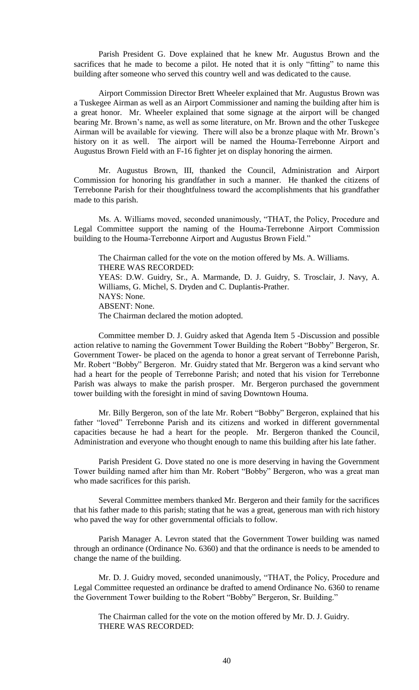Parish President G. Dove explained that he knew Mr. Augustus Brown and the sacrifices that he made to become a pilot. He noted that it is only "fitting" to name this building after someone who served this country well and was dedicated to the cause.

Airport Commission Director Brett Wheeler explained that Mr. Augustus Brown was a Tuskegee Airman as well as an Airport Commissioner and naming the building after him is a great honor. Mr. Wheeler explained that some signage at the airport will be changed bearing Mr. Brown's name, as well as some literature, on Mr. Brown and the other Tuskegee Airman will be available for viewing. There will also be a bronze plaque with Mr. Brown's history on it as well. The airport will be named the Houma-Terrebonne Airport and Augustus Brown Field with an F-16 fighter jet on display honoring the airmen.

Mr. Augustus Brown, III, thanked the Council, Administration and Airport Commission for honoring his grandfather in such a manner. He thanked the citizens of Terrebonne Parish for their thoughtfulness toward the accomplishments that his grandfather made to this parish.

Ms. A. Williams moved, seconded unanimously, "THAT, the Policy, Procedure and Legal Committee support the naming of the Houma-Terrebonne Airport Commission building to the Houma-Terrebonne Airport and Augustus Brown Field."

The Chairman called for the vote on the motion offered by Ms. A. Williams. THERE WAS RECORDED: YEAS: D.W. Guidry, Sr., A. Marmande, D. J. Guidry, S. Trosclair, J. Navy, A. Williams, G. Michel, S. Dryden and C. Duplantis-Prather. NAYS: None. ABSENT: None. The Chairman declared the motion adopted.

Committee member D. J. Guidry asked that Agenda Item 5 -Discussion and possible action relative to naming the Government Tower Building the Robert "Bobby" Bergeron, Sr. Government Tower- be placed on the agenda to honor a great servant of Terrebonne Parish, Mr. Robert "Bobby" Bergeron. Mr. Guidry stated that Mr. Bergeron was a kind servant who had a heart for the people of Terrebonne Parish; and noted that his vision for Terrebonne Parish was always to make the parish prosper. Mr. Bergeron purchased the government tower building with the foresight in mind of saving Downtown Houma.

Mr. Billy Bergeron, son of the late Mr. Robert "Bobby" Bergeron, explained that his father "loved" Terrebonne Parish and its citizens and worked in different governmental capacities because he had a heart for the people. Mr. Bergeron thanked the Council, Administration and everyone who thought enough to name this building after his late father.

Parish President G. Dove stated no one is more deserving in having the Government Tower building named after him than Mr. Robert "Bobby" Bergeron, who was a great man who made sacrifices for this parish.

Several Committee members thanked Mr. Bergeron and their family for the sacrifices that his father made to this parish; stating that he was a great, generous man with rich history who paved the way for other governmental officials to follow.

Parish Manager A. Levron stated that the Government Tower building was named through an ordinance (Ordinance No. 6360) and that the ordinance is needs to be amended to change the name of the building.

Mr. D. J. Guidry moved, seconded unanimously, "THAT, the Policy, Procedure and Legal Committee requested an ordinance be drafted to amend Ordinance No. 6360 to rename the Government Tower building to the Robert "Bobby" Bergeron, Sr. Building."

The Chairman called for the vote on the motion offered by Mr. D. J. Guidry. THERE WAS RECORDED: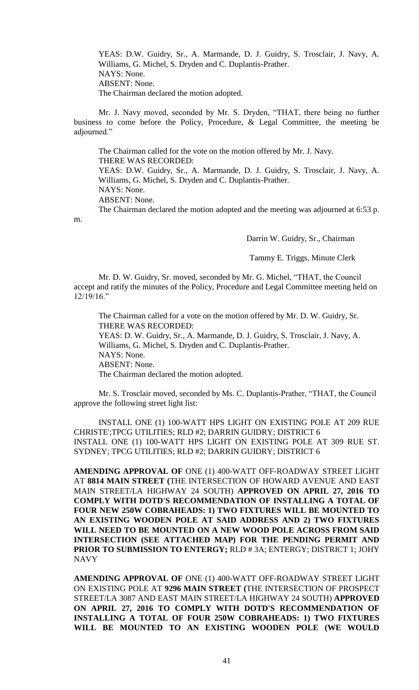YEAS: D.W. Guidry, Sr., A. Marmande, D. J. Guidry, S. Trosclair, J. Navy, A. Williams, G. Michel, S. Dryden and C. Duplantis-Prather. NAYS: None. ABSENT: None. The Chairman declared the motion adopted.

Mr. J. Navy moved, seconded by Mr. S. Dryden, "THAT, there being no further business to come before the Policy, Procedure, & Legal Committee, the meeting be adjourned."

The Chairman called for the vote on the motion offered by Mr. J. Navy. THERE WAS RECORDED: YEAS: D.W. Guidry, Sr., A. Marmande, D. J. Guidry, S. Trosclair, J. Navy, A. Williams, G. Michel, S. Dryden and C. Duplantis-Prather. NAYS: None.

ABSENT: None.

m.

The Chairman declared the motion adopted and the meeting was adjourned at 6:53 p.

Darrin W. Guidry, Sr., Chairman

Tammy E. Triggs, Minute Clerk

Mr. D. W. Guidry, Sr. moved, seconded by Mr. G. Michel, "THAT, the Council accept and ratify the minutes of the Policy, Procedure and Legal Committee meeting held on 12/19/16."

The Chairman called for a vote on the motion offered by Mr. D. W. Guidry, Sr. THERE WAS RECORDED: YEAS: D. W. Guidry, Sr., A. Marmande, D. J. Guidry, S. Trosclair, J. Navy, A. Williams, G. Michel, S. Dryden and C. Duplantis-Prather. NAYS: None. ABSENT: None. The Chairman declared the motion adopted.

Mr. S. Trosclair moved, seconded by Ms. C. Duplantis-Prather, "THAT, the Council approve the following street light list:

INSTALL ONE (1) 100-WATT HPS LIGHT ON EXISTING POLE AT 209 RUE CHRISTE';TPCG UTILITIES; RLD #2; DARRIN GUIDRY; DISTRICT 6 INSTALL ONE (1) 100-WATT HPS LIGHT ON EXISTING POLE AT 309 RUE ST. SYDNEY; TPCG UTILITIES; RLD #2; DARRIN GUIDRY; DISTRICT 6

**AMENDING APPROVAL OF** ONE (1) 400-WATT OFF-ROADWAY STREET LIGHT AT **8814 MAIN STREET (**THE INTERSECTION OF HOWARD AVENUE AND EAST MAIN STREET/LA HIGHWAY 24 SOUTH) **APPROVED ON APRIL 27, 2016 TO COMPLY WITH DOTD'S RECOMMENDATION OF INSTALLING A TOTAL OF FOUR NEW 250W COBRAHEADS: 1) TWO FIXTURES WILL BE MOUNTED TO AN EXISTING WOODEN POLE AT SAID ADDRESS AND 2) TWO FIXTURES WILL NEED TO BE MOUNTED ON A NEW WOOD POLE ACROSS FROM SAID INTERSECTION (SEE ATTACHED MAP) FOR THE PENDING PERMIT AND PRIOR TO SUBMISSION TO ENTERGY;** RLD # 3A; ENTERGY; DISTRICT 1; JOHY NAVY

**AMENDING APPROVAL OF** ONE (1) 400-WATT OFF-ROADWAY STREET LIGHT ON EXISTING POLE AT **9296 MAIN STREET (**THE INTERSECTION OF PROSPECT STREET/LA 3087 AND EAST MAIN STREET/LA HIGHWAY 24 SOUTH) **APPROVED ON APRIL 27, 2016 TO COMPLY WITH DOTD'S RECOMMENDATION OF INSTALLING A TOTAL OF FOUR 250W COBRAHEADS: 1) TWO FIXTURES WILL BE MOUNTED TO AN EXISTING WOODEN POLE (WE WOULD**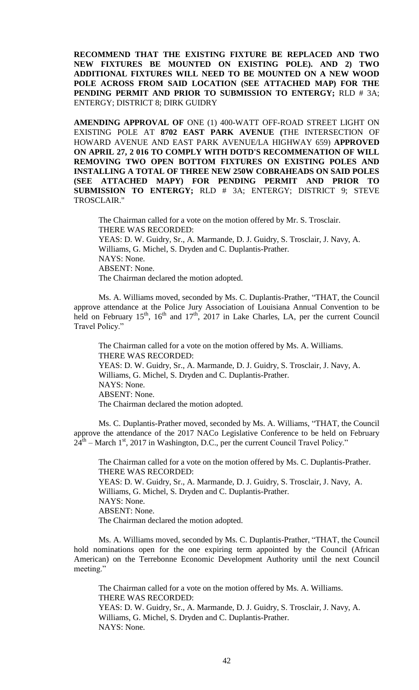**RECOMMEND THAT THE EXISTING FIXTURE BE REPLACED AND TWO NEW FIXTURES BE MOUNTED ON EXISTING POLE). AND 2) TWO ADDITIONAL FIXTURES WILL NEED TO BE MOUNTED ON A NEW WOOD POLE ACROSS FROM SAID LOCATION (SEE ATTACHED MAP) FOR THE PENDING PERMIT AND PRIOR TO SUBMISSION TO ENTERGY;** RLD # 3A; ENTERGY; DISTRICT 8; DIRK GUIDRY

**AMENDING APPROVAL OF** ONE (1) 400-WATT OFF-ROAD STREET LIGHT ON EXISTING POLE AT **8702 EAST PARK AVENUE (**THE INTERSECTION OF HOWARD AVENUE AND EAST PARK AVENUE/LA HIGHWAY 659) **APPROVED ON APRIL 27, 2 016 TO COMPLY WITH DOTD'S RECOMMENATION OF WILL REMOVING TWO OPEN BOTTOM FIXTURES ON EXISTING POLES AND INSTALLING A TOTAL OF THREE NEW 250W COBRAHEADS ON SAID POLES (SEE ATTACHED MAPY) FOR PENDING PERMIT AND PRIOR TO SUBMISSION TO ENTERGY;** RLD # 3A; ENTERGY; DISTRICT 9; STEVE TROSCLAIR."

The Chairman called for a vote on the motion offered by Mr. S. Trosclair. THERE WAS RECORDED: YEAS: D. W. Guidry, Sr., A. Marmande, D. J. Guidry, S. Trosclair, J. Navy, A. Williams, G. Michel, S. Dryden and C. Duplantis-Prather. NAYS: None. ABSENT: None. The Chairman declared the motion adopted.

Ms. A. Williams moved, seconded by Ms. C. Duplantis-Prather, "THAT, the Council approve attendance at the Police Jury Association of Louisiana Annual Convention to be held on February  $15<sup>th</sup>$ ,  $16<sup>th</sup>$  and  $17<sup>th</sup>$ , 2017 in Lake Charles, LA, per the current Council Travel Policy."

The Chairman called for a vote on the motion offered by Ms. A. Williams. THERE WAS RECORDED: YEAS: D. W. Guidry, Sr., A. Marmande, D. J. Guidry, S. Trosclair, J. Navy, A. Williams, G. Michel, S. Dryden and C. Duplantis-Prather. NAYS: None. ABSENT: None. The Chairman declared the motion adopted.

Ms. C. Duplantis-Prather moved, seconded by Ms. A. Williams, "THAT, the Council approve the attendance of the 2017 NACo Legislative Conference to be held on February  $24^{\text{th}}$  – March 1<sup>st</sup>, 2017 in Washington, D.C., per the current Council Travel Policy."

The Chairman called for a vote on the motion offered by Ms. C. Duplantis-Prather. THERE WAS RECORDED: YEAS: D. W. Guidry, Sr., A. Marmande, D. J. Guidry, S. Trosclair, J. Navy, A. Williams, G. Michel, S. Dryden and C. Duplantis-Prather. NAYS: None. ABSENT: None. The Chairman declared the motion adopted.

Ms. A. Williams moved, seconded by Ms. C. Duplantis-Prather, "THAT, the Council hold nominations open for the one expiring term appointed by the Council (African American) on the Terrebonne Economic Development Authority until the next Council meeting."

The Chairman called for a vote on the motion offered by Ms. A. Williams. THERE WAS RECORDED: YEAS: D. W. Guidry, Sr., A. Marmande, D. J. Guidry, S. Trosclair, J. Navy, A. Williams, G. Michel, S. Dryden and C. Duplantis-Prather. NAYS: None.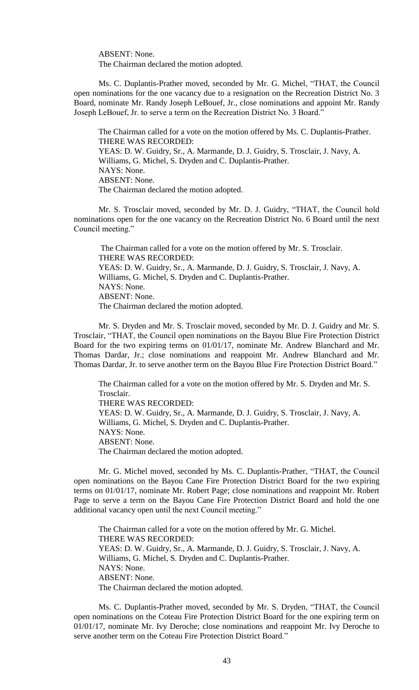ABSENT: None.

The Chairman declared the motion adopted.

Ms. C. Duplantis-Prather moved, seconded by Mr. G. Michel, "THAT, the Council open nominations for the one vacancy due to a resignation on the Recreation District No. 3 Board, nominate Mr. Randy Joseph LeBouef, Jr., close nominations and appoint Mr. Randy Joseph LeBouef, Jr. to serve a term on the Recreation District No. 3 Board."

The Chairman called for a vote on the motion offered by Ms. C. Duplantis-Prather. THERE WAS RECORDED: YEAS: D. W. Guidry, Sr., A. Marmande, D. J. Guidry, S. Trosclair, J. Navy, A. Williams, G. Michel, S. Dryden and C. Duplantis-Prather. NAYS: None. ABSENT: None. The Chairman declared the motion adopted.

Mr. S. Trosclair moved, seconded by Mr. D. J. Guidry, "THAT, the Council hold nominations open for the one vacancy on the Recreation District No. 6 Board until the next Council meeting."

The Chairman called for a vote on the motion offered by Mr. S. Trosclair. THERE WAS RECORDED: YEAS: D. W. Guidry, Sr., A. Marmande, D. J. Guidry, S. Trosclair, J. Navy, A. Williams, G. Michel, S. Dryden and C. Duplantis-Prather. NAYS: None. ABSENT: None. The Chairman declared the motion adopted.

Mr. S. Dryden and Mr. S. Trosclair moved, seconded by Mr. D. J. Guidry and Mr. S. Trosclair, "THAT, the Council open nominations on the Bayou Blue Fire Protection District Board for the two expiring terms on 01/01/17, nominate Mr. Andrew Blanchard and Mr. Thomas Dardar, Jr.; close nominations and reappoint Mr. Andrew Blanchard and Mr. Thomas Dardar, Jr. to serve another term on the Bayou Blue Fire Protection District Board."

The Chairman called for a vote on the motion offered by Mr. S. Dryden and Mr. S. Trosclair. THERE WAS RECORDED: YEAS: D. W. Guidry, Sr., A. Marmande, D. J. Guidry, S. Trosclair, J. Navy, A. Williams, G. Michel, S. Dryden and C. Duplantis-Prather. NAYS: None. ABSENT: None. The Chairman declared the motion adopted.

Mr. G. Michel moved, seconded by Ms. C. Duplantis-Prather, "THAT, the Council open nominations on the Bayou Cane Fire Protection District Board for the two expiring terms on 01/01/17, nominate Mr. Robert Page; close nominations and reappoint Mr. Robert Page to serve a term on the Bayou Cane Fire Protection District Board and hold the one additional vacancy open until the next Council meeting."

The Chairman called for a vote on the motion offered by Mr. G. Michel. THERE WAS RECORDED: YEAS: D. W. Guidry, Sr., A. Marmande, D. J. Guidry, S. Trosclair, J. Navy, A. Williams, G. Michel, S. Dryden and C. Duplantis-Prather. NAYS: None. ABSENT: None. The Chairman declared the motion adopted.

Ms. C. Duplantis-Prather moved, seconded by Mr. S. Dryden, "THAT, the Council open nominations on the Coteau Fire Protection District Board for the one expiring term on 01/01/17, nominate Mr. Ivy Deroche; close nominations and reappoint Mr. Ivy Deroche to serve another term on the Coteau Fire Protection District Board."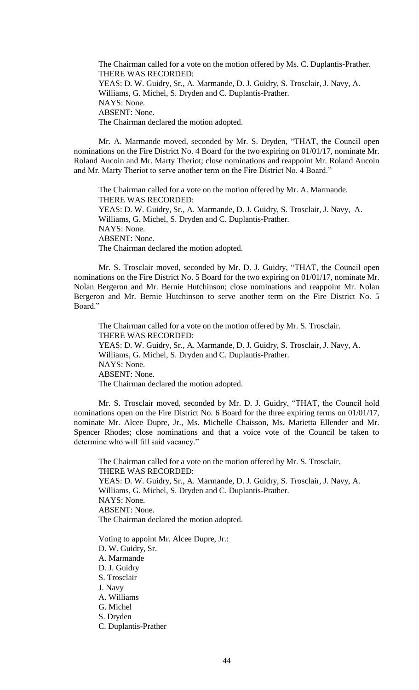The Chairman called for a vote on the motion offered by Ms. C. Duplantis-Prather. THERE WAS RECORDED: YEAS: D. W. Guidry, Sr., A. Marmande, D. J. Guidry, S. Trosclair, J. Navy, A. Williams, G. Michel, S. Dryden and C. Duplantis-Prather. NAYS: None. ABSENT: None. The Chairman declared the motion adopted.

Mr. A. Marmande moved, seconded by Mr. S. Dryden, "THAT, the Council open nominations on the Fire District No. 4 Board for the two expiring on 01/01/17, nominate Mr. Roland Aucoin and Mr. Marty Theriot; close nominations and reappoint Mr. Roland Aucoin and Mr. Marty Theriot to serve another term on the Fire District No. 4 Board."

The Chairman called for a vote on the motion offered by Mr. A. Marmande. THERE WAS RECORDED: YEAS: D. W. Guidry, Sr., A. Marmande, D. J. Guidry, S. Trosclair, J. Navy, A. Williams, G. Michel, S. Dryden and C. Duplantis-Prather. NAYS: None. ABSENT: None. The Chairman declared the motion adopted.

Mr. S. Trosclair moved, seconded by Mr. D. J. Guidry, "THAT, the Council open nominations on the Fire District No. 5 Board for the two expiring on 01/01/17, nominate Mr. Nolan Bergeron and Mr. Bernie Hutchinson; close nominations and reappoint Mr. Nolan Bergeron and Mr. Bernie Hutchinson to serve another term on the Fire District No. 5 Board."

The Chairman called for a vote on the motion offered by Mr. S. Trosclair. THERE WAS RECORDED: YEAS: D. W. Guidry, Sr., A. Marmande, D. J. Guidry, S. Trosclair, J. Navy, A. Williams, G. Michel, S. Dryden and C. Duplantis-Prather. NAYS: None. ABSENT: None. The Chairman declared the motion adopted.

Mr. S. Trosclair moved, seconded by Mr. D. J. Guidry, "THAT, the Council hold nominations open on the Fire District No. 6 Board for the three expiring terms on 01/01/17, nominate Mr. Alcee Dupre, Jr., Ms. Michelle Chaisson, Ms. Marietta Ellender and Mr. Spencer Rhodes; close nominations and that a voice vote of the Council be taken to determine who will fill said vacancy."

The Chairman called for a vote on the motion offered by Mr. S. Trosclair. THERE WAS RECORDED: YEAS: D. W. Guidry, Sr., A. Marmande, D. J. Guidry, S. Trosclair, J. Navy, A. Williams, G. Michel, S. Dryden and C. Duplantis-Prather. NAYS: None. ABSENT: None. The Chairman declared the motion adopted.

Voting to appoint Mr. Alcee Dupre, Jr.:

- D. W. Guidry, Sr. A. Marmande D. J. Guidry S. Trosclair J. Navy A. Williams G. Michel S. Dryden
- C. Duplantis-Prather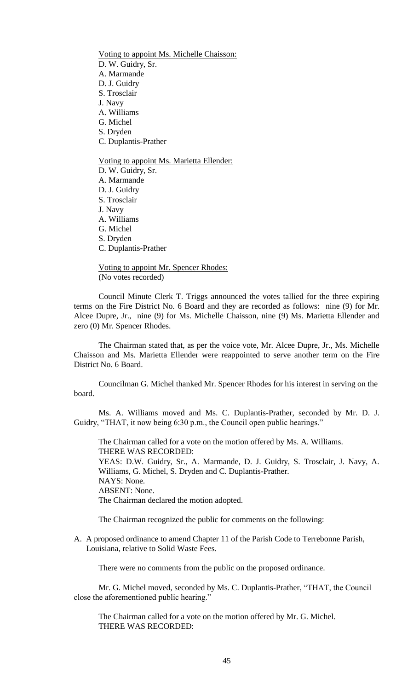Voting to appoint Ms. Michelle Chaisson: D. W. Guidry, Sr. A. Marmande D. J. Guidry S. Trosclair J. Navy A. Williams G. Michel S. Dryden C. Duplantis-Prather Voting to appoint Ms. Marietta Ellender: D. W. Guidry, Sr. A. Marmande D. J. Guidry

S. Trosclair J. Navy A. Williams G. Michel S. Dryden C. Duplantis-Prather

Voting to appoint Mr. Spencer Rhodes: (No votes recorded)

Council Minute Clerk T. Triggs announced the votes tallied for the three expiring terms on the Fire District No. 6 Board and they are recorded as follows: nine (9) for Mr. Alcee Dupre, Jr., nine (9) for Ms. Michelle Chaisson, nine (9) Ms. Marietta Ellender and zero (0) Mr. Spencer Rhodes.

The Chairman stated that, as per the voice vote, Mr. Alcee Dupre, Jr., Ms. Michelle Chaisson and Ms. Marietta Ellender were reappointed to serve another term on the Fire District No. 6 Board.

Councilman G. Michel thanked Mr. Spencer Rhodes for his interest in serving on the board.

Ms. A. Williams moved and Ms. C. Duplantis-Prather, seconded by Mr. D. J. Guidry, "THAT, it now being 6:30 p.m., the Council open public hearings."

The Chairman called for a vote on the motion offered by Ms. A. Williams. THERE WAS RECORDED: YEAS: D.W. Guidry, Sr., A. Marmande, D. J. Guidry, S. Trosclair, J. Navy, A. Williams, G. Michel, S. Dryden and C. Duplantis-Prather. NAYS: None. ABSENT: None. The Chairman declared the motion adopted.

The Chairman recognized the public for comments on the following:

A. A proposed ordinance to amend Chapter 11 of the Parish Code to Terrebonne Parish, Louisiana, relative to Solid Waste Fees.

There were no comments from the public on the proposed ordinance.

Mr. G. Michel moved, seconded by Ms. C. Duplantis-Prather, "THAT, the Council close the aforementioned public hearing."

The Chairman called for a vote on the motion offered by Mr. G. Michel. THERE WAS RECORDED: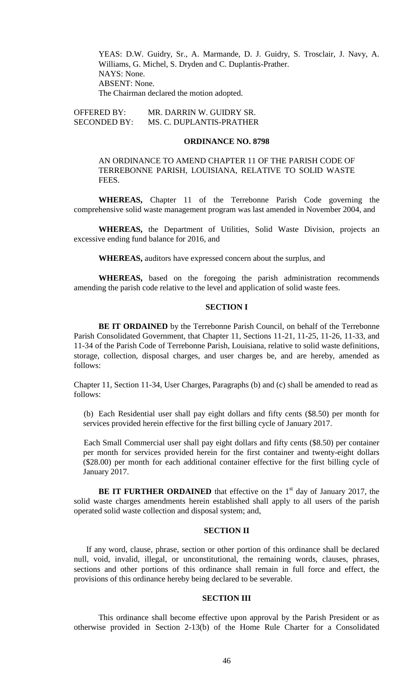YEAS: D.W. Guidry, Sr., A. Marmande, D. J. Guidry, S. Trosclair, J. Navy, A. Williams, G. Michel, S. Dryden and C. Duplantis-Prather. NAYS: None. ABSENT: None. The Chairman declared the motion adopted.

OFFERED BY: MR. DARRIN W. GUIDRY SR. SECONDED BY: MS. C. DUPLANTIS-PRATHER

## **ORDINANCE NO. 8798**

AN ORDINANCE TO AMEND CHAPTER 11 OF THE PARISH CODE OF TERREBONNE PARISH, LOUISIANA, RELATIVE TO SOLID WASTE FEES.

**WHEREAS,** Chapter 11 of the Terrebonne Parish Code governing the comprehensive solid waste management program was last amended in November 2004, and

**WHEREAS,** the Department of Utilities, Solid Waste Division, projects an excessive ending fund balance for 2016, and

**WHEREAS,** auditors have expressed concern about the surplus, and

**WHEREAS,** based on the foregoing the parish administration recommends amending the parish code relative to the level and application of solid waste fees.

### **SECTION I**

**BE IT ORDAINED** by the Terrebonne Parish Council, on behalf of the Terrebonne Parish Consolidated Government, that Chapter 11, Sections 11-21, 11-25, 11-26, 11-33, and 11-34 of the Parish Code of Terrebonne Parish, Louisiana, relative to solid waste definitions, storage, collection, disposal charges, and user charges be, and are hereby, amended as follows:

Chapter 11, Section 11-34, User Charges, Paragraphs (b) and (c) shall be amended to read as follows:

(b) Each Residential user shall pay eight dollars and fifty cents (\$8.50) per month for services provided herein effective for the first billing cycle of January 2017.

Each Small Commercial user shall pay eight dollars and fifty cents (\$8.50) per container per month for services provided herein for the first container and twenty-eight dollars (\$28.00) per month for each additional container effective for the first billing cycle of January 2017.

**BE IT FURTHER ORDAINED** that effective on the  $1<sup>st</sup>$  day of January 2017, the solid waste charges amendments herein established shall apply to all users of the parish operated solid waste collection and disposal system; and,

### **SECTION II**

If any word, clause, phrase, section or other portion of this ordinance shall be declared null, void, invalid, illegal, or unconstitutional, the remaining words, clauses, phrases, sections and other portions of this ordinance shall remain in full force and effect, the provisions of this ordinance hereby being declared to be severable.

### **SECTION III**

This ordinance shall become effective upon approval by the Parish President or as otherwise provided in Section 2-13(b) of the Home Rule Charter for a Consolidated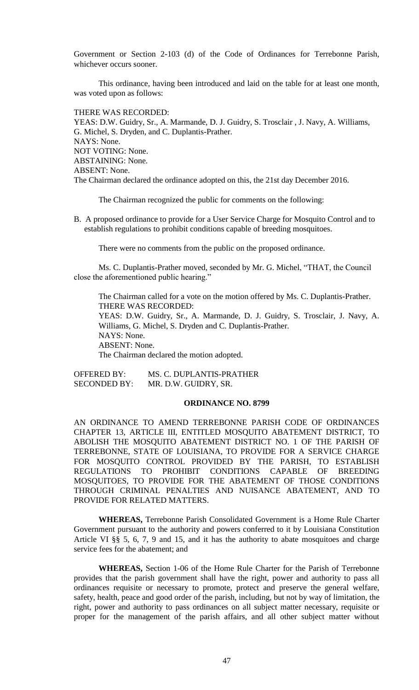Government or Section 2-103 (d) of the Code of Ordinances for Terrebonne Parish, whichever occurs sooner.

This ordinance, having been introduced and laid on the table for at least one month, was voted upon as follows:

THERE WAS RECORDED: YEAS: D.W. Guidry, Sr., A. Marmande, D. J. Guidry, S. Trosclair , J. Navy, A. Williams, G. Michel, S. Dryden, and C. Duplantis-Prather. NAYS: None. NOT VOTING: None. ABSTAINING: None. ABSENT: None. The Chairman declared the ordinance adopted on this, the 21st day December 2016.

The Chairman recognized the public for comments on the following:

B. A proposed ordinance to provide for a User Service Charge for Mosquito Control and to establish regulations to prohibit conditions capable of breeding mosquitoes.

There were no comments from the public on the proposed ordinance.

Ms. C. Duplantis-Prather moved, seconded by Mr. G. Michel, "THAT, the Council close the aforementioned public hearing."

The Chairman called for a vote on the motion offered by Ms. C. Duplantis-Prather. THERE WAS RECORDED: YEAS: D.W. Guidry, Sr., A. Marmande, D. J. Guidry, S. Trosclair, J. Navy, A. Williams, G. Michel, S. Dryden and C. Duplantis-Prather. NAYS: None. ABSENT: None. The Chairman declared the motion adopted.

OFFERED BY: MS. C. DUPLANTIS-PRATHER SECONDED BY: MR. D.W. GUIDRY, SR.

# **ORDINANCE NO. 8799**

AN ORDINANCE TO AMEND TERREBONNE PARISH CODE OF ORDINANCES CHAPTER 13, ARTICLE III, ENTITLED MOSQUITO ABATEMENT DISTRICT, TO ABOLISH THE MOSQUITO ABATEMENT DISTRICT NO. 1 OF THE PARISH OF TERREBONNE, STATE OF LOUISIANA, TO PROVIDE FOR A SERVICE CHARGE FOR MOSQUITO CONTROL PROVIDED BY THE PARISH, TO ESTABLISH REGULATIONS TO PROHIBIT CONDITIONS CAPABLE OF BREEDING MOSQUITOES, TO PROVIDE FOR THE ABATEMENT OF THOSE CONDITIONS THROUGH CRIMINAL PENALTIES AND NUISANCE ABATEMENT, AND TO PROVIDE FOR RELATED MATTERS.

**WHEREAS,** Terrebonne Parish Consolidated Government is a Home Rule Charter Government pursuant to the authority and powers conferred to it by Louisiana Constitution Article VI §§ 5, 6, 7, 9 and 15, and it has the authority to abate mosquitoes and charge service fees for the abatement; and

**WHEREAS,** Section 1-06 of the Home Rule Charter for the Parish of Terrebonne provides that the parish government shall have the right, power and authority to pass all ordinances requisite or necessary to promote, protect and preserve the general welfare, safety, health, peace and good order of the parish, including, but not by way of limitation, the right, power and authority to pass ordinances on all subject matter necessary, requisite or proper for the management of the parish affairs, and all other subject matter without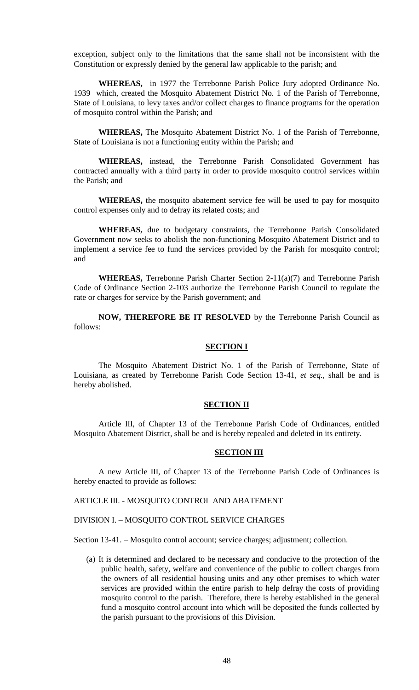exception, subject only to the limitations that the same shall not be inconsistent with the Constitution or expressly denied by the general law applicable to the parish; and

**WHEREAS,** in 1977 the Terrebonne Parish Police Jury adopted Ordinance No. 1939 which, created the Mosquito Abatement District No. 1 of the Parish of Terrebonne, State of Louisiana, to levy taxes and/or collect charges to finance programs for the operation of mosquito control within the Parish; and

**WHEREAS,** The Mosquito Abatement District No. 1 of the Parish of Terrebonne, State of Louisiana is not a functioning entity within the Parish; and

**WHEREAS,** instead, the Terrebonne Parish Consolidated Government has contracted annually with a third party in order to provide mosquito control services within the Parish; and

**WHEREAS,** the mosquito abatement service fee will be used to pay for mosquito control expenses only and to defray its related costs; and

**WHEREAS,** due to budgetary constraints, the Terrebonne Parish Consolidated Government now seeks to abolish the non-functioning Mosquito Abatement District and to implement a service fee to fund the services provided by the Parish for mosquito control; and

**WHEREAS,** Terrebonne Parish Charter Section 2-11(a)(7) and Terrebonne Parish Code of Ordinance Section 2-103 authorize the Terrebonne Parish Council to regulate the rate or charges for service by the Parish government; and

**NOW, THEREFORE BE IT RESOLVED** by the Terrebonne Parish Council as follows:

# **SECTION I**

The Mosquito Abatement District No. 1 of the Parish of Terrebonne, State of Louisiana, as created by Terrebonne Parish Code Section 13-41, *et seq.,* shall be and is hereby abolished.

### **SECTION II**

Article III, of Chapter 13 of the Terrebonne Parish Code of Ordinances, entitled Mosquito Abatement District, shall be and is hereby repealed and deleted in its entirety.

# **SECTION III**

A new Article III, of Chapter 13 of the Terrebonne Parish Code of Ordinances is hereby enacted to provide as follows:

ARTICLE III. - MOSQUITO CONTROL AND ABATEMENT

# DIVISION I. – MOSQUITO CONTROL SERVICE CHARGES

Section 13-41. – Mosquito control account; service charges; adjustment; collection.

(a) It is determined and declared to be necessary and conducive to the protection of the public health, safety, welfare and convenience of the public to collect charges from the owners of all residential housing units and any other premises to which water services are provided within the entire parish to help defray the costs of providing mosquito control to the parish. Therefore, there is hereby established in the general fund a mosquito control account into which will be deposited the funds collected by the parish pursuant to the provisions of this Division.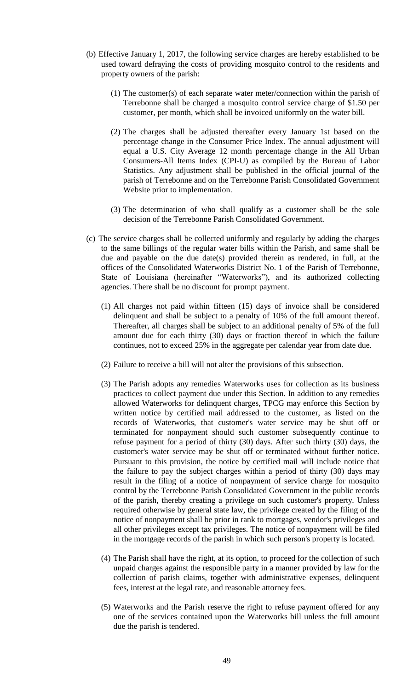- (b) Effective January 1, 2017, the following service charges are hereby established to be used toward defraying the costs of providing mosquito control to the residents and property owners of the parish:
	- (1) The customer(s) of each separate water meter/connection within the parish of Terrebonne shall be charged a mosquito control service charge of \$1.50 per customer, per month, which shall be invoiced uniformly on the water bill.
	- (2) The charges shall be adjusted thereafter every January 1st based on the percentage change in the Consumer Price Index. The annual adjustment will equal a U.S. City Average 12 month percentage change in the All Urban Consumers-All Items Index (CPI-U) as compiled by the Bureau of Labor Statistics. Any adjustment shall be published in the official journal of the parish of Terrebonne and on the Terrebonne Parish Consolidated Government Website prior to implementation.
	- (3) The determination of who shall qualify as a customer shall be the sole decision of the Terrebonne Parish Consolidated Government.
- (c) The service charges shall be collected uniformly and regularly by adding the charges to the same billings of the regular water bills within the Parish, and same shall be due and payable on the due date(s) provided therein as rendered, in full, at the offices of the Consolidated Waterworks District No. 1 of the Parish of Terrebonne, State of Louisiana (hereinafter "Waterworks"), and its authorized collecting agencies. There shall be no discount for prompt payment.
	- (1) All charges not paid within fifteen (15) days of invoice shall be considered delinquent and shall be subject to a penalty of 10% of the full amount thereof. Thereafter, all charges shall be subject to an additional penalty of 5% of the full amount due for each thirty (30) days or fraction thereof in which the failure continues, not to exceed 25% in the aggregate per calendar year from date due.
	- (2) Failure to receive a bill will not alter the provisions of this subsection.
	- (3) The Parish adopts any remedies Waterworks uses for collection as its business practices to collect payment due under this Section. In addition to any remedies allowed Waterworks for delinquent charges, TPCG may enforce this Section by written notice by certified mail addressed to the customer, as listed on the records of Waterworks, that customer's water service may be shut off or terminated for nonpayment should such customer subsequently continue to refuse payment for a period of thirty (30) days. After such thirty (30) days, the customer's water service may be shut off or terminated without further notice. Pursuant to this provision, the notice by certified mail will include notice that the failure to pay the subject charges within a period of thirty (30) days may result in the filing of a notice of nonpayment of service charge for mosquito control by the Terrebonne Parish Consolidated Government in the public records of the parish, thereby creating a privilege on such customer's property. Unless required otherwise by general state law, the privilege created by the filing of the notice of nonpayment shall be prior in rank to mortgages, vendor's privileges and all other privileges except tax privileges. The notice of nonpayment will be filed in the mortgage records of the parish in which such person's property is located.
	- (4) The Parish shall have the right, at its option, to proceed for the collection of such unpaid charges against the responsible party in a manner provided by law for the collection of parish claims, together with administrative expenses, delinquent fees, interest at the legal rate, and reasonable attorney fees.
	- (5) Waterworks and the Parish reserve the right to refuse payment offered for any one of the services contained upon the Waterworks bill unless the full amount due the parish is tendered.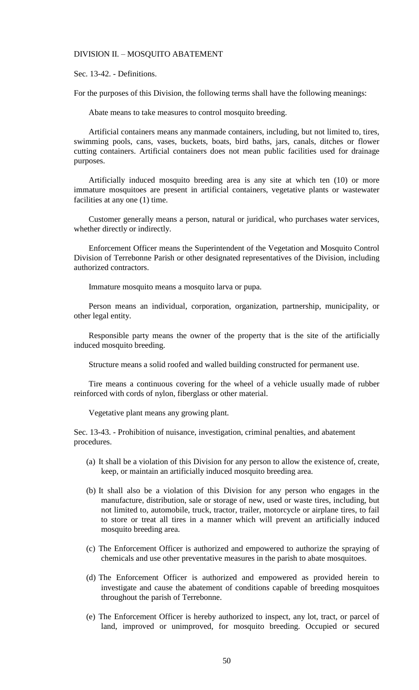#### DIVISION II. – MOSQUITO ABATEMENT

Sec. 13-42. - Definitions.

For the purposes of this Division, the following terms shall have the following meanings:

Abate means to take measures to control mosquito breeding.

Artificial containers means any manmade containers, including, but not limited to, tires, swimming pools, cans, vases, buckets, boats, bird baths, jars, canals, ditches or flower cutting containers. Artificial containers does not mean public facilities used for drainage purposes.

Artificially induced mosquito breeding area is any site at which ten (10) or more immature mosquitoes are present in artificial containers, vegetative plants or wastewater facilities at any one (1) time.

Customer generally means a person, natural or juridical, who purchases water services, whether directly or indirectly.

Enforcement Officer means the Superintendent of the Vegetation and Mosquito Control Division of Terrebonne Parish or other designated representatives of the Division, including authorized contractors.

Immature mosquito means a mosquito larva or pupa.

Person means an individual, corporation, organization, partnership, municipality, or other legal entity.

Responsible party means the owner of the property that is the site of the artificially induced mosquito breeding.

Structure means a solid roofed and walled building constructed for permanent use.

Tire means a continuous covering for the wheel of a vehicle usually made of rubber reinforced with cords of nylon, fiberglass or other material.

Vegetative plant means any growing plant.

Sec. 13-43. - Prohibition of nuisance, investigation, criminal penalties, and abatement procedures.

- (a) It shall be a violation of this Division for any person to allow the existence of, create, keep, or maintain an artificially induced mosquito breeding area.
- (b) It shall also be a violation of this Division for any person who engages in the manufacture, distribution, sale or storage of new, used or waste tires, including, but not limited to, automobile, truck, tractor, trailer, motorcycle or airplane tires, to fail to store or treat all tires in a manner which will prevent an artificially induced mosquito breeding area.
- (c) The Enforcement Officer is authorized and empowered to authorize the spraying of chemicals and use other preventative measures in the parish to abate mosquitoes.
- (d) The Enforcement Officer is authorized and empowered as provided herein to investigate and cause the abatement of conditions capable of breeding mosquitoes throughout the parish of Terrebonne.
- (e) The Enforcement Officer is hereby authorized to inspect, any lot, tract, or parcel of land, improved or unimproved, for mosquito breeding. Occupied or secured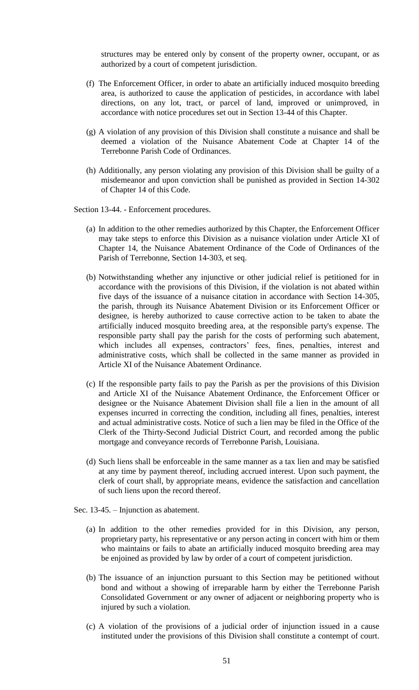structures may be entered only by consent of the property owner, occupant, or as authorized by a court of competent jurisdiction.

- (f) The Enforcement Officer, in order to abate an artificially induced mosquito breeding area, is authorized to cause the application of pesticides, in accordance with label directions, on any lot, tract, or parcel of land, improved or unimproved, in accordance with notice procedures set out in Section 13-44 of this Chapter.
- (g) A violation of any provision of this Division shall constitute a nuisance and shall be deemed a violation of the Nuisance Abatement Code at Chapter 14 of the Terrebonne Parish Code of Ordinances.
- (h) Additionally, any person violating any provision of this Division shall be guilty of a misdemeanor and upon conviction shall be punished as provided in Section 14-302 of Chapter 14 of this Code.

Section 13-44. - Enforcement procedures.

- (a) In addition to the other remedies authorized by this Chapter, the Enforcement Officer may take steps to enforce this Division as a nuisance violation under Article XI of Chapter 14, the Nuisance Abatement Ordinance of the Code of Ordinances of the Parish of Terrebonne, Section 14-303, et seq.
- (b) Notwithstanding whether any injunctive or other judicial relief is petitioned for in accordance with the provisions of this Division, if the violation is not abated within five days of the issuance of a nuisance citation in accordance with Section 14-305, the parish, through its Nuisance Abatement Division or its Enforcement Officer or designee, is hereby authorized to cause corrective action to be taken to abate the artificially induced mosquito breeding area, at the responsible party's expense. The responsible party shall pay the parish for the costs of performing such abatement, which includes all expenses, contractors' fees, fines, penalties, interest and administrative costs, which shall be collected in the same manner as provided in Article XI of the Nuisance Abatement Ordinance.
- (c) If the responsible party fails to pay the Parish as per the provisions of this Division and Article XI of the Nuisance Abatement Ordinance, the Enforcement Officer or designee or the Nuisance Abatement Division shall file a lien in the amount of all expenses incurred in correcting the condition, including all fines, penalties, interest and actual administrative costs. Notice of such a lien may be filed in the Office of the Clerk of the Thirty-Second Judicial District Court, and recorded among the public mortgage and conveyance records of Terrebonne Parish, Louisiana.
- (d) Such liens shall be enforceable in the same manner as a tax lien and may be satisfied at any time by payment thereof, including accrued interest. Upon such payment, the clerk of court shall, by appropriate means, evidence the satisfaction and cancellation of such liens upon the record thereof.
- Sec. 13-45. Injunction as abatement.
	- (a) In addition to the other remedies provided for in this Division, any person, proprietary party, his representative or any person acting in concert with him or them who maintains or fails to abate an artificially induced mosquito breeding area may be enjoined as provided by law by order of a court of competent jurisdiction.
	- (b) The issuance of an injunction pursuant to this Section may be petitioned without bond and without a showing of irreparable harm by either the Terrebonne Parish Consolidated Government or any owner of adjacent or neighboring property who is injured by such a violation.
	- (c) A violation of the provisions of a judicial order of injunction issued in a cause instituted under the provisions of this Division shall constitute a contempt of court.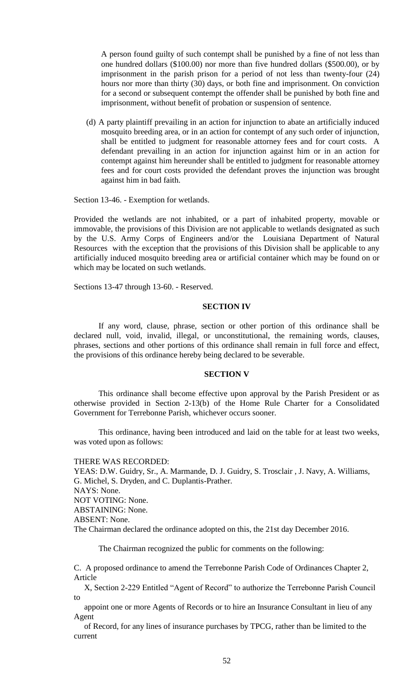A person found guilty of such contempt shall be punished by a fine of not less than one hundred dollars (\$100.00) nor more than five hundred dollars (\$500.00), or by imprisonment in the parish prison for a period of not less than twenty-four (24) hours nor more than thirty (30) days, or both fine and imprisonment. On conviction for a second or subsequent contempt the offender shall be punished by both fine and imprisonment, without benefit of probation or suspension of sentence.

(d) A party plaintiff prevailing in an action for injunction to abate an artificially induced mosquito breeding area, or in an action for contempt of any such order of injunction, shall be entitled to judgment for reasonable attorney fees and for court costs. A defendant prevailing in an action for injunction against him or in an action for contempt against him hereunder shall be entitled to judgment for reasonable attorney fees and for court costs provided the defendant proves the injunction was brought against him in bad faith.

Section 13-46. - Exemption for wetlands.

Provided the wetlands are not inhabited, or a part of inhabited property, movable or immovable, the provisions of this Division are not applicable to wetlands designated as such by the U.S. Army Corps of Engineers and/or the Louisiana Department of Natural Resources with the exception that the provisions of this Division shall be applicable to any artificially induced mosquito breeding area or artificial container which may be found on or which may be located on such wetlands.

Sections 13-47 through 13-60. - Reserved.

### **SECTION IV**

If any word, clause, phrase, section or other portion of this ordinance shall be declared null, void, invalid, illegal, or unconstitutional, the remaining words, clauses, phrases, sections and other portions of this ordinance shall remain in full force and effect, the provisions of this ordinance hereby being declared to be severable.

#### **SECTION V**

This ordinance shall become effective upon approval by the Parish President or as otherwise provided in Section 2-13(b) of the Home Rule Charter for a Consolidated Government for Terrebonne Parish, whichever occurs sooner.

This ordinance, having been introduced and laid on the table for at least two weeks, was voted upon as follows:

#### THERE WAS RECORDED:

YEAS: D.W. Guidry, Sr., A. Marmande, D. J. Guidry, S. Trosclair , J. Navy, A. Williams, G. Michel, S. Dryden, and C. Duplantis-Prather. NAYS: None. NOT VOTING: None. ABSTAINING: None. ABSENT: None. The Chairman declared the ordinance adopted on this, the 21st day December 2016.

The Chairman recognized the public for comments on the following:

C. A proposed ordinance to amend the Terrebonne Parish Code of Ordinances Chapter 2, Article

 X, Section 2-229 Entitled "Agent of Record" to authorize the Terrebonne Parish Council to

 appoint one or more Agents of Records or to hire an Insurance Consultant in lieu of any Agent

 of Record, for any lines of insurance purchases by TPCG, rather than be limited to the current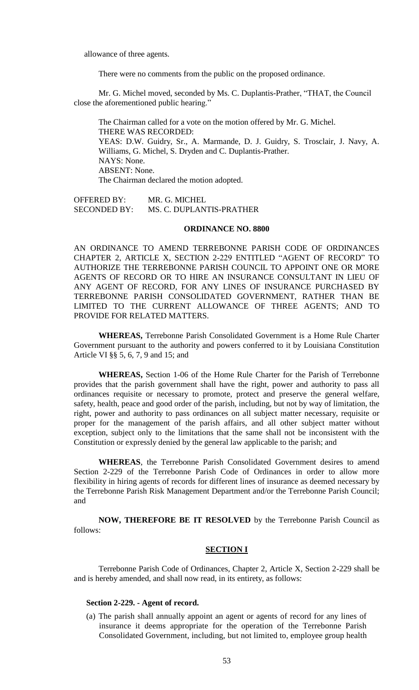allowance of three agents.

There were no comments from the public on the proposed ordinance.

Mr. G. Michel moved, seconded by Ms. C. Duplantis-Prather, "THAT, the Council close the aforementioned public hearing."

The Chairman called for a vote on the motion offered by Mr. G. Michel. THERE WAS RECORDED: YEAS: D.W. Guidry, Sr., A. Marmande, D. J. Guidry, S. Trosclair, J. Navy, A. Williams, G. Michel, S. Dryden and C. Duplantis-Prather. NAYS: None. ABSENT: None. The Chairman declared the motion adopted.

OFFERED BY: MR. G. MICHEL SECONDED BY: MS. C. DUPLANTIS-PRATHER

# **ORDINANCE NO. 8800**

AN ORDINANCE TO AMEND TERREBONNE PARISH CODE OF ORDINANCES CHAPTER 2, ARTICLE X, SECTION 2-229 ENTITLED "AGENT OF RECORD" TO AUTHORIZE THE TERREBONNE PARISH COUNCIL TO APPOINT ONE OR MORE AGENTS OF RECORD OR TO HIRE AN INSURANCE CONSULTANT IN LIEU OF ANY AGENT OF RECORD, FOR ANY LINES OF INSURANCE PURCHASED BY TERREBONNE PARISH CONSOLIDATED GOVERNMENT, RATHER THAN BE LIMITED TO THE CURRENT ALLOWANCE OF THREE AGENTS; AND TO PROVIDE FOR RELATED MATTERS.

**WHEREAS,** Terrebonne Parish Consolidated Government is a Home Rule Charter Government pursuant to the authority and powers conferred to it by Louisiana Constitution Article VI §§ 5, 6, 7, 9 and 15; and

**WHEREAS,** Section 1-06 of the Home Rule Charter for the Parish of Terrebonne provides that the parish government shall have the right, power and authority to pass all ordinances requisite or necessary to promote, protect and preserve the general welfare, safety, health, peace and good order of the parish, including, but not by way of limitation, the right, power and authority to pass ordinances on all subject matter necessary, requisite or proper for the management of the parish affairs, and all other subject matter without exception, subject only to the limitations that the same shall not be inconsistent with the Constitution or expressly denied by the general law applicable to the parish; and

**WHEREAS**, the Terrebonne Parish Consolidated Government desires to amend Section 2-229 of the Terrebonne Parish Code of Ordinances in order to allow more flexibility in hiring agents of records for different lines of insurance as deemed necessary by the Terrebonne Parish Risk Management Department and/or the Terrebonne Parish Council; and

**NOW, THEREFORE BE IT RESOLVED** by the Terrebonne Parish Council as follows:

#### **SECTION I**

Terrebonne Parish Code of Ordinances, Chapter 2, Article X, Section 2-229 shall be and is hereby amended, and shall now read, in its entirety, as follows:

### **Section 2-229. - Agent of record.**

(a) The parish shall annually appoint an agent or agents of record for any lines of insurance it deems appropriate for the operation of the Terrebonne Parish Consolidated Government, including, but not limited to, employee group health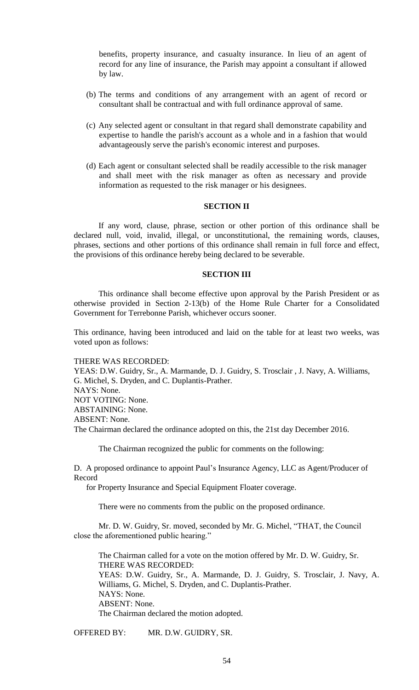benefits, property insurance, and casualty insurance. In lieu of an agent of record for any line of insurance, the Parish may appoint a consultant if allowed by law.

- (b) The terms and conditions of any arrangement with an agent of record or consultant shall be contractual and with full ordinance approval of same.
- (c) Any selected agent or consultant in that regard shall demonstrate capability and expertise to handle the parish's account as a whole and in a fashion that would advantageously serve the parish's economic interest and purposes.
- (d) Each agent or consultant selected shall be readily accessible to the risk manager and shall meet with the risk manager as often as necessary and provide information as requested to the risk manager or his designees.

## **SECTION II**

If any word, clause, phrase, section or other portion of this ordinance shall be declared null, void, invalid, illegal, or unconstitutional, the remaining words, clauses, phrases, sections and other portions of this ordinance shall remain in full force and effect, the provisions of this ordinance hereby being declared to be severable.

## **SECTION III**

This ordinance shall become effective upon approval by the Parish President or as otherwise provided in Section 2-13(b) of the Home Rule Charter for a Consolidated Government for Terrebonne Parish, whichever occurs sooner.

This ordinance, having been introduced and laid on the table for at least two weeks, was voted upon as follows:

#### THERE WAS RECORDED:

YEAS: D.W. Guidry, Sr., A. Marmande, D. J. Guidry, S. Trosclair , J. Navy, A. Williams, G. Michel, S. Dryden, and C. Duplantis-Prather. NAYS: None. NOT VOTING: None. ABSTAINING: None. ABSENT: None. The Chairman declared the ordinance adopted on this, the 21st day December 2016.

The Chairman recognized the public for comments on the following:

D. A proposed ordinance to appoint Paul's Insurance Agency, LLC as Agent/Producer of Record

for Property Insurance and Special Equipment Floater coverage.

There were no comments from the public on the proposed ordinance.

Mr. D. W. Guidry, Sr. moved, seconded by Mr. G. Michel, "THAT, the Council close the aforementioned public hearing."

The Chairman called for a vote on the motion offered by Mr. D. W. Guidry, Sr. THERE WAS RECORDED: YEAS: D.W. Guidry, Sr., A. Marmande, D. J. Guidry, S. Trosclair, J. Navy, A. Williams, G. Michel, S. Dryden, and C. Duplantis-Prather. NAYS: None. ABSENT: None. The Chairman declared the motion adopted.

OFFERED BY: MR. D.W. GUIDRY, SR.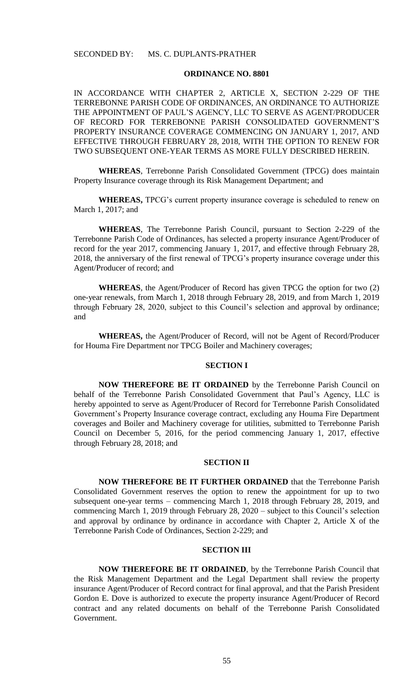#### **ORDINANCE NO. 8801**

IN ACCORDANCE WITH CHAPTER 2, ARTICLE X, SECTION 2-229 OF THE TERREBONNE PARISH CODE OF ORDINANCES, AN ORDINANCE TO AUTHORIZE THE APPOINTMENT OF PAUL'S AGENCY, LLC TO SERVE AS AGENT/PRODUCER OF RECORD FOR TERREBONNE PARISH CONSOLIDATED GOVERNMENT'S PROPERTY INSURANCE COVERAGE COMMENCING ON JANUARY 1, 2017, AND EFFECTIVE THROUGH FEBRUARY 28, 2018, WITH THE OPTION TO RENEW FOR TWO SUBSEQUENT ONE-YEAR TERMS AS MORE FULLY DESCRIBED HEREIN.

**WHEREAS**, Terrebonne Parish Consolidated Government (TPCG) does maintain Property Insurance coverage through its Risk Management Department; and

**WHEREAS,** TPCG's current property insurance coverage is scheduled to renew on March 1, 2017; and

**WHEREAS**, The Terrebonne Parish Council, pursuant to Section 2-229 of the Terrebonne Parish Code of Ordinances, has selected a property insurance Agent/Producer of record for the year 2017, commencing January 1, 2017, and effective through February 28, 2018, the anniversary of the first renewal of TPCG's property insurance coverage under this Agent/Producer of record; and

**WHEREAS**, the Agent/Producer of Record has given TPCG the option for two (2) one-year renewals, from March 1, 2018 through February 28, 2019, and from March 1, 2019 through February 28, 2020, subject to this Council's selection and approval by ordinance; and

**WHEREAS,** the Agent/Producer of Record, will not be Agent of Record/Producer for Houma Fire Department nor TPCG Boiler and Machinery coverages;

# **SECTION I**

**NOW THEREFORE BE IT ORDAINED** by the Terrebonne Parish Council on behalf of the Terrebonne Parish Consolidated Government that Paul's Agency, LLC is hereby appointed to serve as Agent/Producer of Record for Terrebonne Parish Consolidated Government's Property Insurance coverage contract, excluding any Houma Fire Department coverages and Boiler and Machinery coverage for utilities, submitted to Terrebonne Parish Council on December 5, 2016, for the period commencing January 1, 2017, effective through February 28, 2018; and

### **SECTION II**

**NOW THEREFORE BE IT FURTHER ORDAINED** that the Terrebonne Parish Consolidated Government reserves the option to renew the appointment for up to two subsequent one-year terms – commencing March 1, 2018 through February 28, 2019, and commencing March 1, 2019 through February 28, 2020 – subject to this Council's selection and approval by ordinance by ordinance in accordance with Chapter 2, Article X of the Terrebonne Parish Code of Ordinances, Section 2-229; and

### **SECTION III**

**NOW THEREFORE BE IT ORDAINED**, by the Terrebonne Parish Council that the Risk Management Department and the Legal Department shall review the property insurance Agent/Producer of Record contract for final approval, and that the Parish President Gordon E. Dove is authorized to execute the property insurance Agent/Producer of Record contract and any related documents on behalf of the Terrebonne Parish Consolidated Government.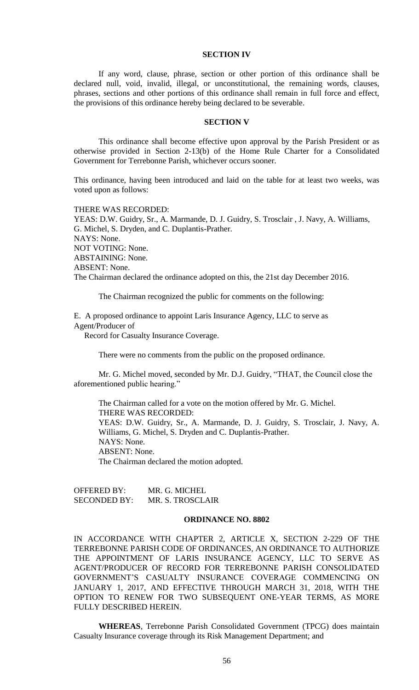### **SECTION IV**

If any word, clause, phrase, section or other portion of this ordinance shall be declared null, void, invalid, illegal, or unconstitutional, the remaining words, clauses, phrases, sections and other portions of this ordinance shall remain in full force and effect, the provisions of this ordinance hereby being declared to be severable.

### **SECTION V**

This ordinance shall become effective upon approval by the Parish President or as otherwise provided in Section 2-13(b) of the Home Rule Charter for a Consolidated Government for Terrebonne Parish, whichever occurs sooner.

This ordinance, having been introduced and laid on the table for at least two weeks, was voted upon as follows:

THERE WAS RECORDED:

YEAS: D.W. Guidry, Sr., A. Marmande, D. J. Guidry, S. Trosclair , J. Navy, A. Williams, G. Michel, S. Dryden, and C. Duplantis-Prather. NAYS: None. NOT VOTING: None. ABSTAINING: None. ABSENT: None. The Chairman declared the ordinance adopted on this, the 21st day December 2016.

The Chairman recognized the public for comments on the following:

E. A proposed ordinance to appoint Laris Insurance Agency, LLC to serve as Agent/Producer of

Record for Casualty Insurance Coverage.

There were no comments from the public on the proposed ordinance.

Mr. G. Michel moved, seconded by Mr. D.J. Guidry, "THAT, the Council close the aforementioned public hearing."

The Chairman called for a vote on the motion offered by Mr. G. Michel. THERE WAS RECORDED: YEAS: D.W. Guidry, Sr., A. Marmande, D. J. Guidry, S. Trosclair, J. Navy, A. Williams, G. Michel, S. Dryden and C. Duplantis-Prather. NAYS: None. ABSENT: None. The Chairman declared the motion adopted.

OFFERED BY: MR. G. MICHEL SECONDED BY: MR. S. TROSCLAIR

## **ORDINANCE NO. 8802**

IN ACCORDANCE WITH CHAPTER 2, ARTICLE X, SECTION 2-229 OF THE TERREBONNE PARISH CODE OF ORDINANCES, AN ORDINANCE TO AUTHORIZE THE APPOINTMENT OF LARIS INSURANCE AGENCY, LLC TO SERVE AS AGENT/PRODUCER OF RECORD FOR TERREBONNE PARISH CONSOLIDATED GOVERNMENT'S CASUALTY INSURANCE COVERAGE COMMENCING ON JANUARY 1, 2017, AND EFFECTIVE THROUGH MARCH 31, 2018, WITH THE OPTION TO RENEW FOR TWO SUBSEQUENT ONE-YEAR TERMS, AS MORE FULLY DESCRIBED HEREIN.

**WHEREAS**, Terrebonne Parish Consolidated Government (TPCG) does maintain Casualty Insurance coverage through its Risk Management Department; and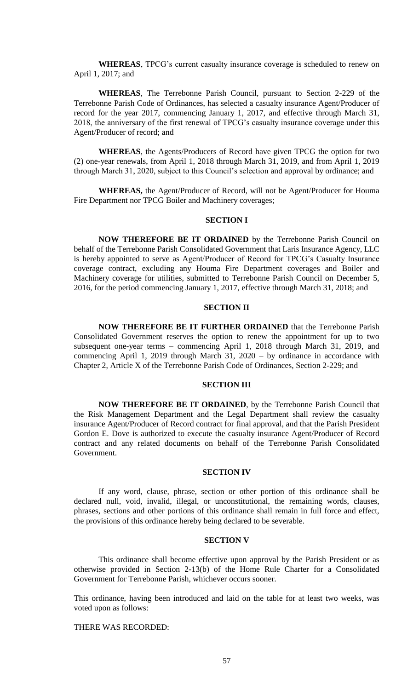**WHEREAS**, TPCG's current casualty insurance coverage is scheduled to renew on April 1, 2017; and

**WHEREAS**, The Terrebonne Parish Council, pursuant to Section 2-229 of the Terrebonne Parish Code of Ordinances, has selected a casualty insurance Agent/Producer of record for the year 2017, commencing January 1, 2017, and effective through March 31, 2018, the anniversary of the first renewal of TPCG's casualty insurance coverage under this Agent/Producer of record; and

**WHEREAS**, the Agents/Producers of Record have given TPCG the option for two (2) one-year renewals, from April 1, 2018 through March 31, 2019, and from April 1, 2019 through March 31, 2020, subject to this Council's selection and approval by ordinance; and

**WHEREAS,** the Agent/Producer of Record, will not be Agent/Producer for Houma Fire Department nor TPCG Boiler and Machinery coverages;

### **SECTION I**

**NOW THEREFORE BE IT ORDAINED** by the Terrebonne Parish Council on behalf of the Terrebonne Parish Consolidated Government that Laris Insurance Agency, LLC is hereby appointed to serve as Agent/Producer of Record for TPCG's Casualty Insurance coverage contract, excluding any Houma Fire Department coverages and Boiler and Machinery coverage for utilities, submitted to Terrebonne Parish Council on December 5, 2016, for the period commencing January 1, 2017, effective through March 31, 2018; and

### **SECTION II**

**NOW THEREFORE BE IT FURTHER ORDAINED** that the Terrebonne Parish Consolidated Government reserves the option to renew the appointment for up to two subsequent one-year terms – commencing April 1, 2018 through March 31, 2019, and commencing April 1, 2019 through March 31, 2020 – by ordinance in accordance with Chapter 2, Article X of the Terrebonne Parish Code of Ordinances, Section 2-229; and

### **SECTION III**

**NOW THEREFORE BE IT ORDAINED**, by the Terrebonne Parish Council that the Risk Management Department and the Legal Department shall review the casualty insurance Agent/Producer of Record contract for final approval, and that the Parish President Gordon E. Dove is authorized to execute the casualty insurance Agent/Producer of Record contract and any related documents on behalf of the Terrebonne Parish Consolidated Government.

### **SECTION IV**

If any word, clause, phrase, section or other portion of this ordinance shall be declared null, void, invalid, illegal, or unconstitutional, the remaining words, clauses, phrases, sections and other portions of this ordinance shall remain in full force and effect, the provisions of this ordinance hereby being declared to be severable.

#### **SECTION V**

This ordinance shall become effective upon approval by the Parish President or as otherwise provided in Section 2-13(b) of the Home Rule Charter for a Consolidated Government for Terrebonne Parish, whichever occurs sooner.

This ordinance, having been introduced and laid on the table for at least two weeks, was voted upon as follows:

THERE WAS RECORDED: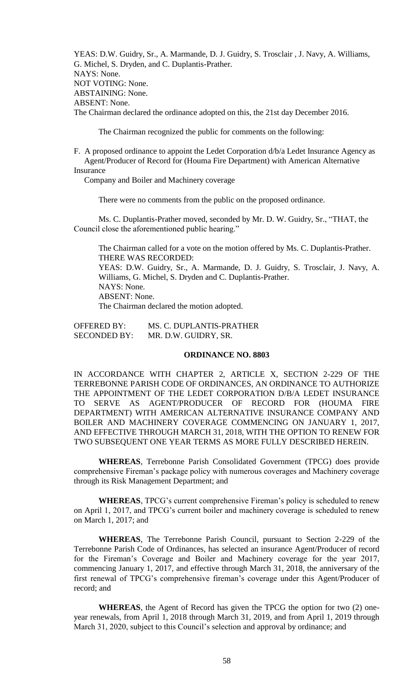YEAS: D.W. Guidry, Sr., A. Marmande, D. J. Guidry, S. Trosclair , J. Navy, A. Williams, G. Michel, S. Dryden, and C. Duplantis-Prather. NAYS: None. NOT VOTING: None. ABSTAINING: None. ABSENT: None. The Chairman declared the ordinance adopted on this, the 21st day December 2016.

The Chairman recognized the public for comments on the following:

F. A proposed ordinance to appoint the Ledet Corporation d/b/a Ledet Insurance Agency as Agent/Producer of Record for (Houma Fire Department) with American Alternative Insurance

Company and Boiler and Machinery coverage

There were no comments from the public on the proposed ordinance.

Ms. C. Duplantis-Prather moved, seconded by Mr. D. W. Guidry, Sr., "THAT, the Council close the aforementioned public hearing."

The Chairman called for a vote on the motion offered by Ms. C. Duplantis-Prather. THERE WAS RECORDED:

YEAS: D.W. Guidry, Sr., A. Marmande, D. J. Guidry, S. Trosclair, J. Navy, A. Williams, G. Michel, S. Dryden and C. Duplantis-Prather. NAYS: None. ABSENT: None.

The Chairman declared the motion adopted.

| <b>OFFERED BY:</b>  | MS. C. DUPLANTIS-PRATHER |
|---------------------|--------------------------|
| <b>SECONDED BY:</b> | MR. D.W. GUIDRY, SR.     |

### **ORDINANCE NO. 8803**

IN ACCORDANCE WITH CHAPTER 2, ARTICLE X, SECTION 2-229 OF THE TERREBONNE PARISH CODE OF ORDINANCES, AN ORDINANCE TO AUTHORIZE THE APPOINTMENT OF THE LEDET CORPORATION D/B/A LEDET INSURANCE TO SERVE AS AGENT/PRODUCER OF RECORD FOR (HOUMA FIRE DEPARTMENT) WITH AMERICAN ALTERNATIVE INSURANCE COMPANY AND BOILER AND MACHINERY COVERAGE COMMENCING ON JANUARY 1, 2017, AND EFFECTIVE THROUGH MARCH 31, 2018, WITH THE OPTION TO RENEW FOR TWO SUBSEQUENT ONE YEAR TERMS AS MORE FULLY DESCRIBED HEREIN.

**WHEREAS**, Terrebonne Parish Consolidated Government (TPCG) does provide comprehensive Fireman's package policy with numerous coverages and Machinery coverage through its Risk Management Department; and

**WHEREAS**, TPCG's current comprehensive Fireman's policy is scheduled to renew on April 1, 2017, and TPCG's current boiler and machinery coverage is scheduled to renew on March 1, 2017; and

**WHEREAS**, The Terrebonne Parish Council, pursuant to Section 2-229 of the Terrebonne Parish Code of Ordinances, has selected an insurance Agent/Producer of record for the Fireman's Coverage and Boiler and Machinery coverage for the year 2017, commencing January 1, 2017, and effective through March 31, 2018, the anniversary of the first renewal of TPCG's comprehensive fireman's coverage under this Agent/Producer of record; and

**WHEREAS**, the Agent of Record has given the TPCG the option for two (2) oneyear renewals, from April 1, 2018 through March 31, 2019, and from April 1, 2019 through March 31, 2020, subject to this Council's selection and approval by ordinance; and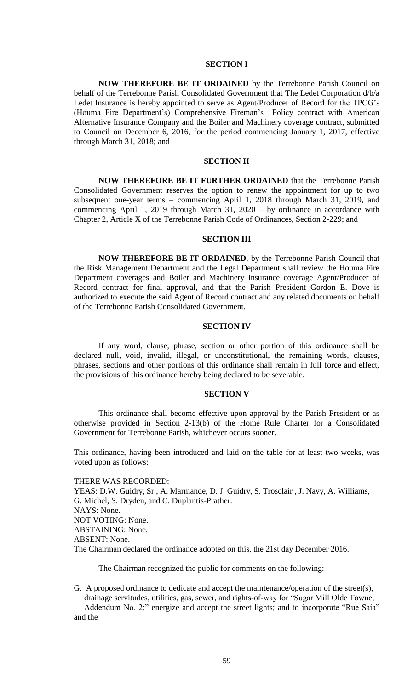#### **SECTION I**

**NOW THEREFORE BE IT ORDAINED** by the Terrebonne Parish Council on behalf of the Terrebonne Parish Consolidated Government that The Ledet Corporation d/b/a Ledet Insurance is hereby appointed to serve as Agent/Producer of Record for the TPCG's (Houma Fire Department's) Comprehensive Fireman's Policy contract with American Alternative Insurance Company and the Boiler and Machinery coverage contract, submitted to Council on December 6, 2016, for the period commencing January 1, 2017, effective through March 31, 2018; and

### **SECTION II**

**NOW THEREFORE BE IT FURTHER ORDAINED** that the Terrebonne Parish Consolidated Government reserves the option to renew the appointment for up to two subsequent one-year terms – commencing April 1, 2018 through March 31, 2019, and commencing April 1, 2019 through March 31, 2020 – by ordinance in accordance with Chapter 2, Article X of the Terrebonne Parish Code of Ordinances, Section 2-229; and

#### **SECTION III**

**NOW THEREFORE BE IT ORDAINED**, by the Terrebonne Parish Council that the Risk Management Department and the Legal Department shall review the Houma Fire Department coverages and Boiler and Machinery Insurance coverage Agent/Producer of Record contract for final approval, and that the Parish President Gordon E. Dove is authorized to execute the said Agent of Record contract and any related documents on behalf of the Terrebonne Parish Consolidated Government.

#### **SECTION IV**

If any word, clause, phrase, section or other portion of this ordinance shall be declared null, void, invalid, illegal, or unconstitutional, the remaining words, clauses, phrases, sections and other portions of this ordinance shall remain in full force and effect, the provisions of this ordinance hereby being declared to be severable.

### **SECTION V**

This ordinance shall become effective upon approval by the Parish President or as otherwise provided in Section 2-13(b) of the Home Rule Charter for a Consolidated Government for Terrebonne Parish, whichever occurs sooner.

This ordinance, having been introduced and laid on the table for at least two weeks, was voted upon as follows:

### THERE WAS RECORDED:

YEAS: D.W. Guidry, Sr., A. Marmande, D. J. Guidry, S. Trosclair , J. Navy, A. Williams, G. Michel, S. Dryden, and C. Duplantis-Prather. NAYS: None. NOT VOTING: None. ABSTAINING: None. ABSENT: None. The Chairman declared the ordinance adopted on this, the 21st day December 2016.

The Chairman recognized the public for comments on the following:

G. A proposed ordinance to dedicate and accept the maintenance/operation of the street(s), drainage servitudes, utilities, gas, sewer, and rights-of-way for "Sugar Mill Olde Towne,

 Addendum No. 2;" energize and accept the street lights; and to incorporate "Rue Saia" and the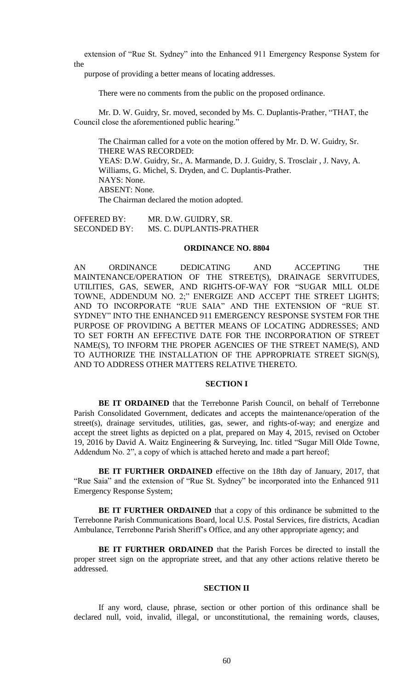extension of "Rue St. Sydney" into the Enhanced 911 Emergency Response System for the

purpose of providing a better means of locating addresses.

There were no comments from the public on the proposed ordinance.

Mr. D. W. Guidry, Sr. moved, seconded by Ms. C. Duplantis-Prather, "THAT, the Council close the aforementioned public hearing."

The Chairman called for a vote on the motion offered by Mr. D. W. Guidry, Sr. THERE WAS RECORDED: YEAS: D.W. Guidry, Sr., A. Marmande, D. J. Guidry, S. Trosclair , J. Navy, A. Williams, G. Michel, S. Dryden, and C. Duplantis-Prather. NAYS: None. ABSENT: None. The Chairman declared the motion adopted.

OFFERED BY: MR. D.W. GUIDRY, SR. SECONDED BY: MS. C. DUPLANTIS-PRATHER

### **ORDINANCE NO. 8804**

AN ORDINANCE DEDICATING AND ACCEPTING THE MAINTENANCE/OPERATION OF THE STREET(S), DRAINAGE SERVITUDES, UTILITIES, GAS, SEWER, AND RIGHTS-OF-WAY FOR "SUGAR MILL OLDE TOWNE, ADDENDUM NO. 2;" ENERGIZE AND ACCEPT THE STREET LIGHTS; AND TO INCORPORATE "RUE SAIA" AND THE EXTENSION OF "RUE ST. SYDNEY" INTO THE ENHANCED 911 EMERGENCY RESPONSE SYSTEM FOR THE PURPOSE OF PROVIDING A BETTER MEANS OF LOCATING ADDRESSES; AND TO SET FORTH AN EFFECTIVE DATE FOR THE INCORPORATION OF STREET NAME(S), TO INFORM THE PROPER AGENCIES OF THE STREET NAME(S), AND TO AUTHORIZE THE INSTALLATION OF THE APPROPRIATE STREET SIGN(S), AND TO ADDRESS OTHER MATTERS RELATIVE THERETO.

# **SECTION I**

**BE IT ORDAINED** that the Terrebonne Parish Council, on behalf of Terrebonne Parish Consolidated Government, dedicates and accepts the maintenance/operation of the street(s), drainage servitudes, utilities, gas, sewer, and rights-of-way; and energize and accept the street lights as depicted on a plat, prepared on May 4, 2015, revised on October 19, 2016 by David A. Waitz Engineering & Surveying, Inc. titled "Sugar Mill Olde Towne, Addendum No. 2", a copy of which is attached hereto and made a part hereof;

**BE IT FURTHER ORDAINED** effective on the 18th day of January, 2017, that "Rue Saia" and the extension of "Rue St. Sydney" be incorporated into the Enhanced 911 Emergency Response System;

**BE IT FURTHER ORDAINED** that a copy of this ordinance be submitted to the Terrebonne Parish Communications Board, local U.S. Postal Services, fire districts, Acadian Ambulance, Terrebonne Parish Sheriff's Office, and any other appropriate agency; and

**BE IT FURTHER ORDAINED** that the Parish Forces be directed to install the proper street sign on the appropriate street, and that any other actions relative thereto be addressed.

# **SECTION II**

If any word, clause, phrase, section or other portion of this ordinance shall be declared null, void, invalid, illegal, or unconstitutional, the remaining words, clauses,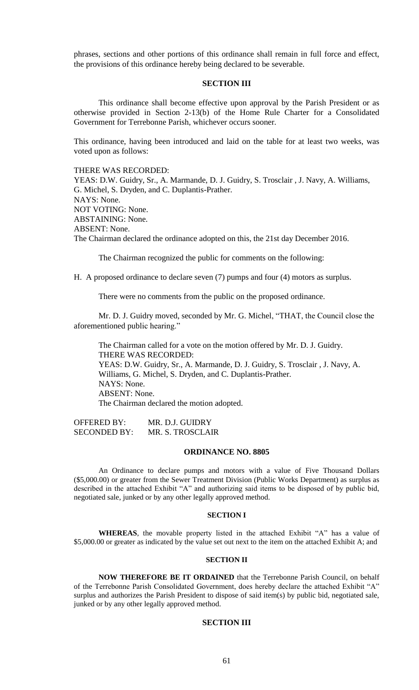phrases, sections and other portions of this ordinance shall remain in full force and effect, the provisions of this ordinance hereby being declared to be severable.

### **SECTION III**

This ordinance shall become effective upon approval by the Parish President or as otherwise provided in Section 2-13(b) of the Home Rule Charter for a Consolidated Government for Terrebonne Parish, whichever occurs sooner.

This ordinance, having been introduced and laid on the table for at least two weeks, was voted upon as follows:

#### THERE WAS RECORDED:

YEAS: D.W. Guidry, Sr., A. Marmande, D. J. Guidry, S. Trosclair , J. Navy, A. Williams, G. Michel, S. Dryden, and C. Duplantis-Prather. NAYS: None. NOT VOTING: None. ABSTAINING: None. ABSENT: None. The Chairman declared the ordinance adopted on this, the 21st day December 2016.

The Chairman recognized the public for comments on the following:

H. A proposed ordinance to declare seven (7) pumps and four (4) motors as surplus.

There were no comments from the public on the proposed ordinance.

Mr. D. J. Guidry moved, seconded by Mr. G. Michel, "THAT, the Council close the aforementioned public hearing."

The Chairman called for a vote on the motion offered by Mr. D. J. Guidry. THERE WAS RECORDED: YEAS: D.W. Guidry, Sr., A. Marmande, D. J. Guidry, S. Trosclair , J. Navy, A. Williams, G. Michel, S. Dryden, and C. Duplantis-Prather. NAYS: None. ABSENT: None. The Chairman declared the motion adopted.

OFFERED BY: MR. D.J. GUIDRY SECONDED BY: MR. S. TROSCLAIR

### **ORDINANCE NO. 8805**

An Ordinance to declare pumps and motors with a value of Five Thousand Dollars (\$5,000.00) or greater from the Sewer Treatment Division (Public Works Department) as surplus as described in the attached Exhibit "A" and authorizing said items to be disposed of by public bid, negotiated sale, junked or by any other legally approved method.

#### **SECTION I**

**WHEREAS**, the movable property listed in the attached Exhibit "A" has a value of \$5,000.00 or greater as indicated by the value set out next to the item on the attached Exhibit A; and

### **SECTION II**

**NOW THEREFORE BE IT ORDAINED** that the Terrebonne Parish Council, on behalf of the Terrebonne Parish Consolidated Government, does hereby declare the attached Exhibit "A" surplus and authorizes the Parish President to dispose of said item(s) by public bid, negotiated sale, junked or by any other legally approved method.

### **SECTION III**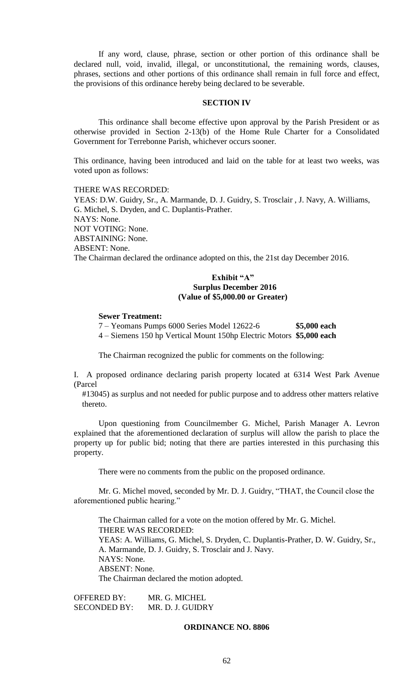If any word, clause, phrase, section or other portion of this ordinance shall be declared null, void, invalid, illegal, or unconstitutional, the remaining words, clauses, phrases, sections and other portions of this ordinance shall remain in full force and effect, the provisions of this ordinance hereby being declared to be severable.

### **SECTION IV**

This ordinance shall become effective upon approval by the Parish President or as otherwise provided in Section 2-13(b) of the Home Rule Charter for a Consolidated Government for Terrebonne Parish, whichever occurs sooner.

This ordinance, having been introduced and laid on the table for at least two weeks, was voted upon as follows:

# THERE WAS RECORDED:

YEAS: D.W. Guidry, Sr., A. Marmande, D. J. Guidry, S. Trosclair , J. Navy, A. Williams, G. Michel, S. Dryden, and C. Duplantis-Prather. NAYS: None. NOT VOTING: None. ABSTAINING: None. ABSENT: None. The Chairman declared the ordinance adopted on this, the 21st day December 2016.

# **Exhibit "A" Surplus December 2016 (Value of \$5,000.00 or Greater)**

## **Sewer Treatment:**

7 – Yeomans Pumps 6000 Series Model 12622-6 **\$5,000 each** 4 – Siemens 150 hp Vertical Mount 150hp Electric Motors **\$5,000 each**

The Chairman recognized the public for comments on the following:

I. A proposed ordinance declaring parish property located at 6314 West Park Avenue (Parcel

 #13045) as surplus and not needed for public purpose and to address other matters relative thereto.

Upon questioning from Councilmember G. Michel, Parish Manager A. Levron explained that the aforementioned declaration of surplus will allow the parish to place the property up for public bid; noting that there are parties interested in this purchasing this property.

There were no comments from the public on the proposed ordinance.

Mr. G. Michel moved, seconded by Mr. D. J. Guidry, "THAT, the Council close the aforementioned public hearing."

The Chairman called for a vote on the motion offered by Mr. G. Michel. THERE WAS RECORDED: YEAS: A. Williams, G. Michel, S. Dryden, C. Duplantis-Prather, D. W. Guidry, Sr., A. Marmande, D. J. Guidry, S. Trosclair and J. Navy. NAYS: None. ABSENT: None. The Chairman declared the motion adopted.

OFFERED BY: MR. G. MICHEL SECONDED BY: MR. D. J. GUIDRY

### **ORDINANCE NO. 8806**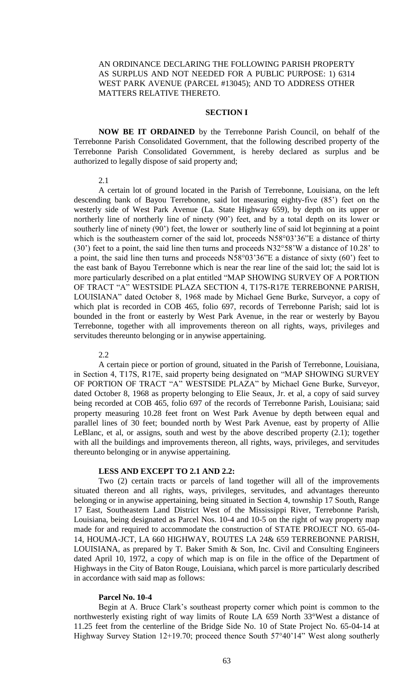# AN ORDINANCE DECLARING THE FOLLOWING PARISH PROPERTY AS SURPLUS AND NOT NEEDED FOR A PUBLIC PURPOSE: 1) 6314 WEST PARK AVENUE (PARCEL #13045); AND TO ADDRESS OTHER MATTERS RELATIVE THERETO.

## **SECTION I**

**NOW BE IT ORDAINED** by the Terrebonne Parish Council, on behalf of the Terrebonne Parish Consolidated Government, that the following described property of the Terrebonne Parish Consolidated Government, is hereby declared as surplus and be authorized to legally dispose of said property and;

2.1

A certain lot of ground located in the Parish of Terrebonne, Louisiana, on the left descending bank of Bayou Terrebonne, said lot measuring eighty-five (85') feet on the westerly side of West Park Avenue (La. State Highway 659), by depth on its upper or northerly line of northerly line of ninety (90') feet, and by a total depth on its lower or southerly line of ninety (90') feet, the lower or southerly line of said lot beginning at a point which is the southeastern corner of the said lot, proceeds N58°03'36"E a distance of thirty (30') feet to a point, the said line then turns and proceeds N32°58'W a distance of 10.28' to a point, the said line then turns and proceeds N58°03'36"E a distance of sixty (60') feet to the east bank of Bayou Terrebonne which is near the rear line of the said lot; the said lot is more particularly described on a plat entitled "MAP SHOWING SURVEY OF A PORTION OF TRACT "A" WESTSIDE PLAZA SECTION 4, T17S-R17E TERREBONNE PARISH, LOUISIANA" dated October 8, 1968 made by Michael Gene Burke, Surveyor, a copy of which plat is recorded in COB 465, folio 697, records of Terrebonne Parish; said lot is bounded in the front or easterly by West Park Avenue, in the rear or westerly by Bayou Terrebonne, together with all improvements thereon on all rights, ways, privileges and servitudes thereunto belonging or in anywise appertaining.

#### 2.2

A certain piece or portion of ground, situated in the Parish of Terrebonne, Louisiana, in Section 4, T17S, R17E, said property being designated on "MAP SHOWING SURVEY OF PORTION OF TRACT "A" WESTSIDE PLAZA" by Michael Gene Burke, Surveyor, dated October 8, 1968 as property belonging to Elie Seaux, Jr. et al, a copy of said survey being recorded at COB 465, folio 697 of the records of Terrebonne Parish, Louisiana; said property measuring 10.28 feet front on West Park Avenue by depth between equal and parallel lines of 30 feet; bounded north by West Park Avenue, east by property of Allie LeBlanc, et al, or assigns, south and west by the above described property (2.1); together with all the buildings and improvements thereon, all rights, ways, privileges, and servitudes thereunto belonging or in anywise appertaining.

### **LESS AND EXCEPT TO 2.1 AND 2.2:**

Two (2) certain tracts or parcels of land together will all of the improvements situated thereon and all rights, ways, privileges, servitudes, and advantages thereunto belonging or in anywise appertaining, being situated in Section 4, township 17 South, Range 17 East, Southeastern Land District West of the Mississippi River, Terrebonne Parish, Louisiana, being designated as Parcel Nos. 10-4 and 10-5 on the right of way property map made for and required to accommodate the construction of STATE PROJECT NO. 65-04- 14, HOUMA-JCT, LA 660 HIGHWAY, ROUTES LA 24& 659 TERREBONNE PARISH, LOUISIANA, as prepared by T. Baker Smith & Son, Inc. Civil and Consulting Engineers dated April 10, 1972, a copy of which map is on file in the office of the Department of Highways in the City of Baton Rouge, Louisiana, which parcel is more particularly described in accordance with said map as follows:

### **Parcel No. 10-4**

Begin at A. Bruce Clark's southeast property corner which point is common to the northwesterly existing right of way limits of Route LA 659 North 33°West a distance of 11.25 feet from the centerline of the Bridge Side No. 10 of State Project No. 65-04-14 at Highway Survey Station 12+19.70; proceed thence South 57°40'14" West along southerly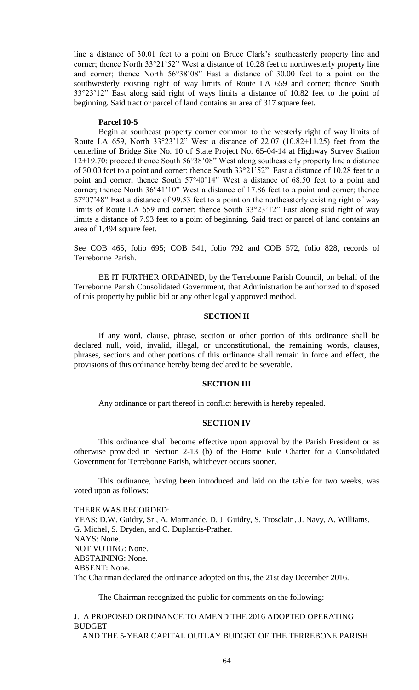line a distance of 30.01 feet to a point on Bruce Clark's southeasterly property line and corner; thence North 33°21'52" West a distance of 10.28 feet to northwesterly property line and corner; thence North 56°38'08" East a distance of 30.00 feet to a point on the southwesterly existing right of way limits of Route LA 659 and corner; thence South 33°23'12" East along said right of ways limits a distance of 10.82 feet to the point of beginning. Said tract or parcel of land contains an area of 317 square feet.

### **Parcel 10-5**

Begin at southeast property corner common to the westerly right of way limits of Route LA 659, North  $33^{\circ}23'12''$  West a distance of 22.07 (10.82+11.25) feet from the centerline of Bridge Site No. 10 of State Project No. 65-04-14 at Highway Survey Station 12+19.70: proceed thence South 56°38'08" West along southeasterly property line a distance of 30.00 feet to a point and corner; thence South 33°21'52" East a distance of 10.28 feet to a point and corner; thence South 57°40'14" West a distance of 68.50 feet to a point and corner; thence North 36°41'10" West a distance of 17.86 feet to a point and corner; thence 57°07'48" East a distance of 99.53 feet to a point on the northeasterly existing right of way limits of Route LA 659 and corner; thence South 33°23'12" East along said right of way limits a distance of 7.93 feet to a point of beginning. Said tract or parcel of land contains an area of 1,494 square feet.

See COB 465, folio 695; COB 541, folio 792 and COB 572, folio 828, records of Terrebonne Parish.

BE IT FURTHER ORDAINED, by the Terrebonne Parish Council, on behalf of the Terrebonne Parish Consolidated Government, that Administration be authorized to disposed of this property by public bid or any other legally approved method.

# **SECTION II**

If any word, clause, phrase, section or other portion of this ordinance shall be declared null, void, invalid, illegal, or unconstitutional, the remaining words, clauses, phrases, sections and other portions of this ordinance shall remain in force and effect, the provisions of this ordinance hereby being declared to be severable.

### **SECTION III**

Any ordinance or part thereof in conflict herewith is hereby repealed.

### **SECTION IV**

This ordinance shall become effective upon approval by the Parish President or as otherwise provided in Section 2-13 (b) of the Home Rule Charter for a Consolidated Government for Terrebonne Parish, whichever occurs sooner.

This ordinance, having been introduced and laid on the table for two weeks, was voted upon as follows:

#### THERE WAS RECORDED:

YEAS: D.W. Guidry, Sr., A. Marmande, D. J. Guidry, S. Trosclair , J. Navy, A. Williams, G. Michel, S. Dryden, and C. Duplantis-Prather. NAYS: None. NOT VOTING: None. ABSTAINING: None. ABSENT: None. The Chairman declared the ordinance adopted on this, the 21st day December 2016.

The Chairman recognized the public for comments on the following:

J. A PROPOSED ORDINANCE TO AMEND THE 2016 ADOPTED OPERATING BUDGET

AND THE 5-YEAR CAPITAL OUTLAY BUDGET OF THE TERREBONE PARISH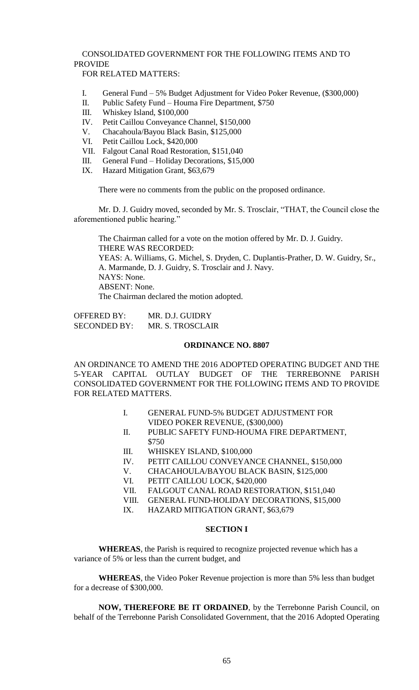# CONSOLIDATED GOVERNMENT FOR THE FOLLOWING ITEMS AND TO PROVIDE

FOR RELATED MATTERS:

- I. General Fund 5% Budget Adjustment for Video Poker Revenue, (\$300,000)
- II. Public Safety Fund Houma Fire Department, \$750
- III. Whiskey Island, \$100,000
- IV. Petit Caillou Conveyance Channel, \$150,000
- V. Chacahoula/Bayou Black Basin, \$125,000
- VI. Petit Caillou Lock, \$420,000
- VII. Falgout Canal Road Restoration, \$151,040
- III. General Fund Holiday Decorations, \$15,000
- IX. Hazard Mitigation Grant, \$63,679

There were no comments from the public on the proposed ordinance.

Mr. D. J. Guidry moved, seconded by Mr. S. Trosclair, "THAT, the Council close the aforementioned public hearing."

The Chairman called for a vote on the motion offered by Mr. D. J. Guidry. THERE WAS RECORDED: YEAS: A. Williams, G. Michel, S. Dryden, C. Duplantis-Prather, D. W. Guidry, Sr., A. Marmande, D. J. Guidry, S. Trosclair and J. Navy. NAYS: None. ABSENT: None. The Chairman declared the motion adopted.

OFFERED BY: MR. D.J. GUIDRY SECONDED BY: MR. S. TROSCLAIR

### **ORDINANCE NO. 8807**

AN ORDINANCE TO AMEND THE 2016 ADOPTED OPERATING BUDGET AND THE 5-YEAR CAPITAL OUTLAY BUDGET OF THE TERREBONNE PARISH CONSOLIDATED GOVERNMENT FOR THE FOLLOWING ITEMS AND TO PROVIDE FOR RELATED MATTERS.

- I. GENERAL FUND-5% BUDGET ADJUSTMENT FOR VIDEO POKER REVENUE, (\$300,000)
- II. PUBLIC SAFETY FUND-HOUMA FIRE DEPARTMENT, \$750
- III. WHISKEY ISLAND, \$100,000
- IV. PETIT CAILLOU CONVEYANCE CHANNEL, \$150,000
- V. CHACAHOULA/BAYOU BLACK BASIN, \$125,000
- VI. PETIT CAILLOU LOCK, \$420,000
- VII. FALGOUT CANAL ROAD RESTORATION, \$151,040
- VIII. GENERAL FUND-HOLIDAY DECORATIONS, \$15,000
- IX. HAZARD MITIGATION GRANT, \$63,679

## **SECTION I**

**WHEREAS**, the Parish is required to recognize projected revenue which has a variance of 5% or less than the current budget, and

**WHEREAS**, the Video Poker Revenue projection is more than 5% less than budget for a decrease of \$300,000.

**NOW, THEREFORE BE IT ORDAINED**, by the Terrebonne Parish Council, on behalf of the Terrebonne Parish Consolidated Government, that the 2016 Adopted Operating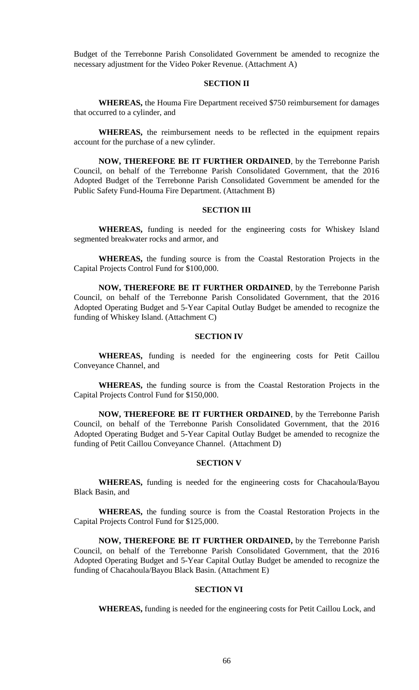Budget of the Terrebonne Parish Consolidated Government be amended to recognize the necessary adjustment for the Video Poker Revenue. (Attachment A)

### **SECTION II**

**WHEREAS,** the Houma Fire Department received \$750 reimbursement for damages that occurred to a cylinder, and

**WHEREAS,** the reimbursement needs to be reflected in the equipment repairs account for the purchase of a new cylinder.

**NOW, THEREFORE BE IT FURTHER ORDAINED**, by the Terrebonne Parish Council, on behalf of the Terrebonne Parish Consolidated Government, that the 2016 Adopted Budget of the Terrebonne Parish Consolidated Government be amended for the Public Safety Fund-Houma Fire Department. (Attachment B)

## **SECTION III**

**WHEREAS,** funding is needed for the engineering costs for Whiskey Island segmented breakwater rocks and armor, and

**WHEREAS,** the funding source is from the Coastal Restoration Projects in the Capital Projects Control Fund for \$100,000.

**NOW, THEREFORE BE IT FURTHER ORDAINED**, by the Terrebonne Parish Council, on behalf of the Terrebonne Parish Consolidated Government, that the 2016 Adopted Operating Budget and 5-Year Capital Outlay Budget be amended to recognize the funding of Whiskey Island. (Attachment C)

### **SECTION IV**

**WHEREAS,** funding is needed for the engineering costs for Petit Caillou Conveyance Channel, and

**WHEREAS,** the funding source is from the Coastal Restoration Projects in the Capital Projects Control Fund for \$150,000.

**NOW, THEREFORE BE IT FURTHER ORDAINED**, by the Terrebonne Parish Council, on behalf of the Terrebonne Parish Consolidated Government, that the 2016 Adopted Operating Budget and 5-Year Capital Outlay Budget be amended to recognize the funding of Petit Caillou Conveyance Channel. (Attachment D)

#### **SECTION V**

**WHEREAS,** funding is needed for the engineering costs for Chacahoula/Bayou Black Basin, and

**WHEREAS,** the funding source is from the Coastal Restoration Projects in the Capital Projects Control Fund for \$125,000.

**NOW, THEREFORE BE IT FURTHER ORDAINED,** by the Terrebonne Parish Council, on behalf of the Terrebonne Parish Consolidated Government, that the 2016 Adopted Operating Budget and 5-Year Capital Outlay Budget be amended to recognize the funding of Chacahoula/Bayou Black Basin. (Attachment E)

### **SECTION VI**

**WHEREAS,** funding is needed for the engineering costs for Petit Caillou Lock, and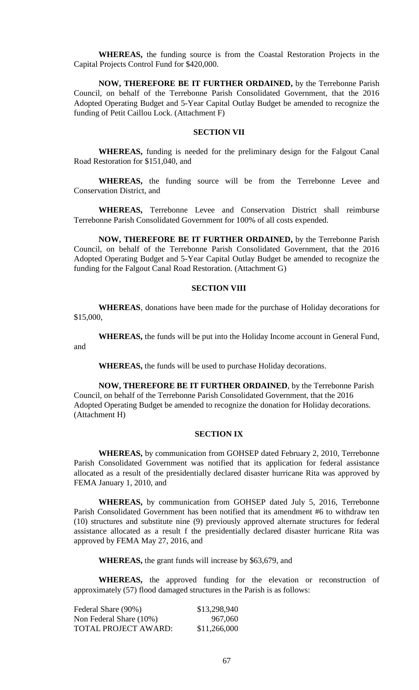**WHEREAS,** the funding source is from the Coastal Restoration Projects in the Capital Projects Control Fund for \$420,000.

**NOW, THEREFORE BE IT FURTHER ORDAINED,** by the Terrebonne Parish Council, on behalf of the Terrebonne Parish Consolidated Government, that the 2016 Adopted Operating Budget and 5-Year Capital Outlay Budget be amended to recognize the funding of Petit Caillou Lock. (Attachment F)

# **SECTION VII**

**WHEREAS,** funding is needed for the preliminary design for the Falgout Canal Road Restoration for \$151,040, and

**WHEREAS,** the funding source will be from the Terrebonne Levee and Conservation District, and

**WHEREAS,** Terrebonne Levee and Conservation District shall reimburse Terrebonne Parish Consolidated Government for 100% of all costs expended.

**NOW, THEREFORE BE IT FURTHER ORDAINED,** by the Terrebonne Parish Council, on behalf of the Terrebonne Parish Consolidated Government, that the 2016 Adopted Operating Budget and 5-Year Capital Outlay Budget be amended to recognize the funding for the Falgout Canal Road Restoration. (Attachment G)

### **SECTION VIII**

**WHEREAS**, donations have been made for the purchase of Holiday decorations for \$15,000,

**WHEREAS,** the funds will be put into the Holiday Income account in General Fund, and

**WHEREAS,** the funds will be used to purchase Holiday decorations.

**NOW, THEREFORE BE IT FURTHER ORDAINED**, by the Terrebonne Parish Council, on behalf of the Terrebonne Parish Consolidated Government, that the 2016 Adopted Operating Budget be amended to recognize the donation for Holiday decorations. (Attachment H)

### **SECTION IX**

**WHEREAS,** by communication from GOHSEP dated February 2, 2010, Terrebonne Parish Consolidated Government was notified that its application for federal assistance allocated as a result of the presidentially declared disaster hurricane Rita was approved by FEMA January 1, 2010, and

**WHEREAS,** by communication from GOHSEP dated July 5, 2016, Terrebonne Parish Consolidated Government has been notified that its amendment #6 to withdraw ten (10) structures and substitute nine (9) previously approved alternate structures for federal assistance allocated as a result f the presidentially declared disaster hurricane Rita was approved by FEMA May 27, 2016, and

**WHEREAS,** the grant funds will increase by \$63,679, and

**WHEREAS,** the approved funding for the elevation or reconstruction of approximately (57) flood damaged structures in the Parish is as follows:

| Federal Share (90%)     | \$13,298,940 |
|-------------------------|--------------|
| Non Federal Share (10%) | 967,060      |
| TOTAL PROJECT AWARD:    | \$11,266,000 |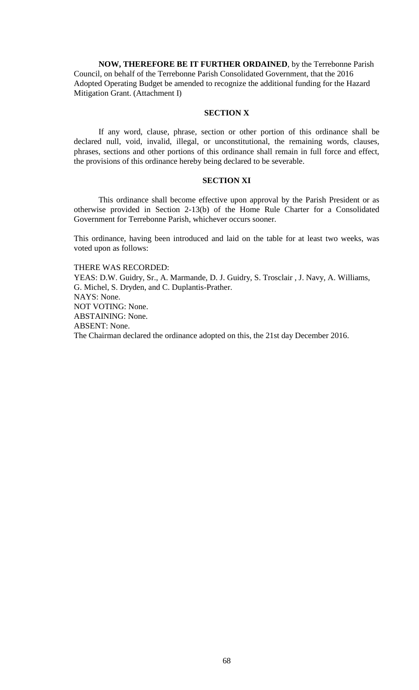**NOW, THEREFORE BE IT FURTHER ORDAINED**, by the Terrebonne Parish Council, on behalf of the Terrebonne Parish Consolidated Government, that the 2016 Adopted Operating Budget be amended to recognize the additional funding for the Hazard Mitigation Grant. (Attachment I)

# **SECTION X**

If any word, clause, phrase, section or other portion of this ordinance shall be declared null, void, invalid, illegal, or unconstitutional, the remaining words, clauses, phrases, sections and other portions of this ordinance shall remain in full force and effect, the provisions of this ordinance hereby being declared to be severable.

# **SECTION XI**

This ordinance shall become effective upon approval by the Parish President or as otherwise provided in Section 2-13(b) of the Home Rule Charter for a Consolidated Government for Terrebonne Parish, whichever occurs sooner.

This ordinance, having been introduced and laid on the table for at least two weeks, was voted upon as follows:

### THERE WAS RECORDED:

YEAS: D.W. Guidry, Sr., A. Marmande, D. J. Guidry, S. Trosclair , J. Navy, A. Williams, G. Michel, S. Dryden, and C. Duplantis-Prather. NAYS: None. NOT VOTING: None. ABSTAINING: None. ABSENT: None. The Chairman declared the ordinance adopted on this, the 21st day December 2016.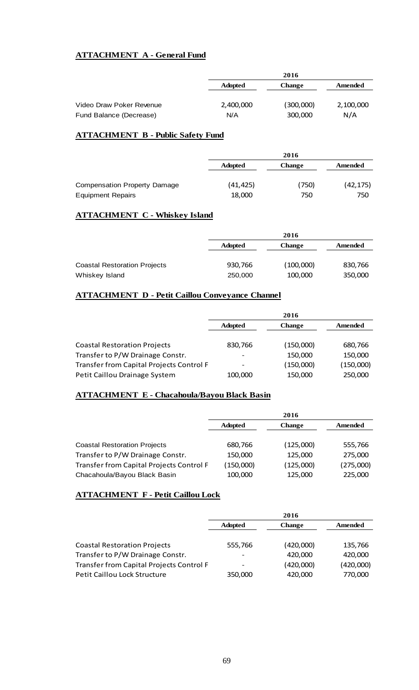# **ATTACHMENT A - General Fund**

|                          |                | 2016          |           |
|--------------------------|----------------|---------------|-----------|
|                          | <b>Adopted</b> | <b>Change</b> | Amended   |
|                          |                |               |           |
| Video Draw Poker Revenue | 2,400,000      | (300,000)     | 2,100,000 |
| Fund Balance (Decrease)  | N/A            | 300,000       | N/A       |

# **ATTACHMENT B - Public Safety Fund**

|                              | 2016           |               |           |
|------------------------------|----------------|---------------|-----------|
|                              | <b>Adopted</b> | <b>Change</b> | Amended   |
| Compensation Property Damage | (41, 425)      | (750)         | (42, 175) |
| <b>Equipment Repairs</b>     | 18,000         | 750           | 750       |

# **ATTACHMENT C - Whiskey Island**

|                                     |                | 2016      |         |
|-------------------------------------|----------------|-----------|---------|
|                                     | <b>Adopted</b> | Change    | Amended |
|                                     |                |           |         |
| <b>Coastal Restoration Projects</b> | 930,766        | (100,000) | 830,766 |
| Whiskey Island                      | 250,000        | 100,000   | 350,000 |

# **ATTACHMENT D - Petit Caillou Conveyance Channel**

|                                          |                | 2016          |           |
|------------------------------------------|----------------|---------------|-----------|
|                                          | <b>Adopted</b> | <b>Change</b> | Amended   |
|                                          |                |               |           |
| <b>Coastal Restoration Projects</b>      | 830,766        | (150,000)     | 680,766   |
| Transfer to P/W Drainage Constr.         | -              | 150,000       | 150,000   |
| Transfer from Capital Projects Control F |                | (150,000)     | (150,000) |
| Petit Caillou Drainage System            | 100,000        | 150,000       | 250,000   |

# **ATTACHMENT E - Chacahoula/Bayou Black Basin**

|                                          | 2016           |               |           |
|------------------------------------------|----------------|---------------|-----------|
|                                          | <b>Adopted</b> | <b>Change</b> | Amended   |
|                                          |                |               |           |
| <b>Coastal Restoration Projects</b>      | 680,766        | (125,000)     | 555,766   |
| Transfer to P/W Drainage Constr.         | 150,000        | 125,000       | 275,000   |
| Transfer from Capital Projects Control F | (150,000)      | (125,000)     | (275,000) |
| Chacahoula/Bayou Black Basin             | 100,000        | 125,000       | 225,000   |

# **ATTACHMENT F - Petit Caillou Lock**

|                                          | 2016           |               |           |
|------------------------------------------|----------------|---------------|-----------|
|                                          | <b>Adopted</b> | <b>Change</b> | Amended   |
|                                          |                |               |           |
| <b>Coastal Restoration Projects</b>      | 555,766        | (420,000)     | 135,766   |
| Transfer to P/W Drainage Constr.         | -              | 420,000       | 420,000   |
| Transfer from Capital Projects Control F | -              | (420,000)     | (420,000) |
| <b>Petit Caillou Lock Structure</b>      | 350,000        | 420,000       | 770,000   |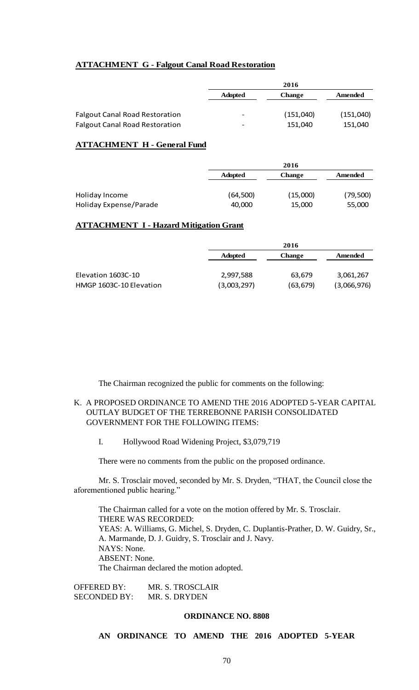# **ATTACHMENT G - Falgout Canal Road Restoration**

|                                       | 2016           |           |           |
|---------------------------------------|----------------|-----------|-----------|
|                                       | <b>Adopted</b> | Change    | Amended   |
|                                       |                |           |           |
| <b>Falgout Canal Road Restoration</b> | -              | (151,040) | (151,040) |
| <b>Falgout Canal Road Restoration</b> | -              | 151.040   | 151,040   |

## **ATTACHMENT H - General Fund**

|                        |                | 2016          |          |
|------------------------|----------------|---------------|----------|
|                        | <b>Adopted</b> | <b>Change</b> | Amended  |
|                        |                |               |          |
| Holiday Income         | (64, 500)      | (15,000)      | (79,500) |
| Holiday Expense/Parade | 40,000         | 15,000        | 55,000   |

# **ATTACHMENT I - Hazard Mitigation Grant**

|                         |                | 2016          |             |  |
|-------------------------|----------------|---------------|-------------|--|
|                         | <b>Adopted</b> | <b>Change</b> | Amended     |  |
|                         |                |               |             |  |
| Elevation 1603C-10      | 2,997,588      | 63,679        | 3,061,267   |  |
| HMGP 1603C-10 Elevation | (3,003,297)    | (63, 679)     | (3,066,976) |  |

The Chairman recognized the public for comments on the following:

# K. A PROPOSED ORDINANCE TO AMEND THE 2016 ADOPTED 5-YEAR CAPITAL OUTLAY BUDGET OF THE TERREBONNE PARISH CONSOLIDATED GOVERNMENT FOR THE FOLLOWING ITEMS:

I. Hollywood Road Widening Project, \$3,079,719

There were no comments from the public on the proposed ordinance.

Mr. S. Trosclair moved, seconded by Mr. S. Dryden, "THAT, the Council close the aforementioned public hearing."

The Chairman called for a vote on the motion offered by Mr. S. Trosclair. THERE WAS RECORDED: YEAS: A. Williams, G. Michel, S. Dryden, C. Duplantis-Prather, D. W. Guidry, Sr., A. Marmande, D. J. Guidry, S. Trosclair and J. Navy. NAYS: None. ABSENT: None. The Chairman declared the motion adopted.

OFFERED BY: MR. S. TROSCLAIR SECONDED BY: MR. S. DRYDEN

### **ORDINANCE NO. 8808**

**AN ORDINANCE TO AMEND THE 2016 ADOPTED 5-YEAR**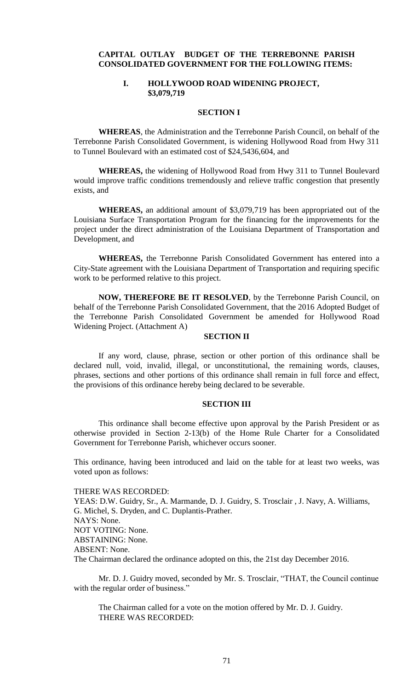# **CAPITAL OUTLAY BUDGET OF THE TERREBONNE PARISH CONSOLIDATED GOVERNMENT FOR THE FOLLOWING ITEMS:**

# **I. HOLLYWOOD ROAD WIDENING PROJECT, \$3,079,719**

# **SECTION I**

**WHEREAS**, the Administration and the Terrebonne Parish Council, on behalf of the Terrebonne Parish Consolidated Government, is widening Hollywood Road from Hwy 311 to Tunnel Boulevard with an estimated cost of \$24,5436,604, and

**WHEREAS,** the widening of Hollywood Road from Hwy 311 to Tunnel Boulevard would improve traffic conditions tremendously and relieve traffic congestion that presently exists, and

**WHEREAS,** an additional amount of \$3,079,719 has been appropriated out of the Louisiana Surface Transportation Program for the financing for the improvements for the project under the direct administration of the Louisiana Department of Transportation and Development, and

**WHEREAS,** the Terrebonne Parish Consolidated Government has entered into a City-State agreement with the Louisiana Department of Transportation and requiring specific work to be performed relative to this project.

**NOW, THEREFORE BE IT RESOLVED**, by the Terrebonne Parish Council, on behalf of the Terrebonne Parish Consolidated Government, that the 2016 Adopted Budget of the Terrebonne Parish Consolidated Government be amended for Hollywood Road Widening Project. (Attachment A)

### **SECTION II**

If any word, clause, phrase, section or other portion of this ordinance shall be declared null, void, invalid, illegal, or unconstitutional, the remaining words, clauses, phrases, sections and other portions of this ordinance shall remain in full force and effect, the provisions of this ordinance hereby being declared to be severable.

### **SECTION III**

This ordinance shall become effective upon approval by the Parish President or as otherwise provided in Section 2-13(b) of the Home Rule Charter for a Consolidated Government for Terrebonne Parish, whichever occurs sooner.

This ordinance, having been introduced and laid on the table for at least two weeks, was voted upon as follows:

THERE WAS RECORDED: YEAS: D.W. Guidry, Sr., A. Marmande, D. J. Guidry, S. Trosclair , J. Navy, A. Williams, G. Michel, S. Dryden, and C. Duplantis-Prather. NAYS: None. NOT VOTING: None. ABSTAINING: None. ABSENT: None. The Chairman declared the ordinance adopted on this, the 21st day December 2016.

Mr. D. J. Guidry moved, seconded by Mr. S. Trosclair, "THAT, the Council continue with the regular order of business."

The Chairman called for a vote on the motion offered by Mr. D. J. Guidry. THERE WAS RECORDED: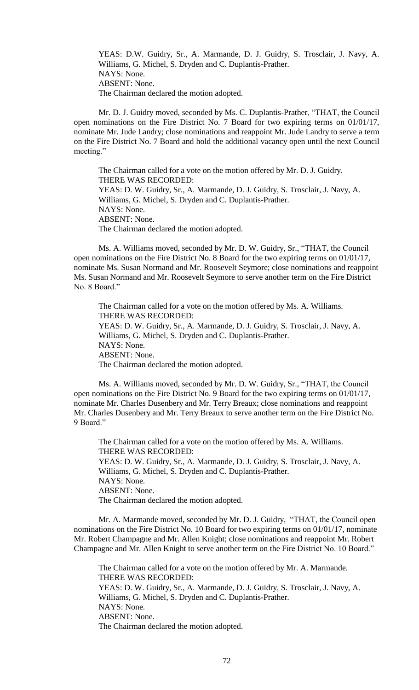YEAS: D.W. Guidry, Sr., A. Marmande, D. J. Guidry, S. Trosclair, J. Navy, A. Williams, G. Michel, S. Dryden and C. Duplantis-Prather. NAYS: None. ABSENT: None. The Chairman declared the motion adopted.

Mr. D. J. Guidry moved, seconded by Ms. C. Duplantis-Prather, "THAT, the Council open nominations on the Fire District No. 7 Board for two expiring terms on 01/01/17, nominate Mr. Jude Landry; close nominations and reappoint Mr. Jude Landry to serve a term on the Fire District No. 7 Board and hold the additional vacancy open until the next Council meeting."

The Chairman called for a vote on the motion offered by Mr. D. J. Guidry. THERE WAS RECORDED: YEAS: D. W. Guidry, Sr., A. Marmande, D. J. Guidry, S. Trosclair, J. Navy, A. Williams, G. Michel, S. Dryden and C. Duplantis-Prather. NAYS: None. ABSENT: None. The Chairman declared the motion adopted.

Ms. A. Williams moved, seconded by Mr. D. W. Guidry, Sr., "THAT, the Council open nominations on the Fire District No. 8 Board for the two expiring terms on 01/01/17, nominate Ms. Susan Normand and Mr. Roosevelt Seymore; close nominations and reappoint Ms. Susan Normand and Mr. Roosevelt Seymore to serve another term on the Fire District No. 8 Board."

The Chairman called for a vote on the motion offered by Ms. A. Williams. THERE WAS RECORDED: YEAS: D. W. Guidry, Sr., A. Marmande, D. J. Guidry, S. Trosclair, J. Navy, A. Williams, G. Michel, S. Dryden and C. Duplantis-Prather. NAYS: None. ABSENT: None. The Chairman declared the motion adopted.

Ms. A. Williams moved, seconded by Mr. D. W. Guidry, Sr., "THAT, the Council open nominations on the Fire District No. 9 Board for the two expiring terms on 01/01/17, nominate Mr. Charles Dusenbery and Mr. Terry Breaux; close nominations and reappoint Mr. Charles Dusenbery and Mr. Terry Breaux to serve another term on the Fire District No. 9 Board."

The Chairman called for a vote on the motion offered by Ms. A. Williams. THERE WAS RECORDED: YEAS: D. W. Guidry, Sr., A. Marmande, D. J. Guidry, S. Trosclair, J. Navy, A. Williams, G. Michel, S. Dryden and C. Duplantis-Prather. NAYS: None. ABSENT: None. The Chairman declared the motion adopted.

Mr. A. Marmande moved, seconded by Mr. D. J. Guidry, "THAT, the Council open nominations on the Fire District No. 10 Board for two expiring terms on 01/01/17, nominate Mr. Robert Champagne and Mr. Allen Knight; close nominations and reappoint Mr. Robert Champagne and Mr. Allen Knight to serve another term on the Fire District No. 10 Board."

The Chairman called for a vote on the motion offered by Mr. A. Marmande. THERE WAS RECORDED: YEAS: D. W. Guidry, Sr., A. Marmande, D. J. Guidry, S. Trosclair, J. Navy, A. Williams, G. Michel, S. Dryden and C. Duplantis-Prather. NAYS: None. ABSENT: None. The Chairman declared the motion adopted.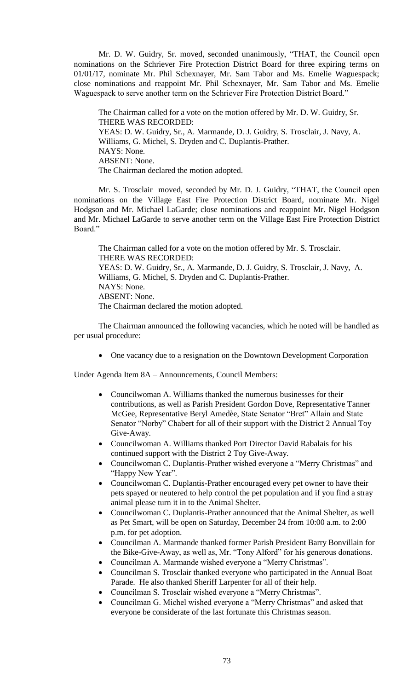Mr. D. W. Guidry, Sr. moved, seconded unanimously, "THAT, the Council open nominations on the Schriever Fire Protection District Board for three expiring terms on 01/01/17, nominate Mr. Phil Schexnayer, Mr. Sam Tabor and Ms. Emelie Waguespack; close nominations and reappoint Mr. Phil Schexnayer, Mr. Sam Tabor and Ms. Emelie Waguespack to serve another term on the Schriever Fire Protection District Board."

The Chairman called for a vote on the motion offered by Mr. D. W. Guidry, Sr. THERE WAS RECORDED: YEAS: D. W. Guidry, Sr., A. Marmande, D. J. Guidry, S. Trosclair, J. Navy, A. Williams, G. Michel, S. Dryden and C. Duplantis-Prather. NAYS: None. ABSENT: None. The Chairman declared the motion adopted.

Mr. S. Trosclair moved, seconded by Mr. D. J. Guidry, "THAT, the Council open nominations on the Village East Fire Protection District Board, nominate Mr. Nigel Hodgson and Mr. Michael LaGarde; close nominations and reappoint Mr. Nigel Hodgson and Mr. Michael LaGarde to serve another term on the Village East Fire Protection District Board<sup>"</sup>

The Chairman called for a vote on the motion offered by Mr. S. Trosclair. THERE WAS RECORDED: YEAS: D. W. Guidry, Sr., A. Marmande, D. J. Guidry, S. Trosclair, J. Navy, A. Williams, G. Michel, S. Dryden and C. Duplantis-Prather. NAYS: None. ABSENT: None. The Chairman declared the motion adopted.

The Chairman announced the following vacancies, which he noted will be handled as per usual procedure:

• One vacancy due to a resignation on the Downtown Development Corporation

Under Agenda Item 8A – Announcements, Council Members:

- Councilwoman A. Williams thanked the numerous businesses for their contributions, as well as Parish President Gordon Dove, Representative Tanner McGee, Representative Beryl Amedèe, State Senator "Bret" Allain and State Senator "Norby" Chabert for all of their support with the District 2 Annual Toy Give-Away.
- Councilwoman A. Williams thanked Port Director David Rabalais for his continued support with the District 2 Toy Give-Away.
- Councilwoman C. Duplantis-Prather wished everyone a "Merry Christmas" and "Happy New Year".
- Councilwoman C. Duplantis-Prather encouraged every pet owner to have their pets spayed or neutered to help control the pet population and if you find a stray animal please turn it in to the Animal Shelter.
- Councilwoman C. Duplantis-Prather announced that the Animal Shelter, as well as Pet Smart, will be open on Saturday, December 24 from 10:00 a.m. to 2:00 p.m. for pet adoption.
- Councilman A. Marmande thanked former Parish President Barry Bonvillain for the Bike-Give-Away, as well as, Mr. "Tony Alford" for his generous donations.
- Councilman A. Marmande wished everyone a "Merry Christmas".
- Councilman S. Trosclair thanked everyone who participated in the Annual Boat Parade. He also thanked Sheriff Larpenter for all of their help.
- Councilman S. Trosclair wished everyone a "Merry Christmas".
- Councilman G. Michel wished everyone a "Merry Christmas" and asked that everyone be considerate of the last fortunate this Christmas season.